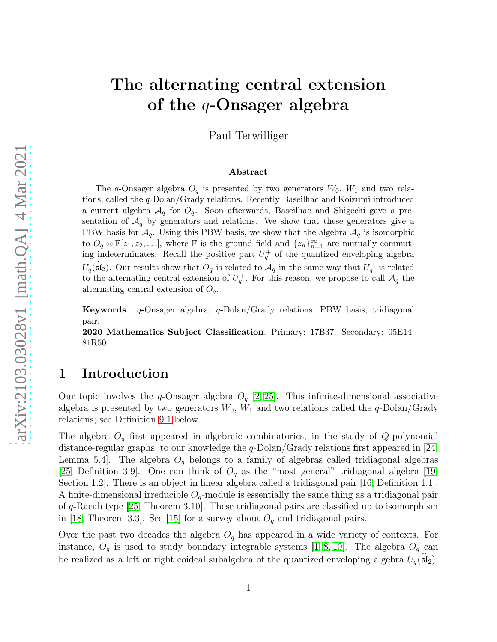# The alternating central extension of the  $q$ -Onsager algebra

Paul Terwilliger

#### Abstract

The q-Onsager algebra  $O_q$  is presented by two generators  $W_0$ ,  $W_1$  and two relations, called the q-Dolan/Grady relations. Recently Baseilhac and Koizumi introduced a current algebra  $\mathcal{A}_q$  for  $O_q$ . Soon afterwards, Baseilhac and Shigechi gave a presentation of  $\mathcal{A}_q$  by generators and relations. We show that these generators give a PBW basis for  $\mathcal{A}_q$ . Using this PBW basis, we show that the algebra  $\mathcal{A}_q$  is isomorphic to  $O_q \otimes \mathbb{F}[z_1, z_2, \ldots]$ , where  $\mathbb F$  is the ground field and  $\{z_n\}_{n=1}^{\infty}$  are mutually commuting indeterminates. Recall the positive part  $U_q^+$  of the quantized enveloping algebra  $U_q(\widehat{\mathfrak{sl}}_2)$ . Our results show that  $O_q$  is related to  $\mathcal{A}_q$  in the same way that  $U_q^+$  is related to the alternating central extension of  $U_q^+$ . For this reason, we propose to call  $\mathcal{A}_q$  the alternating central extension of  $O_q$ .

Keywords. q-Onsager algebra; q-Dolan/Grady relations; PBW basis; tridiagonal pair.

2020 Mathematics Subject Classification. Primary: 17B37. Secondary: 05E14, 81R50.

### 1 Introduction

Our topic involves the q-Onsager algebra  $O_q$  [\[2,](#page-56-0) [25\]](#page-57-0). This infinite-dimensional associative algebra is presented by two generators  $W_0$ ,  $W_1$  and two relations called the q-Dolan/Grady relations; see Definition [9.1](#page-21-0) below.

The algebra  $O_q$  first appeared in algebraic combinatorics, in the study of Q-polynomial distance-regular graphs; to our knowledge the  $q$ -Dolan/Grady relations first appeared in [\[24,](#page-57-1) Lemma 5.4. The algebra  $O_q$  belongs to a family of algebras called tridiagonal algebras [\[25,](#page-57-0) Definition 3.9]. One can think of  $O_q$  as the "most general" tridiagonal algebra [\[19,](#page-57-2) Section 1.2]. There is an object in linear algebra called a tridiagonal pair [\[16,](#page-56-1) Definition 1.1]. A finite-dimensional irreducible  $O_q$ -module is essentially the same thing as a tridiagonal pair of q-Racah type [\[25,](#page-57-0) Theorem 3.10]. These tridiagonal pairs are classified up to isomorphism in [\[18,](#page-57-3) Theorem 3.3]. See [\[15\]](#page-56-2) for a survey about  $O_q$  and tridiagonal pairs.

Over the past two decades the algebra  $O_q$  has appeared in a wide variety of contexts. For instance,  $O_q$  is used to study boundary integrable systems [\[1–](#page-56-3)[8,](#page-56-4) [10\]](#page-56-5). The algebra  $O_q$  can be realized as a left or right coideal subalgebra of the quantized enveloping algebra  $U_q(\mathfrak{sl}_2)$ ;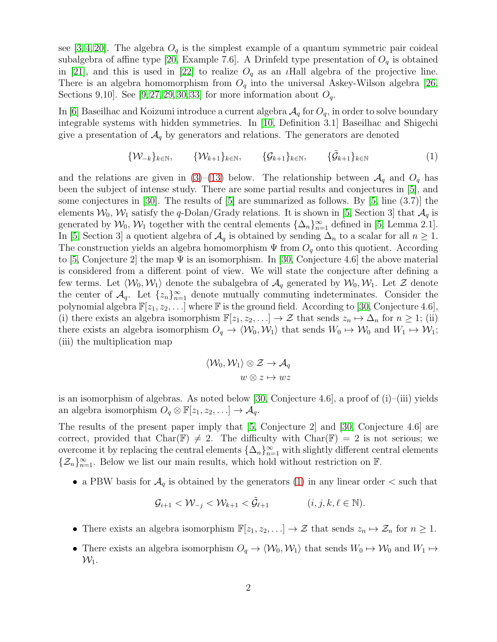see [\[3,](#page-56-6) [4,](#page-56-7) [20\]](#page-57-4). The algebra  $O_q$  is the simplest example of a quantum symmetric pair coideal subalgebra of affine type [\[20,](#page-57-4) Example 7.6]. A Drinfeld type presentation of  $O_q$  is obtained in [\[21\]](#page-57-5), and this is used in [\[22\]](#page-57-6) to realize  $O_q$  as an *i*Hall algebra of the projective line. There is an algebra homomorphism from  $O_q$  into the universal Askey-Wilson algebra [\[26,](#page-57-7) Sections 9,10. See [\[9,](#page-56-8) [27,](#page-57-8) [29,](#page-57-9) [30,](#page-57-10) [33\]](#page-58-0) for more information about  $O_q$ .

In [\[6\]](#page-56-9) Baseilhac and Koizumi introduce a current algebra  $\mathcal{A}_q$  for  $O_q$ , in order to solve boundary integrable systems with hidden symmetries. In [\[10,](#page-56-5) Definition 3.1] Baseilhac and Shigechi give a presentation of  $\mathcal{A}_q$  by generators and relations. The generators are denoted

<span id="page-1-0"></span>
$$
\{\mathcal{W}_{-k}\}_{k\in\mathbb{N}}, \qquad \{\mathcal{W}_{k+1}\}_{k\in\mathbb{N}}, \qquad \{\mathcal{G}_{k+1}\}_{k\in\mathbb{N}}, \qquad \{\tilde{\mathcal{G}}_{k+1}\}_{k\in\mathbb{N}} \tag{1}
$$

and the relations are given in [\(3\)](#page-3-0)–[\(13\)](#page-3-1) below. The relationship between  $\mathcal{A}_q$  and  $O_q$  has been the subject of intense study. There are some partial results and conjectures in [\[5\]](#page-56-10), and some conjectures in [\[30\]](#page-57-10). The results of [\[5\]](#page-56-10) are summarized as follows. By [\[5,](#page-56-10) line  $(3.7)$ ] the elements  $W_0$ ,  $W_1$  satisfy the q-Dolan/Grady relations. It is shown in [\[5,](#page-56-10) Section 3] that  $\mathcal{A}_q$  is generated by  $\mathcal{W}_0$ ,  $\mathcal{W}_1$  together with the central elements  $\{\Delta_n\}_{n=1}^{\infty}$  defined in [\[5,](#page-56-10) Lemma 2.1]. In [\[5,](#page-56-10) Section 3] a quotient algebra of  $\mathcal{A}_q$  is obtained by sending  $\Delta_n$  to a scalar for all  $n \geq 1$ . The construction yields an algebra homomorphism  $\Psi$  from  $O_q$  onto this quotient. According to [\[5,](#page-56-10) Conjecture 2] the map  $\Psi$  is an isomorphism. In [\[30,](#page-57-10) Conjecture 4.6] the above material is considered from a different point of view. We will state the conjecture after defining a few terms. Let  $\langle W_0, W_1 \rangle$  denote the subalgebra of  $\mathcal{A}_q$  generated by  $W_0, W_1$ . Let Z denote the center of  $\mathcal{A}_q$ . Let  $\{z_n\}_{n=1}^{\infty}$  denote mutually commuting indeterminates. Consider the polynomial algebra  $\mathbb{F}[z_1, z_2, \ldots]$  where  $\mathbb F$  is the ground field. According to [\[30,](#page-57-10) Conjecture 4.6], (i) there exists an algebra isomorphism  $\mathbb{F}[z_1, z_2, \ldots] \to \mathcal{Z}$  that sends  $z_n \mapsto \Delta_n$  for  $n \geq 1$ ; (ii) there exists an algebra isomorphism  $O_q \to \langle \mathcal{W}_0, \mathcal{W}_1 \rangle$  that sends  $W_0 \mapsto \mathcal{W}_0$  and  $W_1 \mapsto \mathcal{W}_1$ ; (iii) the multiplication map

$$
\langle \mathcal{W}_0, \mathcal{W}_1 \rangle \otimes \mathcal{Z} \to \mathcal{A}_q
$$

$$
w \otimes z \mapsto wz
$$

is an isomorphism of algebras. As noted below [\[30,](#page-57-10) Conjecture 4.6], a proof of  $(i)$ –(iii) yields an algebra isomorphism  $O_q \otimes \mathbb{F}[z_1, z_2, \ldots] \to \mathcal{A}_q$ .

The results of the present paper imply that [\[5,](#page-56-10) Conjecture 2] and [\[30,](#page-57-10) Conjecture 4.6] are correct, provided that Char( $\mathbb{F}$ )  $\neq$  2. The difficulty with Char( $\mathbb{F}$ ) = 2 is not serious; we overcome it by replacing the central elements  $\{\Delta_n\}_{n=1}^{\infty}$  with slightly different central elements  $\{\mathcal{Z}_n\}_{n=1}^{\infty}$ . Below we list our main results, which hold without restriction on F.

• a PBW basis for  $\mathcal{A}_q$  is obtained by the generators [\(1\)](#page-1-0) in any linear order  $\lt$  such that

$$
\mathcal{G}_{i+1} < \mathcal{W}_{-j} < \mathcal{W}_{k+1} < \tilde{\mathcal{G}}_{\ell+1} \tag{i, j, k, \ell \in \mathbb{N}}.
$$

- There exists an algebra isomorphism  $\mathbb{F}[z_1, z_2, \ldots] \to \mathcal{Z}$  that sends  $z_n \mapsto \mathcal{Z}_n$  for  $n \geq 1$ .
- There exists an algebra isomorphism  $O_q \to \langle \mathcal{W}_0, \mathcal{W}_1 \rangle$  that sends  $W_0 \mapsto \mathcal{W}_0$  and  $W_1 \mapsto$  $\mathcal{W}_1$ .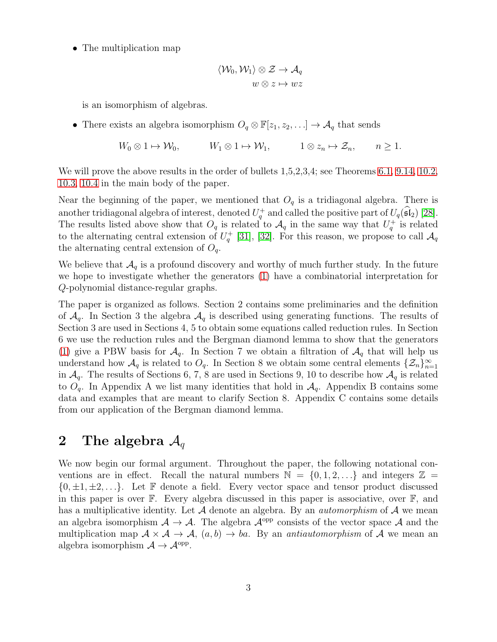• The multiplication map

$$
\langle \mathcal{W}_0, \mathcal{W}_1 \rangle \otimes \mathcal{Z} \to \mathcal{A}_q
$$
  

$$
w \otimes z \mapsto wz
$$

is an isomorphism of algebras.

• There exists an algebra isomorphism  $O_q \otimes \mathbb{F}[z_1, z_2, \ldots] \to \mathcal{A}_q$  that sends

$$
W_0 \otimes 1 \mapsto W_0
$$
,  $W_1 \otimes 1 \mapsto W_1$ ,  $1 \otimes z_n \mapsto \mathcal{Z}_n$ ,  $n \ge 1$ .

We will prove the above results in the order of bullets  $1,5,2,3,4$ ; see Theorems [6.1,](#page-11-0) [9.14,](#page-26-0) [10.2,](#page-27-0) [10.3,](#page-28-0) [10.4](#page-28-1) in the main body of the paper.

Near the beginning of the paper, we mentioned that  $O<sub>q</sub>$  is a tridiagonal algebra. There is another tridiagonal algebra of interest, denoted  $U_q^+$  and called the positive part of  $U_q(\widehat{\mathfrak{sl}}_2)$  [\[28\]](#page-57-11). The results listed above show that  $O_q$  is related to  $\mathcal{A}_q$  in the same way that  $U_q^+$  is related to the alternating central extension of  $U_q^+$  [\[31\]](#page-57-12), [\[32\]](#page-57-13). For this reason, we propose to call  $\mathcal{A}_q$ the alternating central extension of  $O_q$ .

We believe that  $\mathcal{A}_q$  is a profound discovery and worthy of much further study. In the future we hope to investigate whether the generators [\(1\)](#page-1-0) have a combinatorial interpretation for Q-polynomial distance-regular graphs.

The paper is organized as follows. Section 2 contains some preliminaries and the definition of  $\mathcal{A}_q$ . In Section 3 the algebra  $\mathcal{A}_q$  is described using generating functions. The results of Section 3 are used in Sections 4, 5 to obtain some equations called reduction rules. In Section 6 we use the reduction rules and the Bergman diamond lemma to show that the generators [\(1\)](#page-1-0) give a PBW basis for  $\mathcal{A}_q$ . In Section 7 we obtain a filtration of  $\mathcal{A}_q$  that will help us understand how  $\mathcal{A}_q$  is related to  $O_q$ . In Section 8 we obtain some central elements  $\{\mathcal{Z}_n\}_{n=1}^{\infty}$ in  $\mathcal{A}_q$ . The results of Sections 6, 7, 8 are used in Sections 9, 10 to describe how  $\mathcal{A}_q$  is related to  $O_q$ . In Appendix A we list many identities that hold in  $\mathcal{A}_q$ . Appendix B contains some data and examples that are meant to clarify Section 8. Appendix C contains some details from our application of the Bergman diamond lemma.

### 2 The algebra  $A_q$

We now begin our formal argument. Throughout the paper, the following notational conventions are in effect. Recall the natural numbers  $\mathbb{N} = \{0, 1, 2, \ldots\}$  and integers  $\mathbb{Z} =$  $\{0, \pm 1, \pm 2, \ldots\}$ . Let F denote a field. Every vector space and tensor product discussed in this paper is over F. Every algebra discussed in this paper is associative, over F, and has a multiplicative identity. Let  $A$  denote an algebra. By an *automorphism* of  $A$  we mean an algebra isomorphism  $A \to A$ . The algebra  $A^{opp}$  consists of the vector space A and the multiplication map  $A \times A \rightarrow A$ ,  $(a, b) \rightarrow ba$ . By an *antiautomorphism* of A we mean an algebra isomorphism  $A \to \mathcal{A}^{\text{opp}}$ .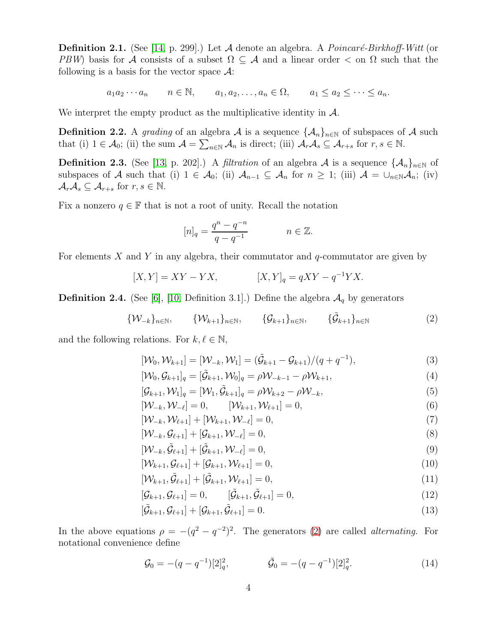**Definition 2.1.** (See [\[14,](#page-56-11) p. 299].) Let A denote an algebra. A *Poincaré-Birkhoff-Witt* (or PBW) basis for A consists of a subset  $\Omega \subseteq A$  and a linear order  $\lt$  on  $\Omega$  such that the following is a basis for the vector space  $\mathcal{A}$ :

 $a_1a_2\cdots a_n$   $n \in \mathbb{N}$ ,  $a_1, a_2, \ldots, a_n \in \Omega$ ,  $a_1 \le a_2 \le \cdots \le a_n$ .

We interpret the empty product as the multiplicative identity in  $\mathcal{A}$ .

<span id="page-3-9"></span>**Definition 2.2.** A grading of an algebra A is a sequence  $\{\mathcal{A}_n\}_{n\in\mathbb{N}}$  of subspaces of A such that (i)  $1 \in \mathcal{A}_0$ ; (ii) the sum  $\mathcal{A} = \sum_{n \in \mathbb{N}} \mathcal{A}_n$  is direct; (iii)  $\mathcal{A}_r \mathcal{A}_s \subseteq \mathcal{A}_{r+s}$  for  $r, s \in \mathbb{N}$ .

<span id="page-3-5"></span>**Definition 2.3.** (See [\[13,](#page-56-12) p. 202].) A *filtration* of an algebra A is a sequence  $\{\mathcal{A}_n\}_{n\in\mathbb{N}}$  of subspaces of A such that (i)  $1 \in \mathcal{A}_0$ ; (ii)  $\mathcal{A}_{n-1} \subseteq \mathcal{A}_n$  for  $n \geq 1$ ; (iii)  $\mathcal{A} = \bigcup_{n \in \mathbb{N}} \mathcal{A}_n$ ; (iv)  $\mathcal{A}_r\mathcal{A}_s\subseteq\mathcal{A}_{r+s}$  for  $r,s\in\mathbb{N}$ .

Fix a nonzero  $q \in \mathbb{F}$  that is not a root of unity. Recall the notation

<span id="page-3-7"></span><span id="page-3-2"></span><span id="page-3-0"></span>
$$
[n]_q = \frac{q^n - q^{-n}}{q - q^{-1}} \qquad n \in \mathbb{Z}.
$$

For elements  $X$  and  $Y$  in any algebra, their commutator and  $q$ -commutator are given by

$$
[X,Y] = XY - YX, \qquad [X,Y]_q = qXY - q^{-1}YX.
$$

<span id="page-3-4"></span>**Definition 2.4.** (See [\[6\]](#page-56-9), [\[10,](#page-56-5) Definition 3.1].) Define the algebra  $\mathcal{A}_q$  by generators

$$
\{\mathcal{W}_{-k}\}_{n\in\mathbb{N}}, \qquad \{\mathcal{W}_{k+1}\}_{n\in\mathbb{N}}, \qquad \{\mathcal{G}_{k+1}\}_{n\in\mathbb{N}}, \qquad \{\tilde{\mathcal{G}}_{k+1}\}_{n\in\mathbb{N}}
$$
(2)

and the following relations. For  $k, \ell \in \mathbb{N}$ ,

$$
[\mathcal{W}_0, \mathcal{W}_{k+1}] = [\mathcal{W}_{-k}, \mathcal{W}_1] = (\tilde{\mathcal{G}}_{k+1} - \mathcal{G}_{k+1})/(q + q^{-1}),
$$
\n(3)

$$
[\mathcal{W}_0, \mathcal{G}_{k+1}]_q = [\tilde{\mathcal{G}}_{k+1}, \mathcal{W}_0]_q = \rho \mathcal{W}_{-k-1} - \rho \mathcal{W}_{k+1},\tag{4}
$$

<span id="page-3-8"></span>
$$
[\mathcal{G}_{k+1}, \mathcal{W}_1]_q = [\mathcal{W}_1, \tilde{\mathcal{G}}_{k+1}]_q = \rho \mathcal{W}_{k+2} - \rho \mathcal{W}_{-k},
$$
\n
$$
\tag{5}
$$

<span id="page-3-3"></span>
$$
[\mathcal{W}_{-k}, \mathcal{W}_{-\ell}] = 0, \qquad [\mathcal{W}_{k+1}, \mathcal{W}_{\ell+1}] = 0,
$$
\n(6)

 $[\mathcal{W}_{-k}, \mathcal{W}_{\ell+1}] + [\mathcal{W}_{k+1}, \mathcal{W}_{-\ell}] = 0,$  (7)

$$
[\mathcal{W}_{-k}, \mathcal{G}_{\ell+1}] + [\mathcal{G}_{k+1}, \mathcal{W}_{-\ell}] = 0,\tag{8}
$$

$$
[\mathcal{W}_{-k}, \tilde{\mathcal{G}}_{\ell+1}] + [\tilde{\mathcal{G}}_{k+1}, \mathcal{W}_{-\ell}] = 0, \tag{9}
$$

$$
[\mathcal{W}_{k+1}, \mathcal{G}_{\ell+1}] + [\mathcal{G}_{k+1}, \mathcal{W}_{\ell+1}] = 0, \tag{10}
$$

$$
[\mathcal{W}_{k+1}, \tilde{\mathcal{G}}_{\ell+1}] + [\tilde{\mathcal{G}}_{k+1}, \mathcal{W}_{\ell+1}] = 0, \tag{11}
$$

$$
[\mathcal{G}_{k+1}, \mathcal{G}_{\ell+1}] = 0, \qquad [\tilde{\mathcal{G}}_{k+1}, \tilde{\mathcal{G}}_{\ell+1}] = 0, \qquad (12)
$$

<span id="page-3-1"></span>
$$
[\tilde{\mathcal{G}}_{k+1}, \mathcal{G}_{\ell+1}] + [\mathcal{G}_{k+1}, \tilde{\mathcal{G}}_{\ell+1}] = 0.
$$
\n(13)

In the above equations  $\rho = -(q^2 - q^{-2})^2$ . The generators [\(2\)](#page-3-2) are called *alternating*. For notational convenience define

<span id="page-3-6"></span>
$$
\mathcal{G}_0 = -(q - q^{-1})[2]_q^2, \qquad \tilde{\mathcal{G}}_0 = -(q - q^{-1})[2]_q^2. \qquad (14)
$$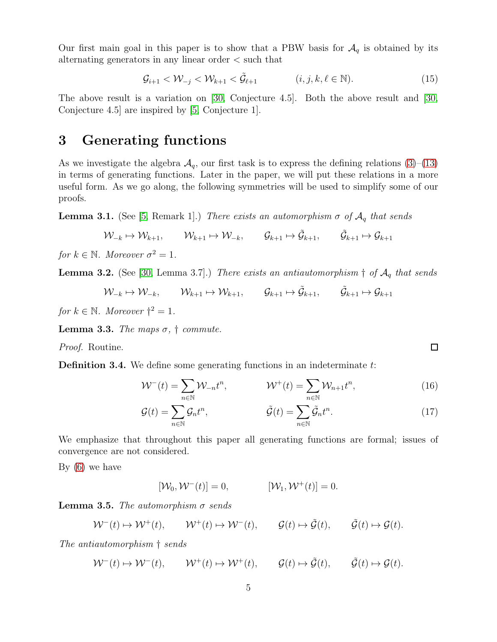Our first main goal in this paper is to show that a PBW basis for  $A_q$  is obtained by its alternating generators in any linear order < such that

<span id="page-4-5"></span>
$$
\mathcal{G}_{i+1} < \mathcal{W}_{-j} < \mathcal{W}_{k+1} < \tilde{\mathcal{G}}_{\ell+1} \tag{15}
$$

The above result is a variation on [\[30,](#page-57-10) Conjecture 4.5]. Both the above result and [\[30,](#page-57-10) Conjecture 4.5] are inspired by [\[5,](#page-56-10) Conjecture 1].

### 3 Generating functions

As we investigate the algebra  $\mathcal{A}_q$ , our first task is to express the defining relations [\(3\)](#page-3-0)–[\(13\)](#page-3-1) in terms of generating functions. Later in the paper, we will put these relations in a more useful form. As we go along, the following symmetries will be used to simplify some of our proofs.

<span id="page-4-0"></span>**Lemma 3.1.** (See [\[5,](#page-56-10) Remark 1].) There exists an automorphism  $\sigma$  of  $\mathcal{A}_q$  that sends

$$
\mathcal{W}_{-k} \mapsto \mathcal{W}_{k+1}, \qquad \mathcal{W}_{k+1} \mapsto \mathcal{W}_{-k}, \qquad \mathcal{G}_{k+1} \mapsto \tilde{\mathcal{G}}_{k+1}, \qquad \tilde{\mathcal{G}}_{k+1} \mapsto \mathcal{G}_{k+1}
$$

for  $k \in \mathbb{N}$ . Moreover  $\sigma^2 = 1$ .

<span id="page-4-1"></span>**Lemma 3.2.** (See [\[30,](#page-57-10) Lemma 3.7].) There exists an antiautomorphism  $\dagger$  of  $\mathcal{A}_q$  that sends

$$
\mathcal{W}_{-k} \mapsto \mathcal{W}_{-k}, \qquad \mathcal{W}_{k+1} \mapsto \mathcal{W}_{k+1}, \qquad \mathcal{G}_{k+1} \mapsto \tilde{\mathcal{G}}_{k+1}, \qquad \tilde{\mathcal{G}}_{k+1} \mapsto \mathcal{G}_{k+1}
$$

for  $k \in \mathbb{N}$ . Moreover  $\dagger^2 = 1$ .

<span id="page-4-6"></span>**Lemma 3.3.** The maps  $\sigma$ ,  $\dagger$  commute.

Proof. Routine.

<span id="page-4-4"></span>**Definition 3.4.** We define some generating functions in an indeterminate  $t$ :

$$
\mathcal{W}^-(t) = \sum_{n \in \mathbb{N}} \mathcal{W}_{-n} t^n, \qquad \mathcal{W}^+(t) = \sum_{n \in \mathbb{N}} \mathcal{W}_{n+1} t^n, \qquad (16)
$$

<span id="page-4-2"></span>
$$
\mathcal{G}(t) = \sum_{n \in \mathbb{N}} \mathcal{G}_n t^n, \qquad \tilde{\mathcal{G}}(t) = \sum_{n \in \mathbb{N}} \tilde{\mathcal{G}}_n t^n. \qquad (17)
$$

We emphasize that throughout this paper all generating functions are formal; issues of convergence are not considered.

By [\(6\)](#page-3-3) we have

<span id="page-4-3"></span>
$$
[\mathcal{W}_0, \mathcal{W}^-(t)] = 0, \qquad [\mathcal{W}_1, \mathcal{W}^+(t)] = 0.
$$

**Lemma 3.5.** The automorphism  $\sigma$  sends

$$
\mathcal{W}^-(t) \mapsto \mathcal{W}^+(t), \qquad \mathcal{W}^+(t) \mapsto \mathcal{W}^-(t), \qquad \mathcal{G}(t) \mapsto \tilde{\mathcal{G}}(t), \qquad \tilde{\mathcal{G}}(t) \mapsto \mathcal{G}(t).
$$

The antiautomorphism † sends

 $W^-(t) \mapsto W^-(t)$ ,  $W^+(t) \mapsto W^+(t)$ ,  $\mathcal{G}(t) \mapsto \tilde{\mathcal{G}}(t)$ ,  $\tilde{\mathcal{G}}(t) \mapsto \mathcal{G}(t)$ .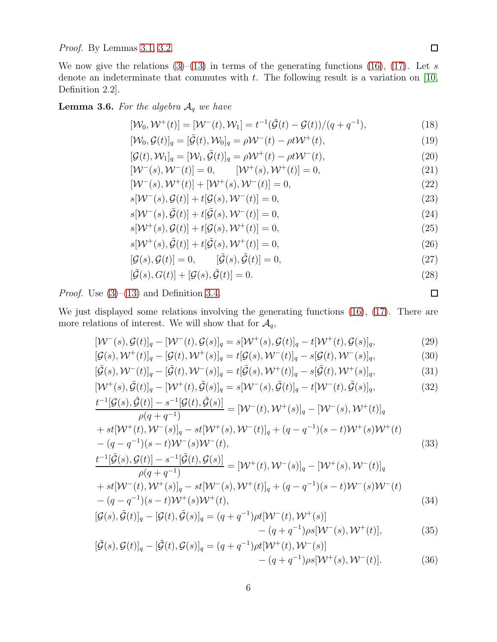Proof. By Lemmas [3.1,](#page-4-0) [3.2.](#page-4-1)

We now give the relations  $(3)$ – $(13)$  in terms of the generating functions  $(16)$ ,  $(17)$ . Let s denote an indeterminate that commutes with  $t$ . The following result is a variation on [\[10,](#page-56-5) Definition 2.2].

<span id="page-5-2"></span>**Lemma 3.6.** For the algebra  $A_q$  we have

<span id="page-5-7"></span><span id="page-5-5"></span>
$$
[\mathcal{W}_0, \mathcal{W}^+(t)] = [\mathcal{W}^-(t), \mathcal{W}_1] = t^{-1}(\tilde{\mathcal{G}}(t) - \mathcal{G}(t))/(q + q^{-1}),
$$
\n(18)

$$
[\mathcal{W}_0, \mathcal{G}(t)]_q = [\tilde{\mathcal{G}}(t), \mathcal{W}_0]_q = \rho \mathcal{W}^-(t) - \rho t \mathcal{W}^+(t), \qquad (19)
$$

$$
[\mathcal{G}(t), \mathcal{W}_1]_q = [\mathcal{W}_1, \tilde{\mathcal{G}}(t)]_q = \rho \mathcal{W}^+(t) - \rho t \mathcal{W}^-(t), \tag{20}
$$

<span id="page-5-8"></span><span id="page-5-3"></span>
$$
[\mathcal{W}^-(s), \mathcal{W}^-(t)] = 0, \qquad [\mathcal{W}^+(s), \mathcal{W}^+(t)] = 0,
$$
\n(21)

$$
[\mathcal{W}^-(s), \mathcal{W}^+(t)] + [\mathcal{W}^+(s), \mathcal{W}^-(t)] = 0,
$$
\n(22)

$$
s[\mathcal{W}^-(s), \mathcal{G}(t)] + t[\mathcal{G}(s), \mathcal{W}^-(t)] = 0,\tag{23}
$$

$$
s[\mathcal{W}^-(s), \tilde{\mathcal{G}}(t)] + t[\tilde{\mathcal{G}}(s), \mathcal{W}^-(t)] = 0,
$$
\n(24)

$$
s[\mathcal{W}^+(s), \mathcal{G}(t)] + t[\mathcal{G}(s), \mathcal{W}^+(t)] = 0,\tag{25}
$$

$$
s[\mathcal{W}^+(s), \tilde{\mathcal{G}}(t)] + t[\tilde{\mathcal{G}}(s), \mathcal{W}^+(t)] = 0,\tag{26}
$$

$$
[\mathcal{G}(s), \mathcal{G}(t)] = 0, \qquad [\tilde{\mathcal{G}}(s), \tilde{\mathcal{G}}(t)] = 0,
$$
\n(27)

<span id="page-5-6"></span><span id="page-5-4"></span><span id="page-5-0"></span>
$$
[\tilde{\mathcal{G}}(s), G(t)] + [\mathcal{G}(s), \tilde{\mathcal{G}}(t)] = 0.
$$
\n(28)

*Proof.* Use  $(3)$ – $(13)$  and Definition [3.4.](#page-4-4)

We just displayed some relations involving the generating functions [\(16\)](#page-4-2), [\(17\)](#page-4-3). There are more relations of interest. We will show that for  $\mathcal{A}_q$ ,

$$
[\mathcal{W}^-(s), \mathcal{G}(t)]_q - [\mathcal{W}^-(t), \mathcal{G}(s)]_q = s[\mathcal{W}^+(s), \mathcal{G}(t)]_q - t[\mathcal{W}^+(t), \mathcal{G}(s)]_q, \tag{29}
$$

$$
[\mathcal{G}(s), \mathcal{W}^+(t)]_q - [\mathcal{G}(t), \mathcal{W}^+(s)]_q = t[\mathcal{G}(s), \mathcal{W}^-(t)]_q - s[\mathcal{G}(t), \mathcal{W}^-(s)]_q,
$$
\n(30)

$$
[\tilde{\mathcal{G}}(s), \mathcal{W}^{-}(t)]_{q} - [\tilde{\mathcal{G}}(t), \mathcal{W}^{-}(s)]_{q} = t[\tilde{\mathcal{G}}(s), \mathcal{W}^{+}(t)]_{q} - s[\tilde{\mathcal{G}}(t), \mathcal{W}^{+}(s)]_{q},
$$
\n(31)

$$
[\mathcal{W}^+(s), \tilde{\mathcal{G}}(t)]_q - [\mathcal{W}^+(t), \tilde{\mathcal{G}}(s)]_q = s[\mathcal{W}^-(s), \tilde{\mathcal{G}}(t)]_q - t[\mathcal{W}^-(t), \tilde{\mathcal{G}}(s)]_q, \tag{32}
$$
  

$$
\frac{t^{-1}[\mathcal{G}(s), \tilde{\mathcal{G}}(t)] - s^{-1}[\mathcal{G}(t), \tilde{\mathcal{G}}(s)]}{\mathcal{W}^-(t, \mathcal{W}^+(s))_q - [\mathcal{W}^-(s), \mathcal{W}^+(t)]_q}
$$

$$
\rho(q+q^{-1}) \qquad \qquad [V \quad (c), V \quad (c), V \quad (c), V \quad (c), q
$$
\n
$$
+ st[\mathcal{W}^+(t), \mathcal{W}^-(s)]_q - st[\mathcal{W}^+(s), \mathcal{W}^-(t)]_q + (q - q^{-1})(s - t)\mathcal{W}^+(s)\mathcal{W}^+(t) - (q - q^{-1})(s - t)\mathcal{W}^-(s)\mathcal{W}^-(t),
$$
\n(33)

$$
\frac{t^{-1}[\tilde{\mathcal{G}}(s),\mathcal{G}(t)] - s^{-1}[\tilde{\mathcal{G}}(t),\mathcal{G}(s)]}{\rho(q+q^{-1})} = [\mathcal{W}^+(t),\mathcal{W}^-(s)]_q - [\mathcal{W}^+(s),\mathcal{W}^-(t)]_q
$$
\n
$$
+ st[\mathcal{W}^-(t),\mathcal{W}^+(s)]_q - st[\mathcal{W}^-(s),\mathcal{W}^+(t)]_q + (q-q^{-1})(s-t)\mathcal{W}^-(s)\mathcal{W}^-(t)
$$
\n
$$
-(q-q^{-1})(s-t)\mathcal{W}^+(s)\mathcal{W}^+(t),
$$
\n(34)

$$
[\mathcal{G}(s), \tilde{\mathcal{G}}(t)]_q - [\mathcal{G}(t), \tilde{\mathcal{G}}(s)]_q = (q + q^{-1})\rho t[\mathcal{W}^-(t), \mathcal{W}^+(s)] - (q + q^{-1})\rho s[\mathcal{W}^-(s), \mathcal{W}^+(t)],
$$
\n(35)

<span id="page-5-1"></span>
$$
[\tilde{\mathcal{G}}(s), \mathcal{G}(t)]_q - [\tilde{\mathcal{G}}(t), \mathcal{G}(s)]_q = (q + q^{-1}) \rho t [\mathcal{W}^+(t), \mathcal{W}^-(s)] - (q + q^{-1}) \rho s [\mathcal{W}^+(s), \mathcal{W}^-(t)].
$$
\n(36)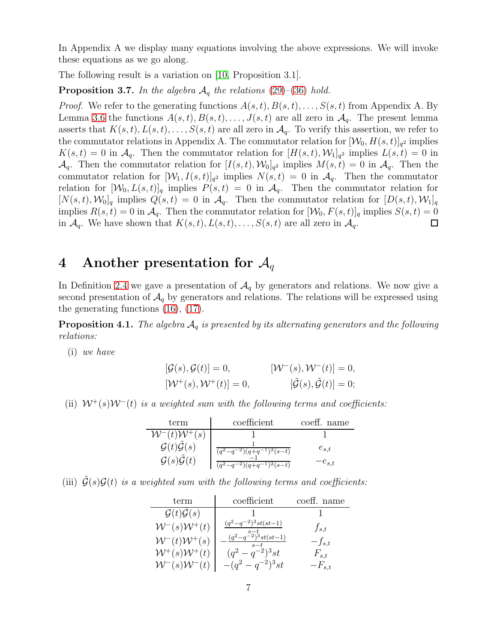In Appendix A we display many equations involving the above expressions. We will invoke these equations as we go along.

The following result is a variation on [\[10,](#page-56-5) Proposition 3.1].

**Proposition 3.7.** In the algebra  $A_q$  the relations [\(29\)](#page-5-0)–[\(36\)](#page-5-1) hold.

*Proof.* We refer to the generating functions  $A(s,t), B(s,t), \ldots, S(s,t)$  from Appendix A. By Lemma [3.6](#page-5-2) the functions  $A(s,t), B(s,t), \ldots, J(s,t)$  are all zero in  $\mathcal{A}_q$ . The present lemma asserts that  $K(s,t), L(s,t), \ldots, S(s,t)$  are all zero in  $\mathcal{A}_q$ . To verify this assertion, we refer to the commutator relations in Appendix A. The commutator relation for  $[\mathcal{W}_0, H(s,t)]_{q^2}$  implies  $K(s,t) = 0$  in  $\mathcal{A}_q$ . Then the commutator relation for  $[H(s,t), \mathcal{W}_1]_{q^2}$  implies  $L(s,t) = 0$  in  $\mathcal{A}_q$ . Then the commutator relation for  $[I(s,t), \mathcal{W}_0]_{q^2}$  implies  $M(s,t) = 0$  in  $\mathcal{A}_q$ . Then the commutator relation for  $[\mathcal{W}_1, I(s,t)]_{q^2}$  implies  $N(s,t) = 0$  in  $\mathcal{A}_q$ . Then the commutator relation for  $[\mathcal{W}_0, L(s,t)]_q$  implies  $P(s,t) = 0$  in  $\mathcal{A}_q$ . Then the commutator relation for  $[N(s,t), \mathcal{W}_0]_q$  implies  $Q(s,t) = 0$  in  $\mathcal{A}_q$ . Then the commutator relation for  $[D(s,t), \mathcal{W}_1]_q$ implies  $R(s,t) = 0$  in  $\mathcal{A}_q$ . Then the commutator relation for  $[\mathcal{W}_0, F(s,t)]_q$  implies  $S(s,t) = 0$ in  $\mathcal{A}_q$ . We have shown that  $K(s, t), L(s, t), \ldots, S(s, t)$  are all zero in  $\mathcal{A}_q$ . □

### 4 Another presentation for  $\mathcal{A}_q$

In Definition [2.4](#page-3-4) we gave a presentation of  $A_q$  by generators and relations. We now give a second presentation of  $\mathcal{A}_{q}$  by generators and relations. The relations will be expressed using the generating functions [\(16\)](#page-4-2), [\(17\)](#page-4-3).

<span id="page-6-0"></span>**Proposition 4.1.** The algebra  $A_q$  is presented by its alternating generators and the following relations:

(i) we have

$$
[\mathcal{G}(s), \mathcal{G}(t)] = 0, \qquad [\mathcal{W}^-(s), \mathcal{W}^-(t)] = 0, [\mathcal{W}^+(s), \mathcal{W}^+(t)] = 0, \qquad [\tilde{\mathcal{G}}(s), \tilde{\mathcal{G}}(t)] = 0;
$$

(ii)  $W^+(s)W^-(t)$  is a weighted sum with the following terms and coefficients:

| term                                   | coefficient                                | coeff. name |
|----------------------------------------|--------------------------------------------|-------------|
| $W^-(t)W^+(s)$                         |                                            |             |
| $\mathcal{G}(t)\tilde{\mathcal{G}}(s)$ | $(q^2-q^{-2})(q+q^{-1})^2(s-t)$            | $e_{s,t}$   |
| $\mathcal{G}(s)\mathcal{G}(t)$         | $(q^2-q^{-2})\overline{(q+q^{-1})^2(s-t)}$ | $-e_{s,t}$  |

(iii)  $\tilde{\mathcal{G}}(s)\mathcal{G}(t)$  is a weighted sum with the following terms and coefficients:

| term                           | coefficient              | coeff. name |
|--------------------------------|--------------------------|-------------|
| $\mathcal{G}(t)\mathcal{G}(s)$ |                          |             |
| $W^-(s)W^+(t)$                 | $(q^2-q^{-2})^3st(st-1)$ | $f_{s,t}$   |
| $W^-(t)W^+(s)$                 | $(q^2-q^{-2})^3st(st-1)$ | $-f_{s,t}$  |
| $W^+(s)W^+(t)$                 | $(q^2-q^{-2})^3st$       | $F_{s,t}$   |
| $W^-(s)W^-(t)$                 | $-(q^2-q^{-2})^3st$      | $-F_{s,t}$  |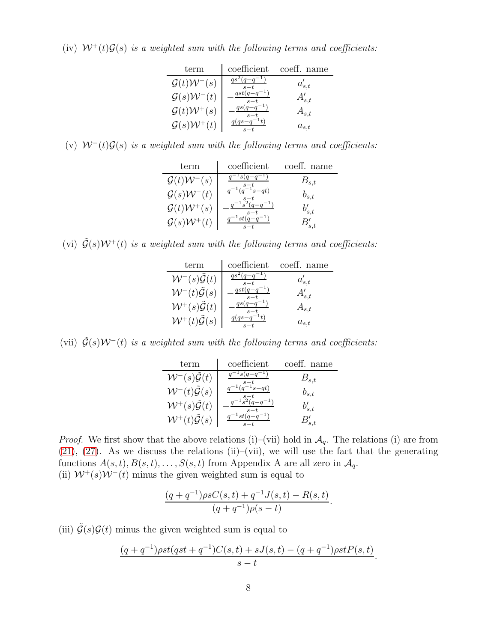(iv)  $W^+(t)\mathcal{G}(s)$  is a weighted sum with the following terms and coefficients:

| term                               | coefficient | coeff. name |
|------------------------------------|-------------|-------------|
| $\mathcal{G}(t)\mathcal{W}^{-}(s)$ |             | $a'_{s,t}$  |
| $\mathcal{G}(s)\mathcal{W}^-(t)$   |             | $A'_{s,t}$  |
| $\mathcal{G}(t)\mathcal{W}^+(s)$   |             | $A_{s,t}$   |
| $\mathcal{G}(s) \mathcal{W}^+$     |             | $a_{s,t}$   |

(v)  $W^-(t)\mathcal{G}(s)$  is a weighted sum with the following terms and coefficients:

| term                                  | coefficient               | coeff. name |
|---------------------------------------|---------------------------|-------------|
| $\mathcal{G}(t)\mathcal{W}^-(s)$      |                           | $B_{s,t}$   |
| $\mathcal{G}(s)\mathcal{W}^-(t)$      |                           | $b_{s,t}$   |
| $\mathcal{G}(t)\mathcal{W}^+(s)$      | $q^{-1} \tilde{s}^2(q-q)$ | $b'_{s,t}$  |
| $\mathcal{G}(s) \mathcal{W}^+$<br>(t) |                           |             |

(vi)  $\tilde{G}(s)W^+(t)$  is a weighted sum with the following terms and coefficients:

| term                                      | coefficient              | coeff. name |
|-------------------------------------------|--------------------------|-------------|
| $W^-(s)\mathcal{G}(t)$                    |                          | $a'_{s,t}$  |
| $W^-(t)\tilde{\mathcal{G}}(s)$            | $qst(q-q^{-1})$<br>$s-t$ | $A'_{s,t}$  |
| $W^+(s)\tilde{\mathcal{G}}(t)$            | $s-t$                    | $A_{s,t}$   |
| $\mathcal{W}^+(t) \tilde{\mathcal{G}}(s)$ |                          | $a_{s,t}$   |

(vii)  $\tilde{G}(s)W^-(t)$  is a weighted sum with the following terms and coefficients:

| term                                      | coefficient                        | coeff. name |
|-------------------------------------------|------------------------------------|-------------|
| $W^-(s)\mathcal{G}(t)$                    |                                    | $B_{s,t}$   |
| $\mathcal{W}^-(t)\tilde{\mathcal{G}}(s)$  |                                    | $b_{s,t}$   |
| $\mathcal{W}^+(s) \tilde{\mathcal{G}}(t)$ | $-\frac{1}{2}g(q-q^{-1})$<br>$s-t$ | $b'_{s,t}$  |
| $\mathcal{W}^+(t) \tilde{\mathcal{G}}(s)$ |                                    |             |

*Proof.* We first show that the above relations (i)–(vii) hold in  $\mathcal{A}_q$ . The relations (i) are from  $(21)$ ,  $(27)$ . As we discuss the relations  $(ii)$ – $(vii)$ , we will use the fact that the generating functions  $A(s, t), B(s, t), \ldots, S(s, t)$  from Appendix A are all zero in  $\mathcal{A}_q$ . (ii)  $W^+(s)W^-(t)$  minus the given weighted sum is equal to

$$
\frac{(q+q^{-1})\rho sC(s,t) + q^{-1}J(s,t) - R(s,t)}{(q+q^{-1})\rho(s-t)}.
$$

(iii)  $\tilde{\mathcal{G}}(s)\mathcal{G}(t)$  minus the given weighted sum is equal to

$$
\frac{(q+q^{-1})\rho st(qst+q^{-1})C(s,t) + sJ(s,t) - (q+q^{-1})\rho stP(s,t)}{s-t}.
$$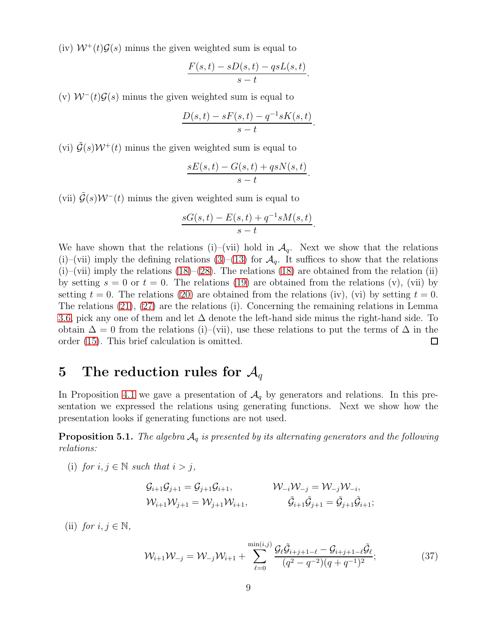(iv)  $W^+(t)\mathcal{G}(s)$  minus the given weighted sum is equal to

$$
\frac{F(s,t) - sD(s,t) - qsL(s,t)}{s-t}.
$$

(v)  $W^-(t)\mathcal{G}(s)$  minus the given weighted sum is equal to

$$
\frac{D(s,t) - sF(s,t) - q^{-1}sK(s,t)}{s-t}.
$$

(vi)  $\tilde{\mathcal{G}}(s)\mathcal{W}^+(t)$  minus the given weighted sum is equal to

$$
\frac{sE(s,t) - G(s,t) + qsN(s,t)}{s-t}.
$$

(vii)  $\tilde{\mathcal{G}}(s)W^-(t)$  minus the given weighted sum is equal to

$$
\frac{sG(s,t) - E(s,t) + q^{-1}sM(s,t)}{s-t}.
$$

We have shown that the relations (i)–(vii) hold in  $\mathcal{A}_q$ . Next we show that the relations (i)–(vii) imply the defining relations [\(3\)](#page-3-0)–[\(13\)](#page-3-1) for  $\mathcal{A}_q$ . It suffices to show that the relations  $(i)$ –(vii) imply the relations [\(18\)](#page-5-5)–[\(28\)](#page-5-6). The relations (18) are obtained from the relation (ii) by setting  $s = 0$  or  $t = 0$ . The relations [\(19\)](#page-5-7) are obtained from the relations (v), (vii) by setting  $t = 0$ . The relations [\(20\)](#page-5-8) are obtained from the relations (iv), (vi) by setting  $t = 0$ . The relations [\(21\)](#page-5-3), [\(27\)](#page-5-4) are the relations (i). Concerning the remaining relations in Lemma [3.6,](#page-5-2) pick any one of them and let  $\Delta$  denote the left-hand side minus the right-hand side. To obtain  $\Delta = 0$  from the relations (i)–(vii), use these relations to put the terms of  $\Delta$  in the order [\(15\)](#page-4-5). This brief calculation is omitted.  $\Box$ 

### 5 The reduction rules for  $\mathcal{A}_q$

In Proposition [4.1](#page-6-0) we gave a presentation of  $\mathcal{A}_q$  by generators and relations. In this presentation we expressed the relations using generating functions. Next we show how the presentation looks if generating functions are not used.

<span id="page-8-1"></span>**Proposition 5.1.** The algebra  $A_q$  is presented by its alternating generators and the following relations:

(i) for  $i, j \in \mathbb{N}$  such that  $i > j$ ,

$$
\begin{aligned} \mathcal{G}_{i+1} \mathcal{G}_{j+1} &= \mathcal{G}_{j+1} \mathcal{G}_{i+1}, & \mathcal{W}_{-i} \mathcal{W}_{-j} &= \mathcal{W}_{-j} \mathcal{W}_{-i}, \\ \mathcal{W}_{i+1} \mathcal{W}_{j+1} &= \mathcal{W}_{j+1} \mathcal{W}_{i+1}, & \tilde{\mathcal{G}}_{i+1} \tilde{\mathcal{G}}_{j+1} &= \tilde{\mathcal{G}}_{j+1} \tilde{\mathcal{G}}_{i+1}; \end{aligned}
$$

(ii) for  $i, j \in \mathbb{N}$ ,

<span id="page-8-0"></span>
$$
\mathcal{W}_{i+1}\mathcal{W}_{-j} = \mathcal{W}_{-j}\mathcal{W}_{i+1} + \sum_{\ell=0}^{\min(i,j)} \frac{\mathcal{G}_{\ell}\tilde{\mathcal{G}}_{i+j+1-\ell} - \mathcal{G}_{i+j+1-\ell}\tilde{\mathcal{G}}_{\ell}}{(q^2 - q^{-2})(q + q^{-1})^2};
$$
\n(37)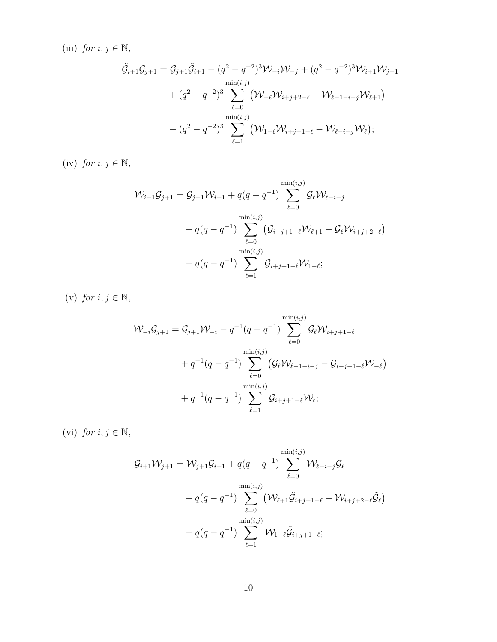(iii) for  $i, j \in \mathbb{N}$ ,

$$
\tilde{\mathcal{G}}_{i+1}\mathcal{G}_{j+1} = \mathcal{G}_{j+1}\tilde{\mathcal{G}}_{i+1} - (q^2 - q^{-2})^3 \mathcal{W}_{-i} \mathcal{W}_{-j} + (q^2 - q^{-2})^3 \mathcal{W}_{i+1} \mathcal{W}_{j+1} \n+ (q^2 - q^{-2})^3 \sum_{\ell=0}^{\min(i,j)} (\mathcal{W}_{-\ell} \mathcal{W}_{i+j+2-\ell} - \mathcal{W}_{\ell-1-i-j} \mathcal{W}_{\ell+1}) \n- (q^2 - q^{-2})^3 \sum_{\ell=1}^{\min(i,j)} (\mathcal{W}_{1-\ell} \mathcal{W}_{i+j+1-\ell} - \mathcal{W}_{\ell-i-j} \mathcal{W}_{\ell});
$$

(iv) for  $i, j \in \mathbb{N}$ ,

$$
\mathcal{W}_{i+1}\mathcal{G}_{j+1} = \mathcal{G}_{j+1}\mathcal{W}_{i+1} + q(q - q^{-1}) \sum_{\ell=0}^{\min(i,j)} \mathcal{G}_{\ell}\mathcal{W}_{\ell-i-j} \n+ q(q - q^{-1}) \sum_{\ell=0}^{\min(i,j)} (\mathcal{G}_{i+j+1-\ell}\mathcal{W}_{\ell+1} - \mathcal{G}_{\ell}\mathcal{W}_{i+j+2-\ell}) \n- q(q - q^{-1}) \sum_{\ell=1}^{\min(i,j)} \mathcal{G}_{i+j+1-\ell}\mathcal{W}_{1-\ell};
$$

(v) for  $i, j \in \mathbb{N}$ ,

$$
\mathcal{W}_{-i}\mathcal{G}_{j+1} = \mathcal{G}_{j+1}\mathcal{W}_{-i} - q^{-1}(q - q^{-1})\sum_{\ell=0}^{\min(i,j)} \mathcal{G}_{\ell}\mathcal{W}_{i+j+1-\ell} \n+ q^{-1}(q - q^{-1})\sum_{\ell=0}^{\min(i,j)} (\mathcal{G}_{\ell}\mathcal{W}_{\ell-1-i-j} - \mathcal{G}_{i+j+1-\ell}\mathcal{W}_{-\ell}) \n+ q^{-1}(q - q^{-1})\sum_{\ell=1}^{\min(i,j)} \mathcal{G}_{i+j+1-\ell}\mathcal{W}_{\ell};
$$

(vi) for  $i, j \in \mathbb{N}$ ,

$$
\tilde{\mathcal{G}}_{i+1}\mathcal{W}_{j+1} = \mathcal{W}_{j+1}\tilde{\mathcal{G}}_{i+1} + q(q - q^{-1}) \sum_{\ell=0}^{\min(i,j)} \mathcal{W}_{\ell-i-j}\tilde{\mathcal{G}}_{\ell} \n+ q(q - q^{-1}) \sum_{\ell=0}^{\min(i,j)} (\mathcal{W}_{\ell+1}\tilde{\mathcal{G}}_{i+j+1-\ell} - \mathcal{W}_{i+j+2-\ell}\tilde{\mathcal{G}}_{\ell}) \n- q(q - q^{-1}) \sum_{\ell=1}^{\min(i,j)} \mathcal{W}_{1-\ell}\tilde{\mathcal{G}}_{i+j+1-\ell};
$$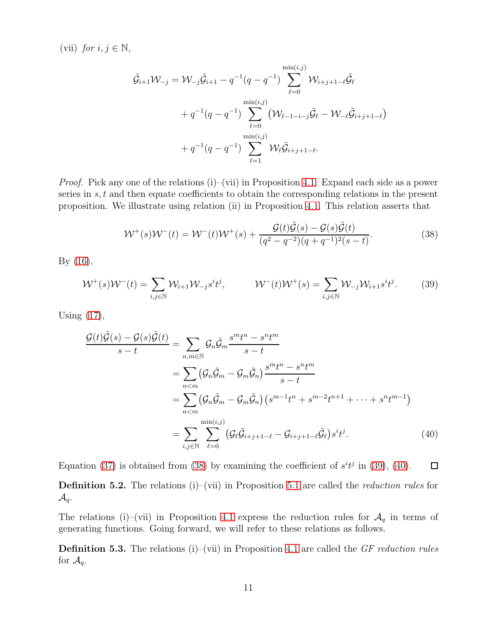(vii) for  $i, j \in \mathbb{N}$ ,

$$
\tilde{\mathcal{G}}_{i+1}\mathcal{W}_{-j} = \mathcal{W}_{-j}\tilde{\mathcal{G}}_{i+1} - q^{-1}(q - q^{-1}) \sum_{\ell=0}^{\min(i,j)} \mathcal{W}_{i+j+1-\ell}\tilde{\mathcal{G}}_{\ell} \n+ q^{-1}(q - q^{-1}) \sum_{\ell=0}^{\min(i,j)} (\mathcal{W}_{\ell-1-i-j}\tilde{\mathcal{G}}_{\ell} - \mathcal{W}_{-\ell}\tilde{\mathcal{G}}_{i+j+1-\ell}) \n+ q^{-1}(q - q^{-1}) \sum_{\ell=1}^{\min(i,j)} \mathcal{W}_{\ell}\tilde{\mathcal{G}}_{i+j+1-\ell}.
$$

*Proof.* Pick any one of the relations  $(i)$ – $(vii)$  in Proposition [4.1.](#page-6-0) Expand each side as a power series in s, t and then equate coefficients to obtain the corresponding relations in the present proposition. We illustrate using relation (ii) in Proposition [4.1.](#page-6-0) This relation asserts that

<span id="page-10-1"></span><span id="page-10-0"></span>
$$
W^{+}(s)W^{-}(t) = W^{-}(t)W^{+}(s) + \frac{\mathcal{G}(t)\tilde{\mathcal{G}}(s) - \mathcal{G}(s)\tilde{\mathcal{G}}(t)}{(q^{2} - q^{-2})(q + q^{-1})^{2}(s - t)}.
$$
\n(38)

By [\(16\)](#page-4-2),

$$
\mathcal{W}^+(s)\mathcal{W}^-(t) = \sum_{i,j \in \mathbb{N}} \mathcal{W}_{i+1}\mathcal{W}_{-j}s^i t^j, \qquad \mathcal{W}^-(t)\mathcal{W}^+(s) = \sum_{i,j \in \mathbb{N}} \mathcal{W}_{-j}\mathcal{W}_{i+1}s^i t^j.
$$
 (39)

Using [\(17\)](#page-4-3),

<span id="page-10-2"></span>
$$
\frac{\mathcal{G}(t)\tilde{\mathcal{G}}(s) - \mathcal{G}(s)\tilde{\mathcal{G}}(t)}{s - t} = \sum_{n,m \in \mathbb{N}} \mathcal{G}_n \tilde{\mathcal{G}}_m \frac{s^m t^n - s^n t^m}{s - t}
$$
\n
$$
= \sum_{n < m} (\mathcal{G}_n \tilde{\mathcal{G}}_m - \mathcal{G}_m \tilde{\mathcal{G}}_n) \frac{s^m t^n - s^n t^m}{s - t}
$$
\n
$$
= \sum_{n < m} (\mathcal{G}_n \tilde{\mathcal{G}}_m - \mathcal{G}_m \tilde{\mathcal{G}}_n) \left( s^{m-1} t^n + s^{m-2} t^{n+1} + \dots + s^n t^{m-1} \right)
$$
\n
$$
= \sum_{i,j \in \mathbb{N}} \sum_{\ell=0}^{\min(i,j)} \left( \mathcal{G}_\ell \tilde{\mathcal{G}}_{i+j+1-\ell} - \mathcal{G}_{i+j+1-\ell} \tilde{\mathcal{G}}_\ell \right) s^i t^j. \tag{40}
$$

Equation [\(37\)](#page-8-0) is obtained from [\(38\)](#page-10-0) by examining the coefficient of  $s^{i}t^{j}$  in [\(39\)](#page-10-1), [\(40\)](#page-10-2).  $\Box$ 

<span id="page-10-3"></span>**Definition 5.2.** The relations (i)–(vii) in Proposition [5.1](#page-8-1) are called the *reduction rules* for  $\mathcal{A}_q$ .

The relations (i)–(vii) in Proposition [4.1](#page-6-0) express the reduction rules for  $\mathcal{A}_q$  in terms of generating functions. Going forward, we will refer to these relations as follows.

**Definition 5.3.** The relations (i)–(vii) in Proposition [4.1](#page-6-0) are called the GF reduction rules for  $\mathcal{A}_q$ .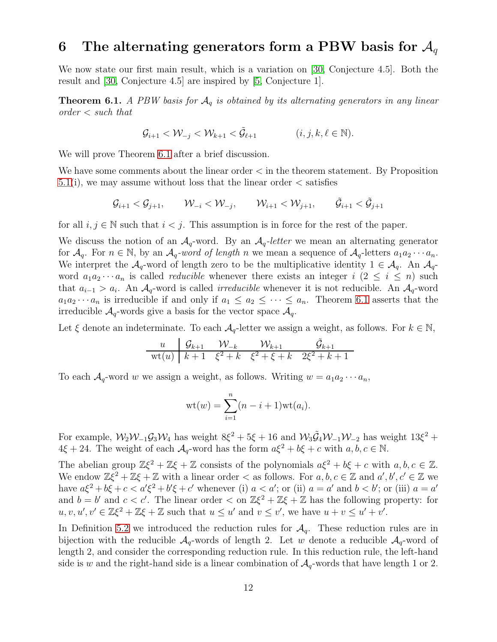### 6 The alternating generators form a PBW basis for  $\mathcal{A}_q$

We now state our first main result, which is a variation on [\[30,](#page-57-10) Conjecture 4.5]. Both the result and [\[30,](#page-57-10) Conjecture 4.5] are inspired by [\[5,](#page-56-10) Conjecture 1].

<span id="page-11-0"></span>**Theorem 6.1.** A PBW basis for  $A_q$  is obtained by its alternating generators in any linear  $order < such$  that

$$
\mathcal{G}_{i+1} < \mathcal{W}_{-j} < \mathcal{W}_{k+1} < \tilde{\mathcal{G}}_{\ell+1} \quad (i,j,k,\ell \in \mathbb{N}).
$$

We will prove Theorem [6.1](#page-11-0) after a brief discussion.

We have some comments about the linear order < in the theorem statement. By Proposition  $5.1(i)$  $5.1(i)$ , we may assume without loss that the linear order  $\lt$  satisfies

$$
\mathcal G_{i+1} < \mathcal G_{j+1}, \qquad \mathcal W_{-i} < \mathcal W_{-j}, \qquad \mathcal W_{i+1} < \mathcal W_{j+1}, \qquad \tilde{\mathcal G}_{i+1} < \tilde{\mathcal G}_{j+1}
$$

for all  $i, j \in \mathbb{N}$  such that  $i < j$ . This assumption is in force for the rest of the paper.

We discuss the notion of an  $A_q$ -word. By an  $A_q$ -letter we mean an alternating generator for  $\mathcal{A}_q$ . For  $n \in \mathbb{N}$ , by an  $\mathcal{A}_q$ -word of length n we mean a sequence of  $\mathcal{A}_q$ -letters  $a_1 a_2 \cdots a_n$ . We interpret the  $A_q$ -word of length zero to be the multiplicative identity  $1 \in A_q$ . An  $A_q$ word  $a_1 a_2 \cdots a_n$  is called *reducible* whenever there exists an integer  $i$  ( $2 \leq i \leq n$ ) such that  $a_{i-1} > a_i$ . An  $\mathcal{A}_q$ -word is called *irreducible* whenever it is not reducible. An  $\mathcal{A}_q$ -word  $a_1a_2\cdots a_n$  is irreducible if and only if  $a_1 \le a_2 \le \cdots \le a_n$ . Theorem [6.1](#page-11-0) asserts that the irreducible  $\mathcal{A}_q$ -words give a basis for the vector space  $\mathcal{A}_q$ .

Let  $\xi$  denote an indeterminate. To each  $\mathcal{A}_{q}$ -letter we assign a weight, as follows. For  $k \in \mathbb{N}$ ,

$$
\begin{array}{c|cc}\n u & \mathcal{G}_{k+1} & \mathcal{W}_{-k} & \mathcal{W}_{k+1} & \tilde{\mathcal{G}}_{k+1} \\
\hline\n \text{wt}(u) & k+1 & \xi^2 + k & \xi^2 + \xi + k & 2\xi^2 + k + 1\n\end{array}
$$

To each  $\mathcal{A}_q$ -word w we assign a weight, as follows. Writing  $w = a_1 a_2 \cdots a_n$ ,

$$
wt(w) = \sum_{i=1}^{n} (n-i+1)wt(a_i).
$$

For example,  $\mathcal{W}_2 \mathcal{W}_{-1} \mathcal{G}_3 \mathcal{W}_4$  has weight  $8\xi^2 + 5\xi + 16$  and  $\mathcal{W}_3 \tilde{\mathcal{G}}_4 \mathcal{W}_{-1} \mathcal{W}_{-2}$  has weight  $13\xi^2 +$  $4\xi + 24$ . The weight of each  $\mathcal{A}_q$ -word has the form  $a\xi^2 + b\xi + c$  with  $a, b, c \in \mathbb{N}$ .

The abelian group  $\mathbb{Z}\xi^2 + \mathbb{Z}\xi + \mathbb{Z}$  consists of the polynomials  $a\xi^2 + b\xi + c$  with  $a, b, c \in \mathbb{Z}$ . We endow  $\mathbb{Z}\xi^2 + \mathbb{Z}\xi + \mathbb{Z}$  with a linear order  $\lt$  as follows. For  $a, b, c \in \mathbb{Z}$  and  $a', b', c' \in \mathbb{Z}$  we have  $a\xi^2 + b\xi + c < a'\xi^2 + b'\xi + c'$  whenever (i)  $a < a'$ ; or (ii)  $a = a'$  and  $b < b'$ ; or (iii)  $a = a'$ and  $b = b'$  and  $c < c'$ . The linear order  $\langle$  on  $\mathbb{Z}\xi^2 + \mathbb{Z}\xi + \mathbb{Z}$  has the following property: for  $u, v, u', v' \in \mathbb{Z}\xi^2 + \mathbb{Z}\xi + \mathbb{Z}$  such that  $u \leq u'$  and  $v \leq v'$ , we have  $u + v \leq u' + v'$ .

In Definition [5.2](#page-10-3) we introduced the reduction rules for  $\mathcal{A}_q$ . These reduction rules are in bijection with the reducible  $A_q$ -words of length 2. Let w denote a reducible  $A_q$ -word of length 2, and consider the corresponding reduction rule. In this reduction rule, the left-hand side is w and the right-hand side is a linear combination of  $A_q$ -words that have length 1 or 2.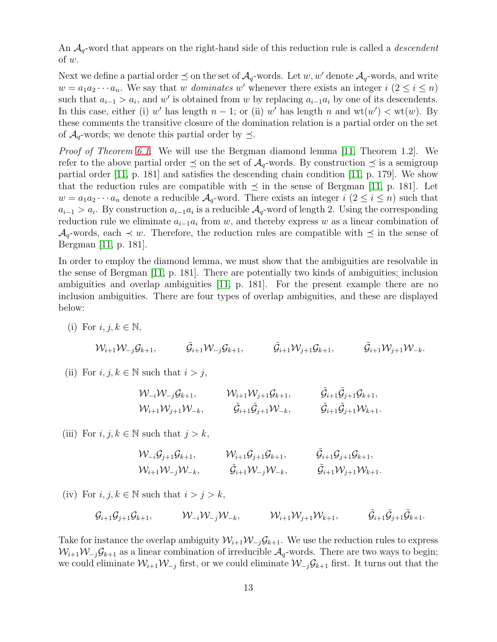An  $A_q$ -word that appears on the right-hand side of this reduction rule is called a *descendent* of w.

Next we define a partial order  $\preceq$  on the set of  $\mathcal{A}_q$ -words. Let w, w' denote  $\mathcal{A}_q$ -words, and write  $w = a_1 a_2 \cdots a_n$ . We say that w *dominates* w' whenever there exists an integer  $i (2 \leq i \leq n)$ such that  $a_{i-1} > a_i$ , and w' is obtained from w by replacing  $a_{i-1}a_i$  by one of its descendents. In this case, either (i) w' has length  $n-1$ ; or (ii) w' has length n and  $wt(w') < wt(w)$ . By these comments the transitive closure of the domination relation is a partial order on the set of  $\mathcal{A}_q$ -words; we denote this partial order by  $\preceq$ .

Proof of Theorem [6.1](#page-11-0). We will use the Bergman diamond lemma [\[11,](#page-56-13) Theorem 1.2]. We refer to the above partial order  $\preceq$  on the set of  $\mathcal{A}_q$ -words. By construction  $\preceq$  is a semigroup partial order [\[11,](#page-56-13) p. 181] and satisfies the descending chain condition [\[11,](#page-56-13) p. 179]. We show that the reduction rules are compatible with  $\preceq$  in the sense of Bergman [\[11,](#page-56-13) p. 181]. Let  $w = a_1 a_2 \cdots a_n$  denote a reducible  $\mathcal{A}_q$ -word. There exists an integer  $i$   $(2 \leq i \leq n)$  such that  $a_{i-1} > a_i$ . By construction  $a_{i-1}a_i$  is a reducible  $\mathcal{A}_q$ -word of length 2. Using the corresponding reduction rule we eliminate  $a_{i-1}a_i$  from w, and thereby express w as a linear combination of  $\mathcal{A}_q$ -words, each  $\prec w$ . Therefore, the reduction rules are compatible with  $\preceq$  in the sense of Bergman [\[11,](#page-56-13) p. 181].

In order to employ the diamond lemma, we must show that the ambiguities are resolvable in the sense of Bergman [\[11,](#page-56-13) p. 181]. There are potentially two kinds of ambiguities; inclusion ambiguities and overlap ambiguities [\[11,](#page-56-13) p. 181]. For the present example there are no inclusion ambiguities. There are four types of overlap ambiguities, and these are displayed below:

(i) For  $i, j, k \in \mathbb{N}$ ,

$$
\mathcal{W}_{i+1}\mathcal{W}_{-j}\mathcal{G}_{k+1}, \hspace{1cm}\tilde{\mathcal{G}}_{i+1}\mathcal{W}_{-j}\mathcal{G}_{k+1}, \hspace{1cm}\tilde{\mathcal{G}}_{i+1}\mathcal{W}_{j+1}\mathcal{G}_{k+1}, \hspace{1cm}\tilde{\mathcal{G}}_{i+1}\mathcal{W}_{j+1}\mathcal{W}_{-k}.
$$

(ii) For  $i, j, k \in \mathbb{N}$  such that  $i > j$ ,

$$
\begin{aligned}\n & \mathcal{W}_{-i} \mathcal{W}_{-j} \mathcal{G}_{k+1}, & & \mathcal{W}_{i+1} \mathcal{W}_{j+1} \mathcal{G}_{k+1}, & & \tilde{\mathcal{G}}_{i+1} \tilde{\mathcal{G}}_{j+1} \mathcal{G}_{k+1}, \\
 & \mathcal{W}_{i+1} \mathcal{W}_{j+1} \mathcal{W}_{-k}, & & \tilde{\mathcal{G}}_{i+1} \tilde{\mathcal{G}}_{j+1} \mathcal{W}_{-k}, & & \tilde{\mathcal{G}}_{i+1} \tilde{\mathcal{G}}_{j+1} \mathcal{W}_{k+1}.\n \end{aligned}
$$

(iii) For  $i, j, k \in \mathbb{N}$  such that  $j > k$ ,

$$
\begin{aligned}\n & \mathcal{W}_{-i} \mathcal{G}_{j+1} \mathcal{G}_{k+1}, & \mathcal{W}_{i+1} \mathcal{G}_{j+1} \mathcal{G}_{k+1}, & \tilde{\mathcal{G}}_{i+1} \mathcal{G}_{j+1} \mathcal{G}_{k+1}, \\
 & \mathcal{W}_{i+1} \mathcal{W}_{-j} \mathcal{W}_{-k}, & \tilde{\mathcal{G}}_{i+1} \mathcal{W}_{-j} \mathcal{W}_{-k}, & \tilde{\mathcal{G}}_{i+1} \mathcal{W}_{j+1} \mathcal{W}_{k+1}.\n \end{aligned}
$$

(iv) For  $i, j, k \in \mathbb{N}$  such that  $i > j > k$ ,

$$
\mathcal{G}_{i+1}\mathcal{G}_{j+1}\mathcal{G}_{k+1}, \qquad \mathcal{W}_{-i}\mathcal{W}_{-j}\mathcal{W}_{-k}, \qquad \mathcal{W}_{i+1}\mathcal{W}_{j+1}\mathcal{W}_{k+1}, \qquad \tilde{\mathcal{G}}_{i+1}\tilde{\mathcal{G}}_{j+1}\tilde{\mathcal{G}}_{k+1}.
$$

Take for instance the overlap ambiguity  $W_{i+1}W_{-i}G_{k+1}$ . We use the reduction rules to express  $W_{i+1}W_{-i}G_{k+1}$  as a linear combination of irreducible  $A_q$ -words. There are two ways to begin; we could eliminate  $W_{i+1}W_{-j}$  first, or we could eliminate  $W_{-j}G_{k+1}$  first. It turns out that the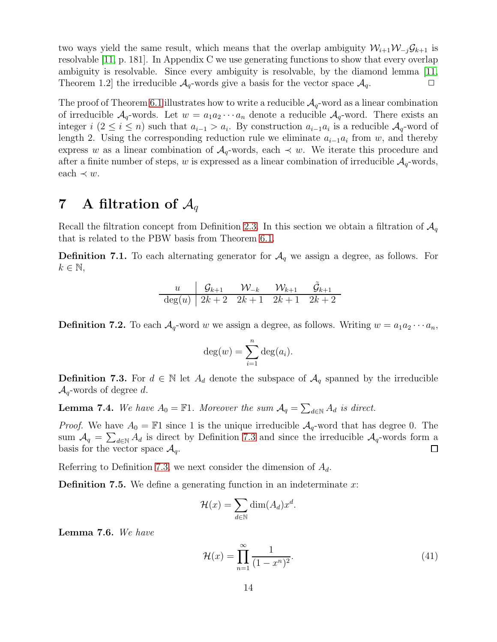two ways yield the same result, which means that the overlap ambiguity  $W_{i+1}W_{-i}G_{k+1}$  is resolvable [\[11,](#page-56-13) p. 181]. In Appendix C we use generating functions to show that every overlap ambiguity is resolvable. Since every ambiguity is resolvable, by the diamond lemma [\[11,](#page-56-13) Theorem 1.2 the irreducible  $\mathcal{A}_q$ -words give a basis for the vector space  $\mathcal{A}_q$ .

The proof of Theorem [6.1](#page-11-0) illustrates how to write a reducible  $A_q$ -word as a linear combination of irreducible  $A_q$ -words. Let  $w = a_1 a_2 \cdots a_n$  denote a reducible  $A_q$ -word. There exists an integer  $i (2 \leq i \leq n)$  such that  $a_{i-1} > a_i$ . By construction  $a_{i-1}a_i$  is a reducible  $\mathcal{A}_q$ -word of length 2. Using the corresponding reduction rule we eliminate  $a_{i-1}a_i$  from w, and thereby express w as a linear combination of  $A_q$ -words, each  $\prec w$ . We iterate this procedure and after a finite number of steps, w is expressed as a linear combination of irreducible  $A_q$ -words, each  $\prec w$ .

### 7 A filtration of  $\mathcal{A}_q$

Recall the filtration concept from Definition [2.3.](#page-3-5) In this section we obtain a filtration of  $\mathcal{A}_q$ that is related to the PBW basis from Theorem [6.1.](#page-11-0)

<span id="page-13-1"></span>**Definition 7.1.** To each alternating generator for  $A<sub>q</sub>$  we assign a degree, as follows. For  $k \in \mathbb{N}$ ,

$$
\begin{array}{c|cc}\n u & \mathcal{G}_{k+1} & \mathcal{W}_{-k} & \mathcal{W}_{k+1} & \tilde{\mathcal{G}}_{k+1} \\
 \hline \n \deg(u) & 2k+2 & 2k+1 & 2k+1 & 2k+2\n \end{array}
$$

<span id="page-13-3"></span>**Definition 7.2.** To each  $\mathcal{A}_q$ -word w we assign a degree, as follows. Writing  $w = a_1 a_2 \cdots a_n$ ,

$$
\deg(w) = \sum_{i=1}^n \deg(a_i).
$$

<span id="page-13-0"></span>**Definition 7.3.** For  $d \in \mathbb{N}$  let  $A_d$  denote the subspace of  $A_q$  spanned by the irreducible  $\mathcal{A}_q$ -words of degree d.

<span id="page-13-2"></span>**Lemma 7.4.** We have  $A_0 = \mathbb{F}1$ . Moreover the sum  $A_q = \sum_{d \in \mathbb{N}} A_d$  is direct.

*Proof.* We have  $A_0 = \mathbb{F}1$  since 1 is the unique irreducible  $A_q$ -word that has degree 0. The sum  $\mathcal{A}_q = \sum_{d \in \mathbb{N}} A_d$  is direct by Definition [7.3](#page-13-0) and since the irreducible  $\mathcal{A}_q$ -words form a basis for the vector space  $\mathcal{A}_q$ .  $\Box$ 

Referring to Definition [7.3,](#page-13-0) we next consider the dimension of  $A_d$ .

<span id="page-13-4"></span>**Definition 7.5.** We define a generating function in an indeterminate  $x$ :

$$
\mathcal{H}(x) = \sum_{d \in \mathbb{N}} \dim(A_d) x^d.
$$

Lemma 7.6. We have

<span id="page-13-5"></span>
$$
\mathcal{H}(x) = \prod_{n=1}^{\infty} \frac{1}{(1 - x^n)^2}.
$$
\n(41)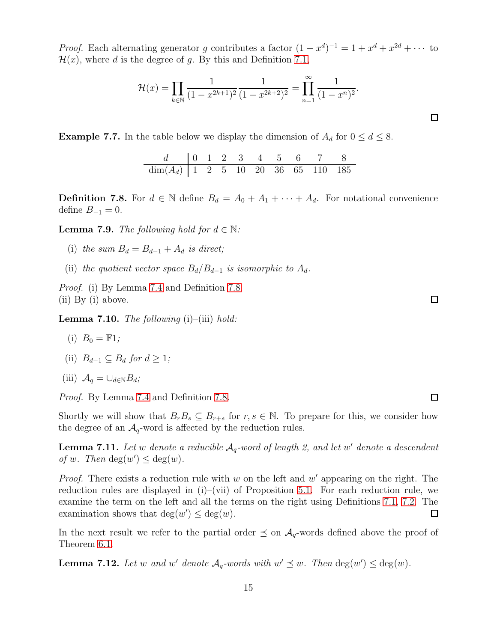*Proof.* Each alternating generator g contributes a factor  $(1 - x^d)^{-1} = 1 + x^d + x^{2d} + \cdots$  to  $\mathcal{H}(x)$ , where d is the degree of g. By this and Definition [7.1,](#page-13-1)

$$
\mathcal{H}(x) = \prod_{k \in \mathbb{N}} \frac{1}{(1 - x^{2k+1})^2} \frac{1}{(1 - x^{2k+2})^2} = \prod_{n=1}^{\infty} \frac{1}{(1 - x^n)^2}.
$$

**Example 7.7.** In the table below we display the dimension of  $A_d$  for  $0 \le d \le 8$ .

$$
\frac{d}{\dim(A_d)} \begin{array}{ccccccccc} 0 & 1 & 2 & 3 & 4 & 5 & 6 & 7 & 8 \\ 1 & 2 & 5 & 10 & 20 & 36 & 65 & 110 & 185 \end{array}
$$

<span id="page-14-0"></span>**Definition 7.8.** For  $d \in \mathbb{N}$  define  $B_d = A_0 + A_1 + \cdots + A_d$ . For notational convenience define  $B_{-1} = 0$ .

<span id="page-14-4"></span>**Lemma 7.9.** The following hold for  $d \in \mathbb{N}$ :

- (i) the sum  $B_d = B_{d-1} + A_d$  is direct;
- (ii) the quotient vector space  $B_d/B_{d-1}$  is isomorphic to  $A_d$ .

Proof. (i) By Lemma [7.4](#page-13-2) and Definition [7.8.](#page-14-0) (ii) By (i) above.

<span id="page-14-3"></span>**Lemma 7.10.** The following  $(i)$ – $(iii)$  hold:

$$
(i) \ \ B_0 = \mathbb{F}1;
$$

(ii)  $B_{d-1} \subseteq B_d$  for  $d \geq 1$ ;

$$
(iii) \ \mathcal{A}_q = \cup_{d \in \mathbb{N}} B_d;
$$

Proof. By Lemma [7.4](#page-13-2) and Definition [7.8.](#page-14-0)

Shortly we will show that  $B_rB_s \subseteq B_{r+s}$  for  $r, s \in \mathbb{N}$ . To prepare for this, we consider how the degree of an  $A_q$ -word is affected by the reduction rules.

<span id="page-14-1"></span>**Lemma 7.11.** Let w denote a reducible  $A_q$ -word of length 2, and let w' denote a descendent of w. Then  $deg(w') \leq deg(w)$ .

*Proof.* There exists a reduction rule with  $w$  on the left and  $w'$  appearing on the right. The reduction rules are displayed in (i)–(vii) of Proposition [5.1.](#page-8-1) For each reduction rule, we examine the term on the left and all the terms on the right using Definitions [7.1,](#page-13-1) [7.2.](#page-13-3) The examination shows that  $deg(w') \leq deg(w)$ .  $\Box$ 

In the next result we refer to the partial order  $\preceq$  on  $\mathcal{A}_q$ -words defined above the proof of Theorem [6.1.](#page-11-0)

<span id="page-14-2"></span>**Lemma 7.12.** Let w and w' denote  $\mathcal{A}_q$ -words with  $w' \preceq w$ . Then  $\deg(w') \leq \deg(w)$ .

 $\Box$ 

 $\Box$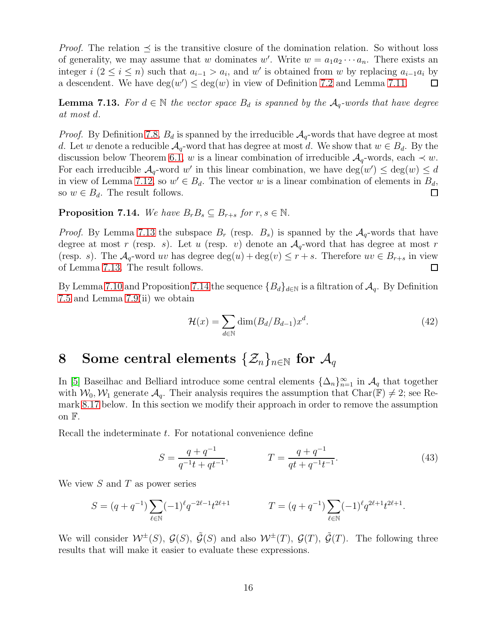*Proof.* The relation  $\preceq$  is the transitive closure of the domination relation. So without loss of generality, we may assume that w dominates w'. Write  $w = a_1 a_2 \cdots a_n$ . There exists an integer  $i$  ( $2 \le i \le n$ ) such that  $a_{i-1} > a_i$ , and w' is obtained from w by replacing  $a_{i-1}a_i$  by a descendent. We have  $deg(w') \leq deg(w)$  in view of Definition [7.2](#page-13-3) and Lemma [7.11.](#page-14-1)  $\Box$ 

<span id="page-15-0"></span>**Lemma 7.13.** For  $d \in \mathbb{N}$  the vector space  $B_d$  is spanned by the  $A_q$ -words that have degree at most d.

*Proof.* By Definition [7.8,](#page-14-0)  $B_d$  is spanned by the irreducible  $A_q$ -words that have degree at most d. Let w denote a reducible  $A_q$ -word that has degree at most d. We show that  $w \in B_d$ . By the discussion below Theorem [6.1,](#page-11-0) w is a linear combination of irreducible  $A_q$ -words, each  $\prec w$ . For each irreducible  $\mathcal{A}_q$ -word w' in this linear combination, we have  $\deg(w') \leq \deg(w) \leq d$ in view of Lemma [7.12,](#page-14-2) so  $w' \in B_d$ . The vector w is a linear combination of elements in  $B_d$ , so  $w \in B_d$ . The result follows.  $\Box$ 

#### <span id="page-15-1"></span>**Proposition 7.14.** We have  $B_rB_s \subseteq B_{r+s}$  for  $r, s \in \mathbb{N}$ .

*Proof.* By Lemma [7.13](#page-15-0) the subspace  $B_r$  (resp.  $B_s$ ) is spanned by the  $A_q$ -words that have degree at most r (resp. s). Let u (resp. v) denote an  $A_q$ -word that has degree at most r (resp. s). The  $\mathcal{A}_q$ -word uv has degree  $\deg(u) + \deg(v) \leq r + s$ . Therefore  $uv \in B_{r+s}$  in view of Lemma [7.13.](#page-15-0) The result follows.  $\Box$ 

By Lemma [7.10](#page-14-3) and Proposition [7.14](#page-15-1) the sequence  ${B_d}_{d\in\mathbb{N}}$  is a filtration of  $\mathcal{A}_q$ . By Definition [7.5](#page-13-4) and Lemma [7.9\(](#page-14-4)ii) we obtain

$$
\mathcal{H}(x) = \sum_{d \in \mathbb{N}} \dim(B_d / B_{d-1}) x^d.
$$
\n(42)

# 8 Some central elements  $\{\mathcal{Z}_n\}_{n\in\mathbb{N}}$  for  $\mathcal{A}_q$

In [\[5\]](#page-56-10) Baseilhac and Belliard introduce some central elements  $\{\Delta_n\}_{n=1}^{\infty}$  in  $\mathcal{A}_q$  that together with  $W_0, W_1$  generate  $\mathcal{A}_q$ . Their analysis requires the assumption that Char( $\mathbb{F}$ )  $\neq$  2; see Remark [8.17](#page-19-0) below. In this section we modify their approach in order to remove the assumption on F.

Recall the indeterminate t. For notational convenience define

$$
S = \frac{q+q^{-1}}{q^{-1}t+qt^{-1}}, \qquad T = \frac{q+q^{-1}}{qt+q^{-1}t^{-1}}.
$$
\n(43)

<span id="page-15-2"></span>.

We view  $S$  and  $T$  as power series

$$
S = (q + q^{-1}) \sum_{\ell \in \mathbb{N}} (-1)^{\ell} q^{-2\ell - 1} t^{2\ell + 1}
$$
  

$$
T = (q + q^{-1}) \sum_{\ell \in \mathbb{N}} (-1)^{\ell} q^{2\ell + 1} t^{2\ell + 1}
$$

We will consider  $W^{\pm}(S)$ ,  $\mathcal{G}(S)$ ,  $\mathcal{G}(S)$  and also  $W^{\pm}(T)$ ,  $\mathcal{G}(T)$ ,  $\mathcal{G}(T)$ . The following three results that will make it easier to evaluate these expressions.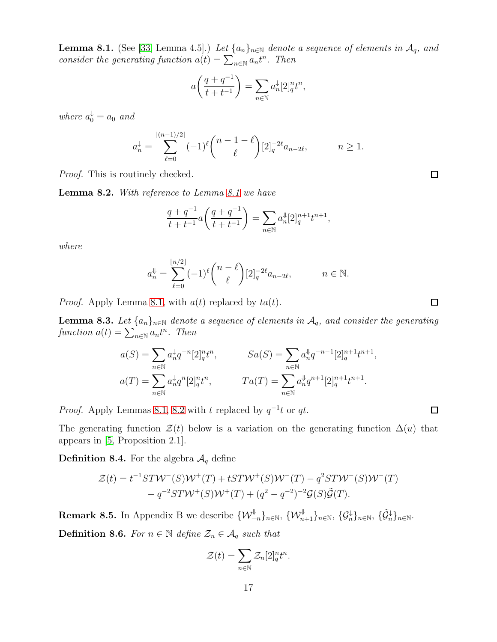<span id="page-16-0"></span>**Lemma 8.1.** (See [\[33,](#page-58-0) Lemma 4.5].) Let  $\{a_n\}_{n\in\mathbb{N}}$  denote a sequence of elements in  $\mathcal{A}_q$ , and consider the generating function  $a(t) = \sum_{n \in \mathbb{N}} a_n t^n$ . Then

$$
a\bigg(\frac{q+q^{-1}}{t+t^{-1}}\bigg)=\sum_{n\in\mathbb{N}}a_n^\downarrow[2]_q^nt^n,
$$

where  $a_0^{\downarrow} = a_0$  and

$$
a_n^{\downarrow} = \sum_{\ell=0}^{\lfloor (n-1)/2 \rfloor} (-1)^{\ell} {n-1-\ell \choose \ell} [2]_q^{-2\ell} a_{n-2\ell}, \qquad n \ge 1.
$$

Proof. This is routinely checked.

<span id="page-16-1"></span>Lemma 8.2. With reference to Lemma [8.1](#page-16-0) we have

$$
\frac{q+q^{-1}}{t+t^{-1}}a\bigg(\frac{q+q^{-1}}{t+t^{-1}}\bigg)=\sum_{n\in\mathbb{N}}a_n^\Downarrow[2]_q^{n+1}t^{n+1},
$$

where

$$
a_n^{\Downarrow} = \sum_{\ell=0}^{\lfloor n/2 \rfloor} (-1)^{\ell} {n - \ell \choose \ell} [2]_q^{-2\ell} a_{n-2\ell}, \qquad n \in \mathbb{N}.
$$

*Proof.* Apply Lemma [8.1,](#page-16-0) with  $a(t)$  replaced by  $ta(t)$ .

<span id="page-16-3"></span>**Lemma 8.3.** Let  $\{a_n\}_{n\in\mathbb{N}}$  denote a sequence of elements in  $\mathcal{A}_q$ , and consider the generating function  $a(t) = \sum_{n \in \mathbb{N}} a_n t^n$ . Then

$$
a(S) = \sum_{n \in \mathbb{N}} a_n^{\downarrow} q^{-n} [2]_q^n t^n, \qquad Sa(S) = \sum_{n \in \mathbb{N}} a_n^{\downarrow} q^{-n-1} [2]_q^{n+1} t^{n+1},
$$

$$
a(T) = \sum_{n \in \mathbb{N}} a_n^{\downarrow} q^n [2]_q^n t^n, \qquad Ta(T) = \sum_{n \in \mathbb{N}} a_n^{\downarrow} q^{n+1} [2]_q^{n+1} t^{n+1}.
$$

*Proof.* Apply Lemmas [8.1,](#page-16-0) [8.2](#page-16-1) with t replaced by  $q^{-1}t$  or qt.

The generating function  $\mathcal{Z}(t)$  below is a variation on the generating function  $\Delta(u)$  that appears in [\[5,](#page-56-10) Proposition 2.1].

<span id="page-16-2"></span>**Definition 8.4.** For the algebra  $\mathcal{A}_q$  define

$$
\mathcal{Z}(t) = t^{-1}ST\mathcal{W}^-(S)\mathcal{W}^+(T) + tST\mathcal{W}^+(S)\mathcal{W}^-(T) - q^2ST\mathcal{W}^-(S)\mathcal{W}^-(T) - q^{-2}ST\mathcal{W}^+(S)\mathcal{W}^+(T) + (q^2 - q^{-2})^{-2}\mathcal{G}(S)\tilde{\mathcal{G}}(T).
$$

Remark 8.5. In Appendix B we describe  $\{\mathcal{W}_{-n}^{\Downarrow}\}_{n\in\mathbb{N}}, \,\{\mathcal{W}_{n+1}^{\Downarrow}\}_{n\in\mathbb{N}}, \,\{\mathcal{G}_{n}^{\downarrow}\}_{n\in\mathbb{N}}, \,\{\tilde{\mathcal{G}}_{n}^{\downarrow}\}_{n\in\mathbb{N}}$ . **Definition 8.6.** For  $n \in \mathbb{N}$  define  $\mathcal{Z}_n \in \mathcal{A}_q$  such that

$$
\mathcal{Z}(t) = \sum_{n \in \mathbb{N}} \mathcal{Z}_n[2]_q^n t^n.
$$

 $\Box$ 

 $\Box$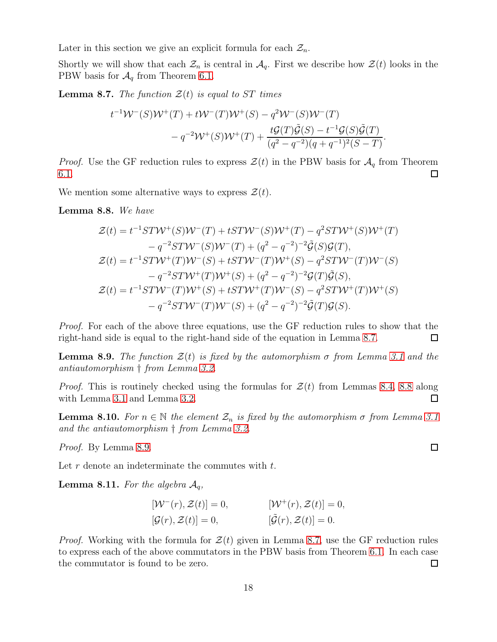Later in this section we give an explicit formula for each  $\mathcal{Z}_n$ .

Shortly we will show that each  $\mathcal{Z}_n$  is central in  $\mathcal{A}_q$ . First we describe how  $\mathcal{Z}(t)$  looks in the PBW basis for  $\mathcal{A}_q$  from Theorem [6.1.](#page-11-0)

<span id="page-17-0"></span>**Lemma 8.7.** The function  $\mathcal{Z}(t)$  is equal to ST times

$$
t^{-1}W^{-}(S)W^{+}(T) + tW^{-}(T)W^{+}(S) - q^{2}W^{-}(S)W^{-}(T)
$$
  

$$
-q^{-2}W^{+}(S)W^{+}(T) + \frac{t\mathcal{G}(T)\tilde{\mathcal{G}}(S) - t^{-1}\mathcal{G}(S)\tilde{\mathcal{G}}(T)}{(q^{2} - q^{-2})(q + q^{-1})^{2}(S - T)}.
$$

*Proof.* Use the GF reduction rules to express  $\mathcal{Z}(t)$  in the PBW basis for  $\mathcal{A}_q$  from Theorem [6.1.](#page-11-0) □

We mention some alternative ways to express  $\mathcal{Z}(t)$ .

<span id="page-17-1"></span>Lemma 8.8. We have

$$
\mathcal{Z}(t) = t^{-1}ST\mathcal{W}^+(S)\mathcal{W}^-(T) + tST\mathcal{W}^-(S)\mathcal{W}^+(T) - q^2ST\mathcal{W}^+(S)\mathcal{W}^+(T) \n- q^{-2}ST\mathcal{W}^-(S)\mathcal{W}^-(T) + (q^2 - q^{-2})^{-2}\tilde{\mathcal{G}}(S)\mathcal{G}(T), \n\mathcal{Z}(t) = t^{-1}ST\mathcal{W}^+(T)\mathcal{W}^-(S) + tST\mathcal{W}^-(T)\mathcal{W}^+(S) - q^2ST\mathcal{W}^-(T)\mathcal{W}^-(S) \n- q^{-2}ST\mathcal{W}^+(T)\mathcal{W}^+(S) + (q^2 - q^{-2})^{-2}\mathcal{G}(T)\tilde{\mathcal{G}}(S), \n\mathcal{Z}(t) = t^{-1}ST\mathcal{W}^-(T)\mathcal{W}^+(S) + tST\mathcal{W}^+(T)\mathcal{W}^-(S) - q^2ST\mathcal{W}^+(T)\mathcal{W}^+(S) \n- q^{-2}ST\mathcal{W}^-(T)\mathcal{W}^-(S) + (q^2 - q^{-2})^{-2}\tilde{\mathcal{G}}(T)\mathcal{G}(S).
$$

Proof. For each of the above three equations, use the GF reduction rules to show that the right-hand side is equal to the right-hand side of the equation in Lemma [8.7.](#page-17-0)  $\Box$ 

<span id="page-17-2"></span>**Lemma 8.9.** The function  $\mathcal{Z}(t)$  is fixed by the automorphism  $\sigma$  from Lemma [3.1](#page-4-0) and the antiautomorphism † from Lemma [3.2.](#page-4-1)

*Proof.* This is routinely checked using the formulas for  $\mathcal{Z}(t)$  from Lemmas [8.4,](#page-16-2) [8.8](#page-17-1) along with Lemma [3.1](#page-4-0) and Lemma [3.2.](#page-4-1)  $\Box$ 

**Lemma 8.10.** For  $n \in \mathbb{N}$  the element  $\mathcal{Z}_n$  is fixed by the automorphism  $\sigma$  from Lemma [3.1](#page-4-0) and the antiautomorphism † from Lemma [3.2.](#page-4-1)

Proof. By Lemma [8.9.](#page-17-2)

Let  $r$  denote an indeterminate the commutes with  $t$ .

<span id="page-17-3"></span>**Lemma 8.11.** For the algebra  $A_q$ ,

$$
[\mathcal{W}^-(r), \mathcal{Z}(t)] = 0, \qquad [\mathcal{W}^+(r), \mathcal{Z}(t)] = 0, [\mathcal{G}(r), \mathcal{Z}(t)] = 0, \qquad [\mathcal{\tilde{G}}(r), \mathcal{Z}(t)] = 0.
$$

*Proof.* Working with the formula for  $\mathcal{Z}(t)$  given in Lemma [8.7,](#page-17-0) use the GF reduction rules to express each of the above commutators in the PBW basis from Theorem [6.1.](#page-11-0) In each case the commutator is found to be zero.  $\Box$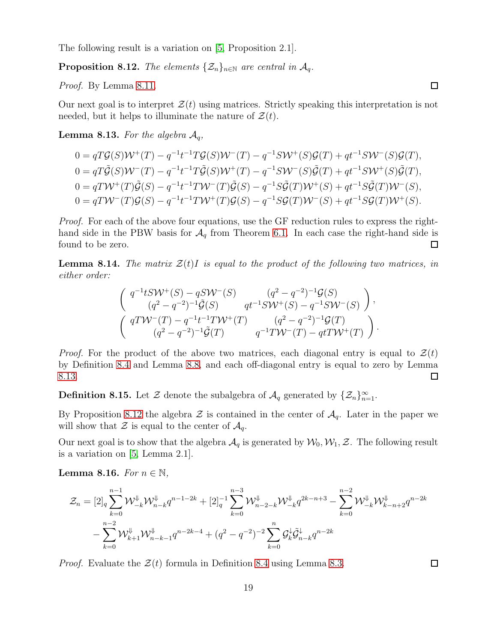The following result is a variation on [\[5,](#page-56-10) Proposition 2.1].

<span id="page-18-1"></span>**Proposition 8.12.** The elements  $\{\mathcal{Z}_n\}_{n\in\mathbb{N}}$  are central in  $\mathcal{A}_q$ .

Proof. By Lemma [8.11.](#page-17-3)

Our next goal is to interpret  $\mathcal{Z}(t)$  using matrices. Strictly speaking this interpretation is not needed, but it helps to illuminate the nature of  $\mathcal{Z}(t)$ .

<span id="page-18-0"></span>**Lemma 8.13.** For the algebra  $A_q$ ,

$$
0 = qT\mathcal{G}(S)\mathcal{W}^+(T) - q^{-1}t^{-1}T\mathcal{G}(S)\mathcal{W}^-(T) - q^{-1}S\mathcal{W}^+(S)\mathcal{G}(T) + qt^{-1}S\mathcal{W}^-(S)\mathcal{G}(T),
$$
  
\n
$$
0 = qT\tilde{\mathcal{G}}(S)\mathcal{W}^-(T) - q^{-1}t^{-1}T\tilde{\mathcal{G}}(S)\mathcal{W}^+(T) - q^{-1}S\mathcal{W}^-(S)\tilde{\mathcal{G}}(T) + qt^{-1}S\mathcal{W}^+(S)\tilde{\mathcal{G}}(T),
$$
  
\n
$$
0 = qT\mathcal{W}^+(T)\tilde{\mathcal{G}}(S) - q^{-1}t^{-1}T\mathcal{W}^-(T)\tilde{\mathcal{G}}(S) - q^{-1}S\tilde{\mathcal{G}}(T)\mathcal{W}^+(S) + qt^{-1}S\tilde{\mathcal{G}}(T)\mathcal{W}^-(S),
$$
  
\n
$$
0 = qT\mathcal{W}^-(T)\mathcal{G}(S) - q^{-1}t^{-1}T\mathcal{W}^+(T)\mathcal{G}(S) - q^{-1}S\mathcal{G}(T)\mathcal{W}^-(S) + qt^{-1}S\mathcal{G}(T)\mathcal{W}^+(S).
$$

Proof. For each of the above four equations, use the GF reduction rules to express the righthand side in the PBW basis for  $A_q$  from Theorem [6.1.](#page-11-0) In each case the right-hand side is  $\Box$ found to be zero.

**Lemma 8.14.** The matrix  $\mathcal{Z}(t)I$  is equal to the product of the following two matrices, in either order:

$$
\begin{pmatrix}\n q^{-1}tS \mathcal{W}^{+}(S) - qS \mathcal{W}^{-}(S) & (q^{2} - q^{-2})^{-1} \mathcal{G}(S) \\
 (q^{2} - q^{-2})^{-1} \tilde{\mathcal{G}}(S) & qt^{-1} S \mathcal{W}^{+}(S) - q^{-1} S \mathcal{W}^{-}(S)\n \end{pmatrix},
$$
\n
$$
\begin{pmatrix}\n qT \mathcal{W}^{-}(T) - q^{-1}t^{-1}T \mathcal{W}^{+}(T) & (q^{2} - q^{-2})^{-1} \mathcal{G}(T) \\
 (q^{2} - q^{-2})^{-1} \tilde{\mathcal{G}}(T) & q^{-1}T \mathcal{W}^{-}(T) - qtT \mathcal{W}^{+}(T)\n \end{pmatrix}.
$$

*Proof.* For the product of the above two matrices, each diagonal entry is equal to  $\mathcal{Z}(t)$ by Definition [8.4](#page-16-2) and Lemma [8.8,](#page-17-1) and each off-diagonal entry is equal to zero by Lemma [8.13.](#page-18-0)  $\Box$ 

<span id="page-18-3"></span>**Definition 8.15.** Let  $\mathcal{Z}$  denote the subalgebra of  $\mathcal{A}_q$  generated by  $\{\mathcal{Z}_n\}_{n=1}^{\infty}$ .

By Proposition [8.12](#page-18-1) the algebra  $\mathcal Z$  is contained in the center of  $\mathcal A_q$ . Later in the paper we will show that  $\mathcal Z$  is equal to the center of  $\mathcal A_q$ .

Our next goal is to show that the algebra  $\mathcal{A}_q$  is generated by  $\mathcal{W}_0, \mathcal{W}_1, \mathcal{Z}$ . The following result is a variation on [\[5,](#page-56-10) Lemma 2.1].

<span id="page-18-2"></span>Lemma 8.16. For  $n \in \mathbb{N}$ ,

$$
\mathcal{Z}_n = [2]_q \sum_{k=0}^{n-1} \mathcal{W}_{-k}^{\psi} \mathcal{W}_{n-k}^{\psi} q^{n-1-2k} + [2]_q^{-1} \sum_{k=0}^{n-3} \mathcal{W}_{n-2-k}^{\psi} \mathcal{W}_{-k}^{\psi} q^{2k-n+3} - \sum_{k=0}^{n-2} \mathcal{W}_{-k}^{\psi} \mathcal{W}_{k-n+2}^{\psi} q^{n-2k} - \sum_{k=0}^{n-2} \mathcal{W}_{k+1}^{\psi} \mathcal{W}_{n-k-1}^{\psi} q^{n-2k-4} + (q^2 - q^{-2})^{-2} \sum_{k=0}^{n} \mathcal{G}_k^{\psi} \tilde{\mathcal{G}}_{n-k}^{\psi} q^{n-2k}
$$

*Proof.* Evaluate the  $\mathcal{Z}(t)$  formula in Definition [8.4](#page-16-2) using Lemma [8.3.](#page-16-3)

 $\Box$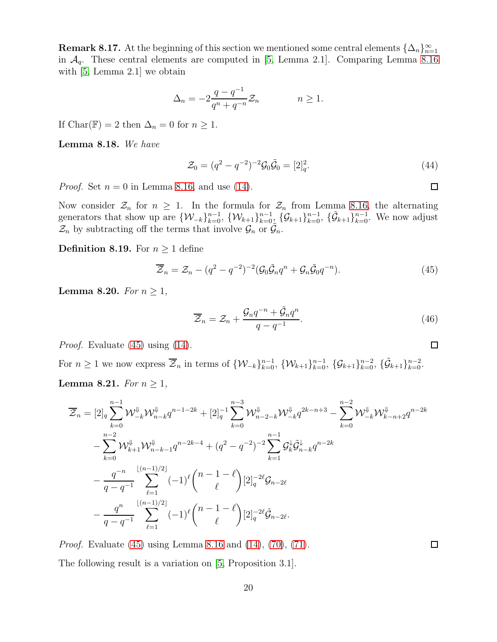<span id="page-19-0"></span>**Remark 8.17.** At the beginning of this section we mentioned some central elements  $\{\Delta_n\}_{n=1}^{\infty}$ in  $\mathcal{A}_q$ . These central elements are computed in [\[5,](#page-56-10) Lemma 2.1]. Comparing Lemma [8.16](#page-18-2) with [\[5,](#page-56-10) Lemma 2.1] we obtain

$$
\Delta_n = -2\frac{q - q^{-1}}{q^n + q^{-n}} \mathcal{Z}_n \qquad n \ge 1.
$$

If Char( $\mathbb{F}$ ) = 2 then  $\Delta_n = 0$  for  $n \geq 1$ .

<span id="page-19-4"></span>Lemma 8.18. We have

$$
\mathcal{Z}_0 = (q^2 - q^{-2})^{-2} \mathcal{G}_0 \tilde{\mathcal{G}}_0 = [2]_q^2.
$$
\n(44)

*Proof.* Set  $n = 0$  in Lemma [8.16,](#page-18-2) and use [\(14\)](#page-3-6).

Now consider  $\mathcal{Z}_n$  for  $n \geq 1$ . In the formula for  $\mathcal{Z}_n$  from Lemma [8.16,](#page-18-2) the alternating generators that show up are  $\{W_{-k}\}_{k=0}^{n-1}$ ,  $\{W_{k+1}\}_{k=0}^{n-1}$ ,  $\{\mathcal{G}_{k+1}\}_{k=0}^{n-1}$ ,  $\{\tilde{\mathcal{G}}_{k+1}\}_{k=0}^{n-1}$ . We now adjust  $\mathcal{Z}_n$  by subtracting off the terms that involve  $\mathcal{G}_n$  or  $\widetilde{\mathcal{G}}_n$ .

**Definition 8.19.** For  $n \geq 1$  define

$$
\overline{\mathcal{Z}}_n = \mathcal{Z}_n - (q^2 - q^{-2})^{-2} (\mathcal{G}_0 \tilde{\mathcal{G}}_n q^n + \mathcal{G}_n \tilde{\mathcal{G}}_0 q^{-n}). \tag{45}
$$

<span id="page-19-5"></span>Lemma 8.20. For  $n \geq 1$ ,

$$
\overline{\mathcal{Z}}_n = \mathcal{Z}_n + \frac{\mathcal{G}_n q^{-n} + \tilde{\mathcal{G}}_n q^n}{q - q^{-1}}.
$$
\n(46)

Proof. Evaluate [\(45\)](#page-19-1) using [\(14\)](#page-3-6).

<span id="page-19-3"></span>For *n* ≥ 1 we now express  $\overline{Z}_n$  in terms of  $\{W_{-k}\}_{k=0}^{n-1}$ ,  $\{W_{k+1}\}_{k=0}^{n-1}$ ,  $\{G_{k+1}\}_{k=0}^{n-2}$ ,  $\{\tilde{G}_{k+1}\}_{k=0}^{n-2}$ . **Lemma 8.21.** For  $n \geq 1$ ,

$$
\overline{\mathcal{Z}}_{n} = [2]_{q} \sum_{k=0}^{n-1} \mathcal{W}_{-k}^{\Downarrow} \mathcal{W}_{n-k}^{\Downarrow} q^{n-1-2k} + [2]_{q}^{-1} \sum_{k=0}^{n-3} \mathcal{W}_{n-2-k}^{\Downarrow} \mathcal{W}_{-k}^{\Downarrow} q^{2k-n+3} - \sum_{k=0}^{n-2} \mathcal{W}_{-k}^{\Downarrow} \mathcal{W}_{k-n+2}^{\Downarrow} q^{n-2k} \n- \sum_{k=0}^{n-2} \mathcal{W}_{k+1}^{\Downarrow} \mathcal{W}_{n-k-1}^{\Downarrow} q^{n-2k-4} + (q^{2} - q^{-2})^{-2} \sum_{k=1}^{n-1} \mathcal{G}_{k}^{\Downarrow} \tilde{\mathcal{G}}_{n-k}^{\Downarrow} q^{n-2k} \n- \frac{q^{-n}}{q - q^{-1}} \sum_{\ell=1}^{\lfloor (n-1)/2 \rfloor} (-1)^{\ell} {n-1-\ell \choose \ell} [2]_{q}^{-2\ell} \mathcal{G}_{n-2\ell} \n- \frac{q^{n}}{q - q^{-1}} \sum_{\ell=1}^{\lfloor (n-1)/2 \rfloor} (-1)^{\ell} {n-1-\ell \choose \ell} [2]_{q}^{-2\ell} \tilde{\mathcal{G}}_{n-2\ell}.
$$

Proof. Evaluate [\(45\)](#page-19-1) using Lemma [8.16](#page-18-2) and [\(14\)](#page-3-6), [\(70\)](#page-33-0), [\(71\)](#page-33-1). The following result is a variation on [\[5,](#page-56-10) Proposition 3.1].

<span id="page-19-2"></span> $\Box$ 

<span id="page-19-1"></span> $\Box$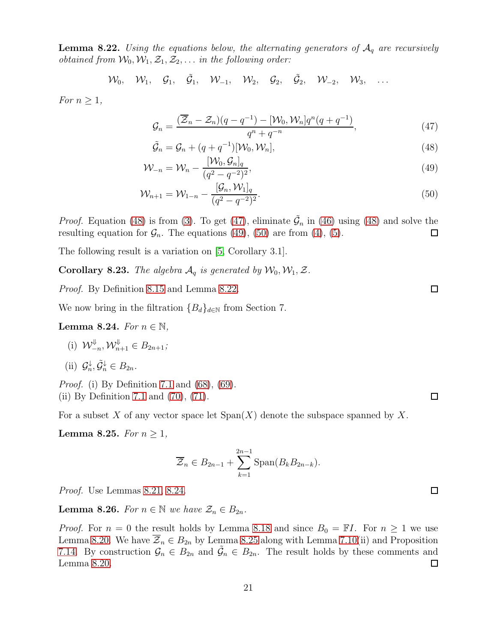<span id="page-20-4"></span>**Lemma 8.22.** Using the equations below, the alternating generators of  $A<sub>q</sub>$  are recursively *obtained from*  $W_0, W_1, Z_1, Z_2, \ldots$  *in the following order:* 

$$
\mathcal{W}_0, \quad \mathcal{W}_1, \quad \mathcal{G}_1, \quad \tilde{\mathcal{G}}_1, \quad \mathcal{W}_{-1}, \quad \mathcal{W}_2, \quad \mathcal{G}_2, \quad \tilde{\mathcal{G}}_2, \quad \mathcal{W}_{-2}, \quad \mathcal{W}_3, \quad \ldots
$$

For  $n \geq 1$ ,

<span id="page-20-1"></span>
$$
\mathcal{G}_n = \frac{(\overline{\mathcal{Z}}_n - \mathcal{Z}_n)(q - q^{-1}) - [\mathcal{W}_0, \mathcal{W}_n]q^n(q + q^{-1})}{q^n + q^{-n}},\tag{47}
$$

$$
\tilde{\mathcal{G}}_n = \mathcal{G}_n + (q + q^{-1})[\mathcal{W}_0, \mathcal{W}_n],\tag{48}
$$

$$
\mathcal{W}_{-n} = \mathcal{W}_n - \frac{[\mathcal{W}_0, \mathcal{G}_n]_q}{(q^2 - q^{-2})^2},\tag{49}
$$

$$
\mathcal{W}_{n+1} = \mathcal{W}_{1-n} - \frac{[\mathcal{G}_n, \mathcal{W}_1]_q}{(q^2 - q^{-2})^2}.
$$
\n(50)

*Proof.* Equation [\(48\)](#page-20-0) is from [\(3\)](#page-3-0). To get [\(47\)](#page-20-1), eliminate  $\tilde{G}_n$  in [\(46\)](#page-19-2) using (48) and solve the resulting equation for  $\mathcal{G}_n$ . The equations [\(49\)](#page-20-2), [\(50\)](#page-20-3) are from [\(4\)](#page-3-7), [\(5\)](#page-3-8).  $\Box$ 

The following result is a variation on [\[5,](#page-56-10) Corollary 3.1].

<span id="page-20-8"></span>**Corollary 8.23.** The algebra  $A_q$  is generated by  $W_0, W_1, Z$ .

Proof. By Definition [8.15](#page-18-3) and Lemma [8.22.](#page-20-4)

We now bring in the filtration  ${B_d}_{d\in\mathbb{N}}$  from Section 7.

<span id="page-20-5"></span>**Lemma 8.24.** For  $n \in \mathbb{N}$ ,

(i) 
$$
\mathcal{W}_{-n}^{\Downarrow}, \mathcal{W}_{n+1}^{\Downarrow} \in B_{2n+1};
$$

(ii) 
$$
\mathcal{G}_n^{\downarrow}, \tilde{\mathcal{G}}_n^{\downarrow} \in B_{2n}.
$$

Proof. (i) By Definition [7.1](#page-13-1) and [\(68\)](#page-33-2), [\(69\)](#page-33-3). (ii) By Definition [7.1](#page-13-1) and [\(70\)](#page-33-0), [\(71\)](#page-33-1).

For a subset X of any vector space let  $\text{Span}(X)$  denote the subspace spanned by X.

<span id="page-20-6"></span>Lemma 8.25. For  $n \geq 1$ ,

$$
\overline{\mathcal{Z}}_n \in B_{2n-1} + \sum_{k=1}^{2n-1} \text{Span}(B_k B_{2n-k}).
$$

Proof. Use Lemmas [8.21,](#page-19-3) [8.24.](#page-20-5)

<span id="page-20-7"></span>**Lemma 8.26.** For  $n \in \mathbb{N}$  we have  $\mathcal{Z}_n \in B_{2n}$ .

*Proof.* For  $n = 0$  the result holds by Lemma [8.18](#page-19-4) and since  $B_0 = \mathbb{F}I$ . For  $n \ge 1$  we use Lemma [8.20.](#page-19-5) We have  $\overline{Z}_n \in B_{2n}$  by Lemma [8.25](#page-20-6) along with Lemma [7.10\(](#page-14-3)ii) and Proposition [7.14.](#page-15-1) By construction  $\mathcal{G}_n \in B_{2n}$  and  $\tilde{\mathcal{G}}_n \in B_{2n}$ . The result holds by these comments and Lemma [8.20.](#page-19-5)  $\Box$ 

 $\Box$ 

<span id="page-20-3"></span><span id="page-20-2"></span><span id="page-20-0"></span> $\square$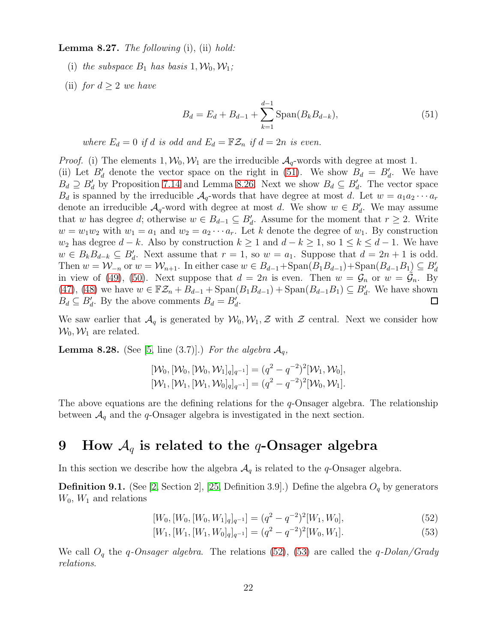<span id="page-21-5"></span>**Lemma 8.27.** The following  $(i)$ ,  $(ii)$  hold:

- (i) the subspace  $B_1$  has basis  $1, \mathcal{W}_0, \mathcal{W}_1$ ;
- (ii) for  $d \geq 2$  we have

<span id="page-21-1"></span>
$$
B_d = E_d + B_{d-1} + \sum_{k=1}^{d-1} \text{Span}(B_k B_{d-k}),\tag{51}
$$

where  $E_d = 0$  if d is odd and  $E_d = \mathbb{FZ}_n$  if  $d = 2n$  is even.

*Proof.* (i) The elements  $1, W_0, W_1$  are the irreducible  $A_q$ -words with degree at most 1. (ii) Let  $B'_d$  denote the vector space on the right in [\(51\)](#page-21-1). We show  $B_d = B'_d$ . We have  $B_d \supseteq B'_d$  by Proposition [7.14](#page-15-1) and Lemma [8.26.](#page-20-7) Next we show  $B_d \subseteq B'_d$ . The vector space  $B_d$  is spanned by the irreducible  $A_q$ -words that have degree at most d. Let  $w = a_1 a_2 \cdots a_r$ denote an irreducible  $A_q$ -word with degree at most d. We show  $w \in B'_d$ . We may assume that w has degree d; otherwise  $w \in B_{d-1} \subseteq B'_d$ . Assume for the moment that  $r \geq 2$ . Write  $w = w_1w_2$  with  $w_1 = a_1$  and  $w_2 = a_2 \cdots a_r$ . Let k denote the degree of  $w_1$ . By construction  $w_2$  has degree  $d - k$ . Also by construction  $k \ge 1$  and  $d - k \ge 1$ , so  $1 \le k \le d - 1$ . We have  $w \in B_k B_{d-k} \subseteq B'_d$ . Next assume that  $r = 1$ , so  $w = a_1$ . Suppose that  $d = 2n + 1$  is odd. Then  $w = \mathcal{W}_{-n}$  or  $w = \mathcal{W}_{n+1}$ . In either case  $w \in B_{d-1} + \text{Span}(B_1 B_{d-1}) + \text{Span}(B_{d-1} B_1) \subseteq B'_d$ in view of [\(49\)](#page-20-2), [\(50\)](#page-20-3). Next suppose that  $d = 2n$  is even. Then  $w = \mathcal{G}_n$  or  $w = \tilde{\mathcal{G}}_n$ . By [\(47\)](#page-20-1), [\(48\)](#page-20-0) we have  $w \in \mathbb{FZ}_n + B_{d-1} + \text{Span}(B_1B_{d-1}) + \text{Span}(B_{d-1}B_1) \subseteq B'_d$ . We have shown  $B_d \subseteq B'_d$ . By the above comments  $B_d = B'_d$ .  $\Box$ 

We saw earlier that  $\mathcal{A}_q$  is generated by  $\mathcal{W}_0, \mathcal{W}_1, \mathcal{Z}$  with  $\mathcal{Z}$  central. Next we consider how  $\mathcal{W}_0, \mathcal{W}_1$  are related.

<span id="page-21-4"></span>**Lemma 8.28.** (See [\[5,](#page-56-10) line (3.7)].) For the algebra  $\mathcal{A}_q$ ,

$$
[\mathcal{W}_0, [\mathcal{W}_0, [\mathcal{W}_0, \mathcal{W}_1]_q]_{q^{-1}}] = (q^2 - q^{-2})^2 [\mathcal{W}_1, \mathcal{W}_0], [\mathcal{W}_1, [\mathcal{W}_1, [\mathcal{W}_1, \mathcal{W}_0]_q]_{q^{-1}}] = (q^2 - q^{-2})^2 [\mathcal{W}_0, \mathcal{W}_1].
$$

The above equations are the defining relations for the  $q$ -Onsager algebra. The relationship between  $A_q$  and the q-Onsager algebra is investigated in the next section.

### 9 How  $A_q$  is related to the q-Onsager algebra

In this section we describe how the algebra  $\mathcal{A}_q$  is related to the q-Onsager algebra.

<span id="page-21-0"></span>**Definition 9.1.** (See [\[2,](#page-56-0) Section 2], [\[25,](#page-57-0) Definition 3.9].) Define the algebra  $O_q$  by generators  $W_0$ ,  $W_1$  and relations

$$
[W_0, [W_0, [W_0, W_1]_q]_{q^{-1}}] = (q^2 - q^{-2})^2 [W_1, W_0],
$$
\n(52)

<span id="page-21-3"></span><span id="page-21-2"></span>
$$
[W_1, [W_1, [W_1, W_0]_q]_{q^{-1}}] = (q^2 - q^{-2})^2 [W_0, W_1].
$$
\n(53)

We call  $O_q$  the q-Onsager algebra. The relations [\(52\)](#page-21-2), [\(53\)](#page-21-3) are called the q-Dolan/Grady relations.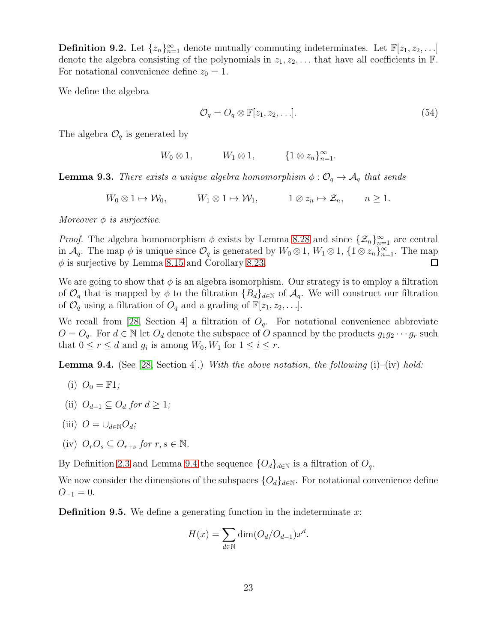**Definition 9.2.** Let  $\{z_n\}_{n=1}^{\infty}$  denote mutually commuting indeterminates. Let  $\mathbb{F}[z_1, z_2, \ldots]$ denote the algebra consisting of the polynomials in  $z_1, z_2, \ldots$  that have all coefficients in  $\mathbb{F}$ . For notational convenience define  $z_0 = 1$ .

We define the algebra

$$
\mathcal{O}_q = O_q \otimes \mathbb{F}[z_1, z_2, \dots]. \tag{54}
$$

The algebra  $\mathcal{O}_q$  is generated by

 $W_0 \otimes 1, \qquad W_1 \otimes 1, \qquad \{1 \otimes z_n\}_{n=1}^{\infty}.$ 

<span id="page-22-1"></span>**Lemma 9.3.** There exists a unique algebra homomorphism  $\phi : \mathcal{O}_q \to \mathcal{A}_q$  that sends

 $W_0 \otimes 1 \mapsto \mathcal{W}_0, \qquad W_1 \otimes 1 \mapsto \mathcal{W}_1, \qquad 1 \otimes z_n \mapsto \mathcal{Z}_n, \qquad n \ge 1.$ 

Moreover  $\phi$  is surjective.

*Proof.* The algebra homomorphism  $\phi$  exists by Lemma [8.28](#page-21-4) and since  $\{\mathcal{Z}_n\}_{n=1}^{\infty}$  are central in  $\mathcal{A}_q$ . The map  $\phi$  is unique since  $\mathcal{O}_q$  is generated by  $W_0 \otimes 1$ ,  $W_1 \otimes 1$ ,  $\{1 \otimes z_n\}_{n=1}^{\infty}$ . The map  $\phi$  is surjective by Lemma [8.15](#page-18-3) and Corollary [8.23.](#page-20-8)  $\Box$ 

We are going to show that  $\phi$  is an algebra isomorphism. Our strategy is to employ a filtration of  $\mathcal{O}_q$  that is mapped by  $\phi$  to the filtration  $\{B_d\}_{d\in\mathbb{N}}$  of  $\mathcal{A}_q$ . We will construct our filtration of  $\mathcal{O}_q$  using a filtration of  $\mathcal{O}_q$  and a grading of  $\mathbb{F}[z_1, z_2, \ldots]$ .

We recall from [\[28,](#page-57-11) Section 4] a filtration of  $O_q$ . For notational convenience abbreviate  $O = O_q$ . For  $d \in \mathbb{N}$  let  $O_d$  denote the subspace of O spanned by the products  $g_1g_2\cdots g_r$  such that  $0 \le r \le d$  and  $g_i$  is among  $W_0, W_1$  for  $1 \le i \le r$ .

<span id="page-22-0"></span>**Lemma 9.4.** (See [\[28,](#page-57-11) Section 4].) With the above notation, the following  $(i)$ –(iv) hold:

- (i)  $O_0 = \mathbb{F}1$ :
- (ii)  $O_{d-1} \subset O_d$  for  $d > 1$ ;
- (iii)  $Q = \bigcup_{d \in \mathbb{N}} Q_d$ ;
- (iv)  $O_rO_s \subseteq O_{r+s}$  for  $r, s \in \mathbb{N}$ .

By Definition [2.3](#page-3-5) and Lemma [9.4](#page-22-0) the sequence  $\{O_d\}_{d\in\mathbb{N}}$  is a filtration of  $O_q$ .

We now consider the dimensions of the subspaces  $\{O_d\}_{d\in\mathbb{N}}$ . For notational convenience define  $O_{-1} = 0.$ 

**Definition 9.5.** We define a generating function in the indeterminate  $x$ :

$$
H(x) = \sum_{d \in \mathbb{N}} \dim(O_d/O_{d-1})x^d.
$$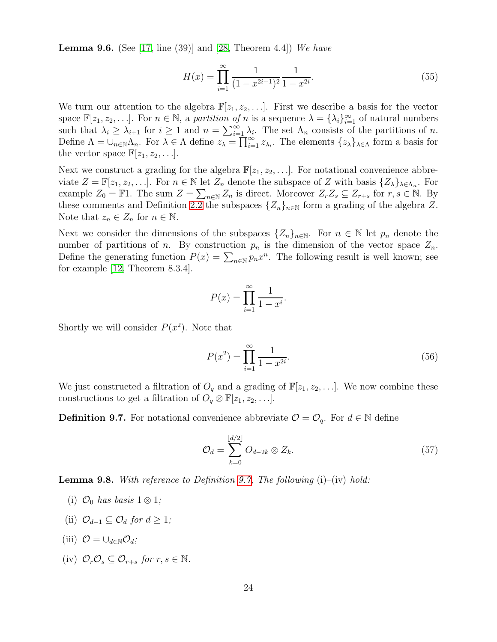**Lemma 9.6.** (See [\[17,](#page-57-14) line (39)] and [\[28,](#page-57-11) Theorem 4.4]) We have

<span id="page-23-3"></span>
$$
H(x) = \prod_{i=1}^{\infty} \frac{1}{(1 - x^{2i-1})^2} \frac{1}{1 - x^{2i}}.
$$
\n(55)

We turn our attention to the algebra  $\mathbb{F}[z_1, z_2, \ldots]$ . First we describe a basis for the vector space  $\mathbb{F}[z_1, z_2, \ldots]$ . For  $n \in \mathbb{N}$ , a partition of n is a sequence  $\lambda = {\lambda_i}_{i=1}^{\infty}$  of natural numbers such that  $\lambda_i \geq \lambda_{i+1}$  for  $i \geq 1$  and  $n = \sum_{i=1}^{\infty} \lambda_i$ . The set  $\Lambda_n$  consists of the partitions of n. Define  $\Lambda = \bigcup_{n \in \mathbb{N}} \Lambda_n$ . For  $\lambda \in \Lambda$  define  $z_{\lambda} = \prod_{i=1}^{\infty} z_{\lambda_i}$ . The elements  $\{z_{\lambda}\}_{\lambda \in \Lambda}$  form a basis for the vector space  $\mathbb{F}[z_1, z_2, \ldots]$ .

Next we construct a grading for the algebra  $\mathbb{F}[z_1, z_2, \ldots]$ . For notational convenience abbreviate  $Z = \mathbb{F}[z_1, z_2, \ldots]$ . For  $n \in \mathbb{N}$  let  $Z_n$  denote the subspace of Z with basis  $\{Z_{\lambda}\}_{\lambda \in \Lambda_n}$ . For example  $Z_0 = \mathbb{F}1$ . The sum  $Z = \sum_{n \in \mathbb{N}} Z_n$  is direct. Moreover  $Z_r Z_s \subseteq Z_{r+s}$  for  $r, s \in \mathbb{N}$ . By these comments and Definition [2.2](#page-3-9) the subspaces  $\{Z_n\}_{n\in\mathbb{N}}$  form a grading of the algebra Z. Note that  $z_n \in Z_n$  for  $n \in \mathbb{N}$ .

Next we consider the dimensions of the subspaces  $\{Z_n\}_{n\in\mathbb{N}}$ . For  $n \in \mathbb{N}$  let  $p_n$  denote the number of partitions of n. By construction  $p_n$  is the dimension of the vector space  $Z_n$ . Define the generating function  $P(x) = \sum_{n \in \mathbb{N}} p_n x^n$ . The following result is well known; see for example [\[12,](#page-56-14) Theorem 8.3.4].

$$
P(x) = \prod_{i=1}^{\infty} \frac{1}{1 - x^i}.
$$

Shortly we will consider  $P(x^2)$ . Note that

<span id="page-23-4"></span>
$$
P(x^2) = \prod_{i=1}^{\infty} \frac{1}{1 - x^{2i}}.
$$
\n(56)

We just constructed a filtration of  $O_q$  and a grading of  $\mathbb{F}[z_1, z_2, \ldots]$ . We now combine these constructions to get a filtration of  $O_q \otimes \mathbb{F}[z_1, z_2, \ldots]$ .

<span id="page-23-0"></span>**Definition 9.7.** For notational convenience abbreviate  $\mathcal{O} = \mathcal{O}_q$ . For  $d \in \mathbb{N}$  define

<span id="page-23-1"></span>
$$
\mathcal{O}_d = \sum_{k=0}^{\lfloor d/2 \rfloor} O_{d-2k} \otimes Z_k. \tag{57}
$$

<span id="page-23-2"></span>**Lemma 9.8.** With reference to Definition [9.7,](#page-23-0) The following  $(i)$ – $(iv)$  hold:

- (i)  $\mathcal{O}_0$  has basis 1 ⊗ 1;
- (ii)  $\mathcal{O}_{d-1} \subset \mathcal{O}_d$  for  $d > 1$ ;
- (iii)  $\mathcal{O} = \bigcup_{d \in \mathbb{N}} \mathcal{O}_d$ ;
- (iv)  $\mathcal{O}_r \mathcal{O}_s \subseteq \mathcal{O}_{r+s}$  for  $r, s \in \mathbb{N}$ .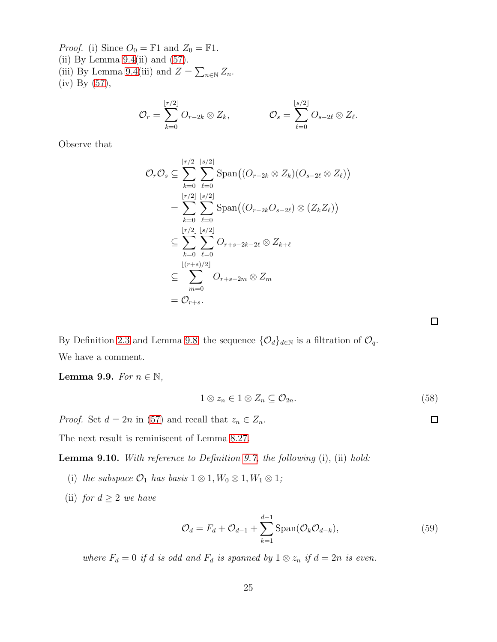*Proof.* (i) Since  $O_0 = \mathbb{F}1$  and  $Z_0 = \mathbb{F}1$ . (ii) By Lemma  $9.4$ (ii) and  $(57)$ . (iii) By Lemma [9.4\(](#page-22-0)iii) and  $Z = \sum_{n \in \mathbb{N}} Z_n$ . (iv) By [\(57\)](#page-23-1),

$$
\mathcal{O}_r = \sum_{k=0}^{\lfloor r/2 \rfloor} O_{r-2k} \otimes Z_k, \qquad \qquad \mathcal{O}_s = \sum_{\ell=0}^{\lfloor s/2 \rfloor} O_{s-2\ell} \otimes Z_\ell.
$$

Observe that

$$
\mathcal{O}_{r}\mathcal{O}_{s} \subseteq \sum_{k=0}^{\lfloor r/2 \rfloor} \sum_{\ell=0}^{\lfloor s/2 \rfloor} \text{Span}\big((O_{r-2k} \otimes Z_{k})(O_{s-2\ell} \otimes Z_{\ell})\big)
$$

$$
= \sum_{k=0}^{\lfloor r/2 \rfloor} \sum_{\ell=0}^{\lfloor s/2 \rfloor} \text{Span}\big((O_{r-2k}O_{s-2\ell}) \otimes (Z_{k}Z_{\ell})\big)
$$

$$
\subseteq \sum_{k=0}^{\lfloor r/2 \rfloor} \sum_{\ell=0}^{\lfloor s/2 \rfloor} O_{r+s-2k-2\ell} \otimes Z_{k+\ell}
$$

$$
\subseteq \sum_{m=0}^{\lfloor (r+s)/2 \rfloor} O_{r+s-2m} \otimes Z_{m}
$$

$$
= \mathcal{O}_{r+s}.
$$

By Definition [2.3](#page-3-5) and Lemma [9.8,](#page-23-2) the sequence  $\{\mathcal{O}_d\}_{d\in\mathbb{N}}$  is a filtration of  $\mathcal{O}_q$ . We have a comment.

Lemma 9.9. For  $n \in \mathbb{N}$ ,

$$
1 \otimes z_n \in 1 \otimes Z_n \subseteq \mathcal{O}_{2n}.\tag{58}
$$

*Proof.* Set  $d = 2n$  in [\(57\)](#page-23-1) and recall that  $z_n \in Z_n$ .

The next result is reminiscent of Lemma [8.27.](#page-21-5)

<span id="page-24-2"></span>**Lemma 9.10.** With reference to Definition [9.7,](#page-23-0) the following  $(i)$ ,  $(ii)$  hold:

- (i) the subspace  $\mathcal{O}_1$  has basis  $1 \otimes 1, W_0 \otimes 1, W_1 \otimes 1;$
- (ii) for  $d \geq 2$  we have

$$
\mathcal{O}_d = F_d + \mathcal{O}_{d-1} + \sum_{k=1}^{d-1} \text{Span}(\mathcal{O}_k \mathcal{O}_{d-k}),\tag{59}
$$

where  $F_d = 0$  if d is odd and  $F_d$  is spanned by  $1 \otimes z_n$  if  $d = 2n$  is even.

<span id="page-24-1"></span><span id="page-24-0"></span> $\Box$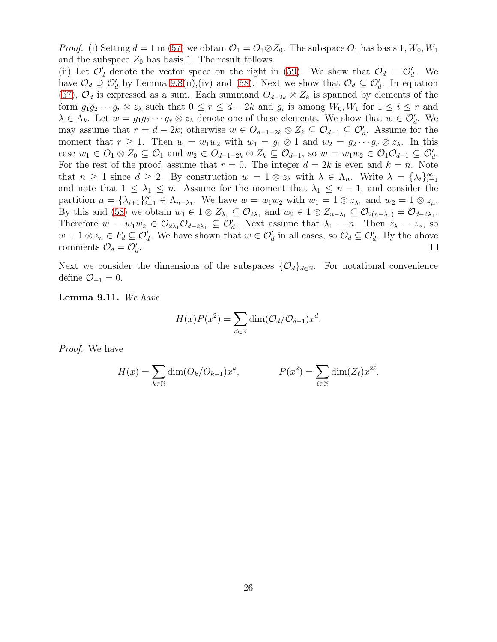*Proof.* (i) Setting  $d = 1$  in [\(57\)](#page-23-1) we obtain  $\mathcal{O}_1 = O_1 \otimes Z_0$ . The subspace  $O_1$  has basis 1,  $W_0, W_1$ and the subspace  $Z_0$  has basis 1. The result follows.

(ii) Let  $\mathcal{O}'_d$  denote the vector space on the right in [\(59\)](#page-24-0). We show that  $\mathcal{O}_d = \mathcal{O}'_d$ . We have  $\mathcal{O}_d \supseteq \mathcal{O}'_d$  by Lemma [9.8\(](#page-23-2)ii),(iv) and [\(58\)](#page-24-1). Next we show that  $\mathcal{O}_d \subseteq \mathcal{O}'_d$ . In equation [\(57\)](#page-23-1),  $\mathcal{O}_d$  is expressed as a sum. Each summand  $O_{d-2k} \otimes Z_k$  is spanned by elements of the form  $g_1g_2\cdots g_r\otimes z_\lambda$  such that  $0\leq r\leq d-2k$  and  $g_i$  is among  $W_0,W_1$  for  $1\leq i\leq r$  and  $\lambda \in \Lambda_k$ . Let  $w = g_1 g_2 \cdots g_r \otimes z_\lambda$  denote one of these elements. We show that  $w \in \mathcal{O}'_d$ . We may assume that  $r = d - 2k$ ; otherwise  $w \in O_{d-1-2k} \otimes Z_k \subseteq O_{d-1} \subseteq O'_d$ . Assume for the moment that  $r \geq 1$ . Then  $w = w_1w_2$  with  $w_1 = g_1 \otimes 1$  and  $w_2 = g_2 \cdots g_r \otimes z_\lambda$ . In this case  $w_1 \in O_1 \otimes Z_0 \subseteq O_1$  and  $w_2 \in O_{d-1-2k} \otimes Z_k \subseteq O_{d-1}$ , so  $w = w_1w_2 \in O_1O_{d-1} \subseteq O_d'$ . For the rest of the proof, assume that  $r = 0$ . The integer  $d = 2k$  is even and  $k = n$ . Note that  $n \geq 1$  since  $d \geq 2$ . By construction  $w = 1 \otimes z_{\lambda}$  with  $\lambda \in \Lambda_n$ . Write  $\lambda = {\lambda_i}_{i=1}^{\infty}$ and note that  $1 \leq \lambda_1 \leq n$ . Assume for the moment that  $\lambda_1 \leq n-1$ , and consider the partition  $\mu = {\lambda_{i+1}}_{i=1}^{\infty} \in {\Lambda_{n-\lambda_1}}$ . We have  $w = w_1w_2$  with  $w_1 = 1 \otimes z_{\lambda_1}$  and  $w_2 = 1 \otimes z_{\mu}$ . By this and [\(58\)](#page-24-1) we obtain  $w_1 \in 1 \otimes Z_{\lambda_1} \subseteq \mathcal{O}_{2\lambda_1}$  and  $w_2 \in 1 \otimes Z_{n-\lambda_1} \subseteq \mathcal{O}_{2(n-\lambda_1)} = \mathcal{O}_{d-2\lambda_1}$ . Therefore  $w = w_1w_2 \in \mathcal{O}_{2\lambda_1}\mathcal{O}_{d-2\lambda_1} \subseteq \mathcal{O}'_d$ . Next assume that  $\lambda_1 = n$ . Then  $z_{\lambda} = z_n$ , so  $w = 1 \otimes z_n \in F_d \subseteq \mathcal{O}'_d$ . We have shown that  $w \in \mathcal{O}'_d$  in all cases, so  $\mathcal{O}_d \subseteq \mathcal{O}'_d$ . By the above comments  $\mathcal{O}_d = \mathcal{O}'_d$ .  $\Box$ 

Next we consider the dimensions of the subspaces  $\{\mathcal{O}_d\}_{d\in\mathbb{N}}$ . For notational convenience define  $\mathcal{O}_{-1} = 0$ .

<span id="page-25-0"></span>Lemma 9.11. We have

$$
H(x)P(x^2) = \sum_{d \in \mathbb{N}} \dim(\mathcal{O}_d/\mathcal{O}_{d-1})x^d.
$$

Proof. We have

$$
H(x) = \sum_{k \in \mathbb{N}} \dim(O_k/O_{k-1})x^k, \qquad P(x^2) = \sum_{\ell \in \mathbb{N}} \dim(Z_{\ell})x^{2\ell}.
$$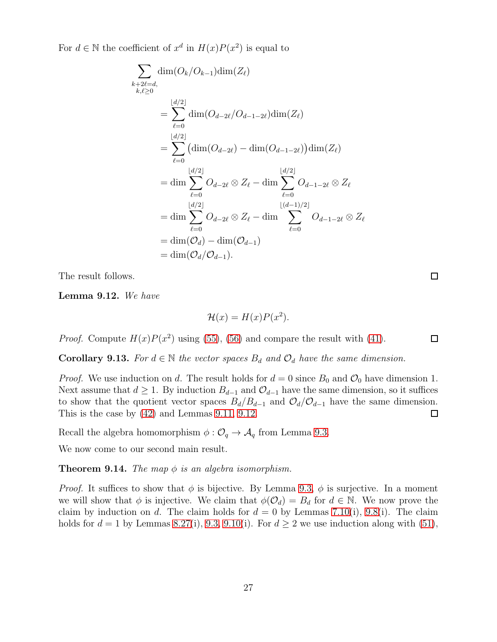For  $d \in \mathbb{N}$  the coefficient of  $x^d$  in  $H(x)P(x^2)$  is equal to

$$
\sum_{\substack{k+2\ell=d,\ k,\ell\geq 0}} \dim(O_k/O_{k-1})\dim(Z_{\ell})
$$
\n
$$
= \sum_{\ell=0}^{\lfloor d/2 \rfloor} \dim(O_{d-2\ell}/O_{d-1-2\ell})\dim(Z_{\ell})
$$
\n
$$
= \sum_{\ell=0}^{\lfloor d/2 \rfloor} \left(\dim(O_{d-2\ell}) - \dim(O_{d-1-2\ell})\right)\dim(Z_{\ell})
$$
\n
$$
= \dim \sum_{\ell=0}^{\lfloor d/2 \rfloor} O_{d-2\ell} \otimes Z_{\ell} - \dim \sum_{\ell=0}^{\lfloor d/2 \rfloor} O_{d-1-2\ell} \otimes Z_{\ell}
$$
\n
$$
= \dim \sum_{\ell=0}^{\lfloor d/2 \rfloor} O_{d-2\ell} \otimes Z_{\ell} - \dim \sum_{\ell=0}^{\lfloor (d-1)/2 \rfloor} O_{d-1-2\ell} \otimes Z_{\ell}
$$
\n
$$
= \dim(O_d) - \dim(O_{d-1})
$$
\n
$$
= \dim(O_d/O_{d-1}).
$$

The result follows.

<span id="page-26-1"></span>Lemma 9.12. We have

$$
\mathcal{H}(x) = H(x)P(x^2).
$$

*Proof.* Compute  $H(x)P(x^2)$  using [\(55\)](#page-23-3), [\(56\)](#page-23-4) and compare the result with [\(41\)](#page-13-5).

<span id="page-26-2"></span>**Corollary 9.13.** For  $d \in \mathbb{N}$  the vector spaces  $B_d$  and  $\mathcal{O}_d$  have the same dimension.

*Proof.* We use induction on d. The result holds for  $d = 0$  since  $B_0$  and  $\mathcal{O}_0$  have dimension 1. Next assume that  $d \geq 1$ . By induction  $B_{d-1}$  and  $\mathcal{O}_{d-1}$  have the same dimension, so it suffices to show that the quotient vector spaces  $B_d/B_{d-1}$  and  $\mathcal{O}_d/\mathcal{O}_{d-1}$  have the same dimension. This is the case by [\(42\)](#page-15-2) and Lemmas [9.11,](#page-25-0) [9.12.](#page-26-1)  $\Box$ 

Recall the algebra homomorphism  $\phi: \mathcal{O}_q \to \mathcal{A}_q$  from Lemma [9.3.](#page-22-1)

We now come to our second main result.

<span id="page-26-0"></span>**Theorem 9.14.** The map  $\phi$  is an algebra isomorphism.

*Proof.* It suffices to show that  $\phi$  is bijective. By Lemma [9.3,](#page-22-1)  $\phi$  is surjective. In a moment we will show that  $\phi$  is injective. We claim that  $\phi(\mathcal{O}_d) = B_d$  for  $d \in \mathbb{N}$ . We now prove the claim by induction on d. The claim holds for  $d = 0$  by Lemmas [7.10\(](#page-14-3)i), [9.8\(](#page-23-2)i). The claim holds for  $d = 1$  by Lemmas [8.27\(](#page-21-5)i), [9.3,](#page-22-1) [9.10\(](#page-24-2)i). For  $d \geq 2$  we use induction along with [\(51\)](#page-21-1),

 $\Box$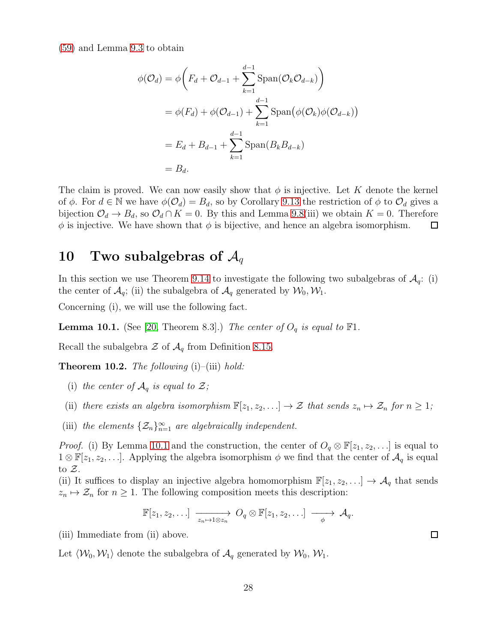[\(59\)](#page-24-0) and Lemma [9.3](#page-22-1) to obtain

$$
\phi(\mathcal{O}_d) = \phi\left(F_d + \mathcal{O}_{d-1} + \sum_{k=1}^{d-1} \text{Span}(\mathcal{O}_k \mathcal{O}_{d-k})\right)
$$
  
=  $\phi(F_d) + \phi(\mathcal{O}_{d-1}) + \sum_{k=1}^{d-1} \text{Span}(\phi(\mathcal{O}_k)\phi(\mathcal{O}_{d-k}))$   
=  $E_d + B_{d-1} + \sum_{k=1}^{d-1} \text{Span}(B_k B_{d-k})$   
=  $B_d$ .

The claim is proved. We can now easily show that  $\phi$  is injective. Let K denote the kernel of  $\phi$ . For  $d \in \mathbb{N}$  we have  $\phi(\mathcal{O}_d) = B_d$ , so by Corollary [9.13](#page-26-2) the restriction of  $\phi$  to  $\mathcal{O}_d$  gives a bijection  $\mathcal{O}_d \to B_d$ , so  $\mathcal{O}_d \cap K = 0$ . By this and Lemma [9.8\(](#page-23-2)iii) we obtain  $K = 0$ . Therefore  $\phi$  is injective. We have shown that  $\phi$  is bijective, and hence an algebra isomorphism.  $\Box$ 

### 10 Two subalgebras of  $\mathcal{A}_q$

In this section we use Theorem [9.14](#page-26-0) to investigate the following two subalgebras of  $\mathcal{A}_q$ : (i) the center of  $\mathcal{A}_q$ ; (ii) the subalgebra of  $\mathcal{A}_q$  generated by  $\mathcal{W}_0, \mathcal{W}_1$ .

Concerning (i), we will use the following fact.

<span id="page-27-1"></span>**Lemma 10.1.** (See [\[20,](#page-57-4) Theorem 8.3].) The center of  $O_q$  is equal to  $\mathbb{F}1$ .

Recall the subalgebra  $\mathcal Z$  of  $\mathcal A_q$  from Definition [8.15.](#page-18-3)

<span id="page-27-0"></span>**Theorem 10.2.** The following  $(i)$ – $(iii)$  hold:

- (i) the center of  $\mathcal{A}_q$  is equal to  $\mathcal{Z}$ ;
- (ii) there exists an algebra isomorphism  $\mathbb{F}[z_1, z_2, \ldots] \to \mathcal{Z}$  that sends  $z_n \mapsto \mathcal{Z}_n$  for  $n \geq 1$ ;
- (iii) the elements  $\{\mathcal{Z}_n\}_{n=1}^{\infty}$  are algebraically independent.

*Proof.* (i) By Lemma [10.1](#page-27-1) and the construction, the center of  $O_q \otimes \mathbb{F}[z_1, z_2, \ldots]$  is equal to  $1 \otimes \mathbb{F}[z_1, z_2, \ldots]$ . Applying the algebra isomorphism  $\phi$  we find that the center of  $\mathcal{A}_q$  is equal to  $\mathcal{Z}$ .

(ii) It suffices to display an injective algebra homomorphism  $\mathbb{F}[z_1, z_2, \ldots] \to \mathcal{A}_q$  that sends  $z_n \mapsto \mathcal{Z}_n$  for  $n \geq 1$ . The following composition meets this description:

$$
\mathbb{F}[z_1, z_2, \ldots] \longrightarrow_{z_n \mapsto 1 \otimes z_n} O_q \otimes \mathbb{F}[z_1, z_2, \ldots] \longrightarrow \mathcal{A}_q.
$$

(iii) Immediate from (ii) above.

Let  $\langle W_0, W_1 \rangle$  denote the subalgebra of  $\mathcal{A}_q$  generated by  $W_0, W_1$ .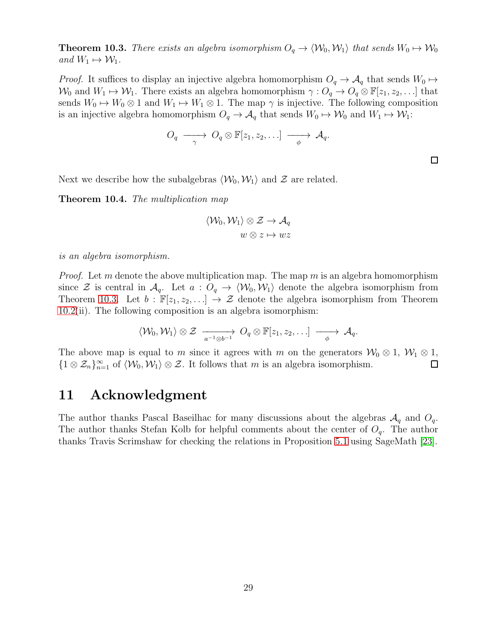<span id="page-28-0"></span>**Theorem 10.3.** There exists an algebra isomorphism  $O_q \to \langle W_0, W_1 \rangle$  that sends  $W_0 \mapsto W_0$ and  $W_1 \mapsto W_1$ .

*Proof.* It suffices to display an injective algebra homomorphism  $O_q \rightarrow A_q$  that sends  $W_0 \rightarrow$  $W_0$  and  $W_1 \mapsto W_1$ . There exists an algebra homomorphism  $\gamma: O_q \to O_q \otimes \mathbb{F}[z_1, z_2, \ldots]$  that sends  $W_0 \mapsto W_0 \otimes 1$  and  $W_1 \mapsto W_1 \otimes 1$ . The map  $\gamma$  is injective. The following composition is an injective algebra homomorphism  $O_q \to \mathcal{A}_q$  that sends  $W_0 \to \mathcal{W}_0$  and  $W_1 \to \mathcal{W}_1$ :

$$
O_q \longrightarrow O_q \otimes \mathbb{F}[z_1, z_2, \ldots] \longrightarrow \mathcal{A}_q.
$$

Next we describe how the subalgebras  $\langle \mathcal{W}_0, \mathcal{W}_1 \rangle$  and  $\mathcal{Z}$  are related.

<span id="page-28-1"></span>Theorem 10.4. The multiplication map

$$
\langle \mathcal{W}_0, \mathcal{W}_1 \rangle \otimes \mathcal{Z} \to \mathcal{A}_q
$$
  

$$
w \otimes z \mapsto wz
$$

is an algebra isomorphism.

*Proof.* Let m denote the above multiplication map. The map m is an algebra homomorphism since  $\mathcal Z$  is central in  $\mathcal A_q$ . Let  $a: O_q \to \langle \mathcal W_0, \mathcal W_1 \rangle$  denote the algebra isomorphism from Theorem [10.3.](#page-28-0) Let  $b : \mathbb{F}[z_1, z_2, \ldots] \to \mathcal{Z}$  denote the algebra isomorphism from Theorem [10.2\(](#page-27-0)ii). The following composition is an algebra isomorphism:

$$
\langle \mathcal{W}_0, \mathcal{W}_1 \rangle \otimes \mathcal{Z} \longrightarrow_{a^{-1} \otimes b^{-1}} O_q \otimes \mathbb{F}[z_1, z_2, \ldots] \longrightarrow \mathcal{A}_q.
$$

The above map is equal to m since it agrees with m on the generators  $W_0 \otimes 1$ ,  $W_1 \otimes 1$ ,  ${1 \otimes \mathcal{Z}_n}_{n=1}^{\infty}$  of  $\langle \mathcal{W}_0, \mathcal{W}_1 \rangle \otimes \mathcal{Z}$ . It follows that m is an algebra isomorphism.  $\Box$ 

### 11 Acknowledgment

The author thanks Pascal Baseilhac for many discussions about the algebras  $A_q$  and  $O_q$ . The author thanks Stefan Kolb for helpful comments about the center of  $O_q$ . The author thanks Travis Scrimshaw for checking the relations in Proposition [5.1](#page-8-1) using SageMath [\[23\]](#page-57-15).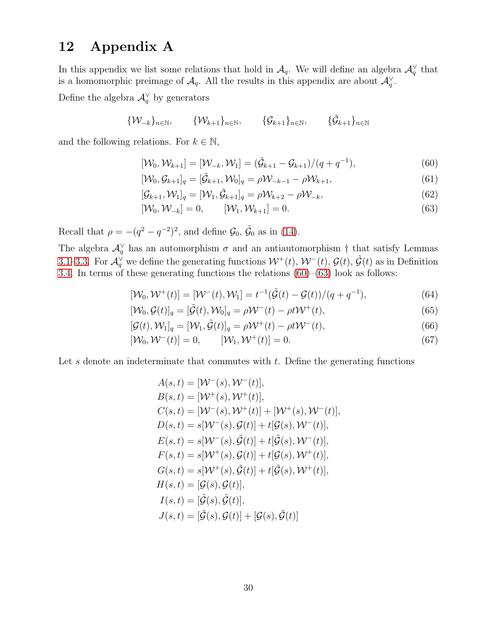### 12 Appendix A

In this appendix we list some relations that hold in  $\mathcal{A}_q$ . We will define an algebra  $\mathcal{A}_q^{\vee}$  that is a homomorphic preimage of  $\mathcal{A}_q$ . All the results in this appendix are about  $\mathcal{A}_q^{\vee}$ .

Define the algebra  $\mathcal{A}_q^{\vee}$  by generators

$$
\{\mathcal{W}_{-k}\}_{n\in\mathbb{N}},\qquad \{\mathcal{W}_{k+1}\}_{n\in\mathbb{N}},\qquad \{\mathcal{G}_{k+1}\}_{n\in\mathbb{N}},\qquad \{\tilde{\mathcal{G}}_{k+1}\}_{n\in\mathbb{N}}
$$

and the following relations. For  $k \in \mathbb{N}$ ,

<span id="page-29-0"></span>
$$
[\mathcal{W}_0, \mathcal{W}_{k+1}] = [\mathcal{W}_{-k}, \mathcal{W}_1] = (\tilde{\mathcal{G}}_{k+1} - \mathcal{G}_{k+1})/(q + q^{-1}),
$$
\n(60)

$$
[\mathcal{W}_0, \mathcal{G}_{k+1}]_q = [\tilde{\mathcal{G}}_{k+1}, \mathcal{W}_0]_q = \rho \mathcal{W}_{-k-1} - \rho \mathcal{W}_{k+1},
$$
\n(61)

$$
[\mathcal{G}_{k+1}, \mathcal{W}_1]_q = [\mathcal{W}_1, \tilde{\mathcal{G}}_{k+1}]_q = \rho \mathcal{W}_{k+2} - \rho \mathcal{W}_{-k},\tag{62}
$$

<span id="page-29-1"></span>
$$
[\mathcal{W}_0, \mathcal{W}_{-k}] = 0, \qquad [\mathcal{W}_1, \mathcal{W}_{k+1}] = 0. \tag{63}
$$

Recall that  $\rho = -(q^2 - q^{-2})^2$ , and define  $\mathcal{G}_0$ ,  $\tilde{\mathcal{G}}_0$  as in [\(14\)](#page-3-6).

The algebra  $\mathcal{A}_q^{\vee}$  has an automorphism  $\sigma$  and an antiautomorphism  $\dagger$  that satisfy Lemmas [3.1–](#page-4-0)[3.3.](#page-4-6) For  $\mathcal{A}_q^{\vee}$  we define the generating functions  $\mathcal{W}^+(t)$ ,  $\mathcal{W}^-(t)$ ,  $\mathcal{G}(t)$ ,  $\tilde{\mathcal{G}}(t)$  as in Definition [3.4.](#page-4-4) In terms of these generating functions the relations [\(60\)](#page-29-0)–[\(63\)](#page-29-1) look as follows:

$$
[\mathcal{W}_0, \mathcal{W}^+(t)] = [\mathcal{W}^-(t), \mathcal{W}_1] = t^{-1}(\tilde{\mathcal{G}}(t) - \mathcal{G}(t))/(q + q^{-1}), \tag{64}
$$

$$
[\mathcal{W}_0, \mathcal{G}(t)]_q = [\tilde{\mathcal{G}}(t), \mathcal{W}_0]_q = \rho \mathcal{W}^-(t) - \rho t \mathcal{W}^+(t), \qquad (65)
$$

$$
[\mathcal{G}(t), \mathcal{W}_1]_q = [\mathcal{W}_1, \tilde{\mathcal{G}}(t)]_q = \rho \mathcal{W}^+(t) - \rho t \mathcal{W}^-(t),
$$
\n(66)

$$
[\mathcal{W}_0, \mathcal{W}^-(t)] = 0, \qquad [\mathcal{W}_1, \mathcal{W}^+(t)] = 0.
$$
\n(67)

Let s denote an indeterminate that commutes with  $t$ . Define the generating functions

<span id="page-29-3"></span><span id="page-29-2"></span>
$$
A(s,t) = [\mathcal{W}^{-}(s), \mathcal{W}^{-}(t)],
$$
  
\n
$$
B(s,t) = [\mathcal{W}^{+}(s), \mathcal{W}^{+}(t)],
$$
  
\n
$$
C(s,t) = [\mathcal{W}^{-}(s), \mathcal{W}^{+}(t)] + [\mathcal{W}^{+}(s), \mathcal{W}^{-}(t)],
$$
  
\n
$$
D(s,t) = s[\mathcal{W}^{-}(s), \mathcal{G}(t)] + t[\mathcal{G}(s), \mathcal{W}^{-}(t)],
$$
  
\n
$$
E(s,t) = s[\mathcal{W}^{+}(s), \mathcal{G}(t)] + t[\mathcal{G}(s), \mathcal{W}^{+}(t)],
$$
  
\n
$$
F(s,t) = s[\mathcal{W}^{+}(s), \mathcal{G}(t)] + t[\mathcal{G}(s), \mathcal{W}^{+}(t)],
$$
  
\n
$$
G(s,t) = [\mathcal{G}(s), \mathcal{G}(t)],
$$
  
\n
$$
I(s,t) = [\mathcal{G}(s), \mathcal{G}(t)],
$$
  
\n
$$
J(s,t) = [\mathcal{G}(s), \mathcal{G}(t)] + [\mathcal{G}(s), \mathcal{G}(t)]
$$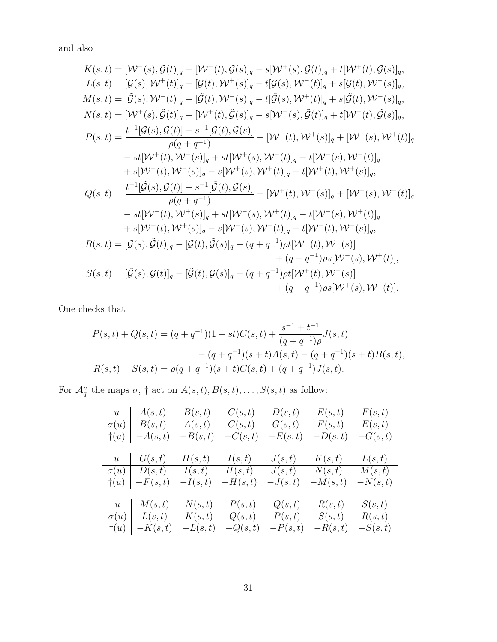and also

$$
K(s,t) = [W^-(s), \mathcal{G}(t)]_q - [W^-(t), \mathcal{G}(s)]_q - s[W^+(s), \mathcal{G}(t)]_q + t[W^+(t), \mathcal{G}(s)]_q,
$$
  
\n
$$
L(s,t) = [\mathcal{G}(s), W^+(t)]_q - [\mathcal{G}(t), W^+(s)]_q - t[\mathcal{G}(s), W^-(t)]_q + s[\mathcal{G}(t), W^-(s)]_q,
$$
  
\n
$$
M(s,t) = [\mathcal{G}(s), W^-(t)]_q - [\mathcal{G}(t), W^-(s)]_q - t[\mathcal{G}(s), W^+(t)]_q + s[\mathcal{G}(t), W^+(s)]_q,
$$
  
\n
$$
N(s,t) = [W^+(s), \mathcal{G}(t)]_q - [W^+(t), \mathcal{G}(s)]_q - s[W^-(s), \mathcal{G}(t)]_q + t[W^-(t), \mathcal{G}(s)]_q,
$$
  
\n
$$
P(s,t) = \frac{t^{-1}[\mathcal{G}(s), \mathcal{G}(t)] - s^{-1}[\mathcal{G}(t), \mathcal{G}(s)]}{\rho(q+q^{-1})} - W^-(t), W^+(s)]_q + [W^-(s), W^+(t)]_q
$$
  
\n
$$
+ s[W^+(t), W^-(s)]_q - s[W^+(s), W^+(t)]_q + t[W^+(t), W^+(s)]_q,
$$
  
\n
$$
Q(s,t) = \frac{t^{-1}[\mathcal{G}(s), \mathcal{G}(t)] - s^{-1}[\mathcal{G}(t), \mathcal{G}(s)]}{\rho(q+q^{-1})} - [W^+(t), W^-(s)]_q + [W^+(s), W^-(t)]_q
$$
  
\n
$$
+ s[W^-(t), W^+(s)]_q + st[W^-(s), W^+(t)]_q - t[W^+(s), W^+(t)]_q
$$
  
\n
$$
+ s[W^+(t), W^+(s)]_q - s[W^-(s), W^-(t)]_q + t[W^-(t), W^-(s)]_q,
$$
  
\n
$$
R(s,t) = [\mathcal{G}(s), \mathcal{G}(t)]_q - [\mathcal{G}(t), \mathcal{G}(s)]_q - (q+q^{-1}) \rho t[W^-(t), W^-(s)]_q,
$$
<

One checks that

$$
P(s,t) + Q(s,t) = (q+q^{-1})(1+st)C(s,t) + \frac{s^{-1}+t^{-1}}{(q+q^{-1})\rho}J(s,t)
$$

$$
- (q+q^{-1})(s+t)A(s,t) - (q+q^{-1})(s+t)B(s,t),
$$

$$
R(s,t) + S(s,t) = \rho(q+q^{-1})(s+t)C(s,t) + (q+q^{-1})J(s,t).
$$

For  $\mathcal{A}_q^{\vee}$  the maps  $\sigma$ ,  $\dagger$  act on  $A(s,t), B(s,t), \ldots, S(s,t)$  as follow:

|              | $u \mid A(s,t)$                | B(s,t)    | C(s,t)    | D(s,t)    | E(s,t)    | F(s,t)    |
|--------------|--------------------------------|-----------|-----------|-----------|-----------|-----------|
|              | $\sigma(u)$   $B(s,t)$         | A(s,t)    | C(s,t)    | G(s,t)    | F(s,t)    | E(s,t)    |
|              | $\dagger(u)$ $\vert -A(s,t)$   | $-B(s,t)$ | $-C(s,t)$ | $-E(s,t)$ | $-D(s,t)$ | $-G(s,t)$ |
|              |                                |           |           |           |           |           |
|              | $u \cap G(s,t)$                | H(s,t)    | I(s,t)    | J(s,t)    | K(s,t)    | L(s,t)    |
|              | $\sigma(u)$   $D(s,t)$         | I(s,t)    | H(s,t)    | J(s,t)    | N(s,t)    | M(s,t)    |
|              | $\dagger(u)$ $\vert$ $-F(s,t)$ | $-I(s,t)$ | $-H(s,t)$ | $-J(s,t)$ | $-M(s,t)$ | $-N(s,t)$ |
|              |                                |           |           |           |           |           |
|              | $u \downharpoonright M(s,t)$   | N(s,t)    | P(s,t)    | Q(s,t)    | R(s,t)    | S(s,t)    |
|              | $\sigma(u) \perp L(s,t)$       | K(s,t)    | Q(s,t)    | P(s,t)    | S(s,t)    | R(s,t)    |
| $\dagger(u)$ | $-K(s,t)$                      | $-L(s,t)$ | $-Q(s,t)$ | $-P(s,t)$ | $-R(s,t)$ | $-S(s,t)$ |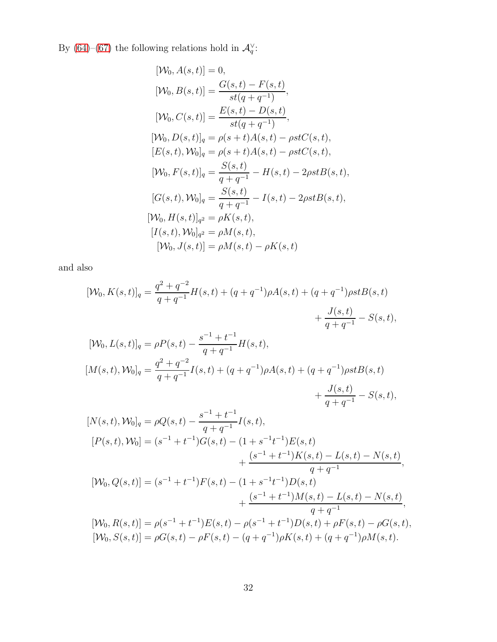By [\(64\)](#page-29-2)–[\(67\)](#page-29-3) the following relations hold in  $\mathcal{A}_q^{\vee}$ :

$$
[\mathcal{W}_0, A(s, t)] = 0,
$$
  
\n
$$
[\mathcal{W}_0, B(s, t)] = \frac{G(s, t) - F(s, t)}{st(q + q^{-1})},
$$
  
\n
$$
[\mathcal{W}_0, C(s, t)] = \frac{E(s, t) - D(s, t)}{st(q + q^{-1})},
$$
  
\n
$$
[\mathcal{W}_0, D(s, t)]_q = \rho(s + t)A(s, t) - \rho stC(s, t),
$$
  
\n
$$
[E(s, t), \mathcal{W}_0]_q = \rho(s + t)A(s, t) - \rho stC(s, t),
$$
  
\n
$$
[\mathcal{W}_0, F(s, t)]_q = \frac{S(s, t)}{q + q^{-1}} - H(s, t) - 2\rho stB(s, t),
$$
  
\n
$$
[G(s, t), \mathcal{W}_0]_q = \frac{S(s, t)}{q + q^{-1}} - I(s, t) - 2\rho stB(s, t),
$$
  
\n
$$
[\mathcal{W}_0, H(s, t)]_{q^2} = \rho K(s, t),
$$
  
\n
$$
[I(s, t), \mathcal{W}_0]_{q^2} = \rho M(s, t),
$$
  
\n
$$
[\mathcal{W}_0, J(s, t)] = \rho M(s, t) - \rho K(s, t)
$$

and also

$$
[\mathcal{W}_0, K(s,t)]_q = \frac{q^2 + q^{-2}}{q + q^{-1}} H(s,t) + (q + q^{-1}) \rho A(s,t) + (q + q^{-1}) \rho st B(s,t)
$$
  
+ 
$$
\frac{J(s,t)}{q + q^{-1}} - S(s,t),
$$
  

$$
[\mathcal{W}_0, L(s,t)]_q = \rho P(s,t) - \frac{s^{-1} + t^{-1}}{q + q^{-1}} H(s,t),
$$
  

$$
[M(s,t), \mathcal{W}_0]_q = \frac{q^2 + q^{-2}}{q + q^{-1}} I(s,t) + (q + q^{-1}) \rho A(s,t) + (q + q^{-1}) \rho st B(s,t)
$$
  
+ 
$$
\frac{J(s,t)}{q + q^{-1}} - S(s,t),
$$

$$
[N(s,t),\mathcal{W}_0]_q = \rho Q(s,t) - \frac{s^{-1} + t^{-1}}{q + q^{-1}} I(s,t),
$$
  
\n
$$
[P(s,t),\mathcal{W}_0] = (s^{-1} + t^{-1})G(s,t) - (1 + s^{-1}t^{-1})E(s,t) + \frac{(s^{-1} + t^{-1})K(s,t) - L(s,t) - N(s,t)}{q + q^{-1}},
$$
  
\n
$$
[W_0, Q(s,t)] = (s^{-1} + t^{-1})F(s,t) - (1 + s^{-1}t^{-1})D(s,t) + \frac{(s^{-1} + t^{-1})M(s,t) - L(s,t) - N(s,t)}{q + q^{-1}},
$$
  
\n
$$
[W_0, R(s,t)] = \rho(s^{-1} + t^{-1})E(s,t) - \rho(s^{-1} + t^{-1})D(s,t) + \rho F(s,t) - \rho G(s,t),
$$
  
\n
$$
[W_0, S(s,t)] = \rho G(s,t) - \rho F(s,t) - (q + q^{-1})\rho K(s,t) + (q + q^{-1})\rho M(s,t).
$$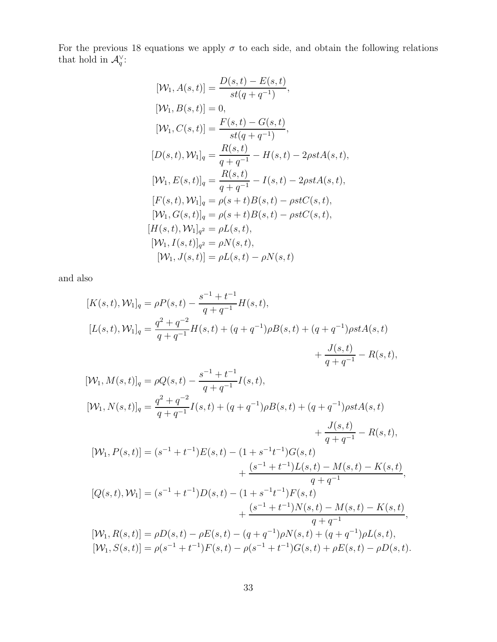For the previous 18 equations we apply  $\sigma$  to each side, and obtain the following relations that hold in  $\mathcal{A}_q^{\vee}$ :

$$
[\mathcal{W}_{1}, A(s, t)] = \frac{D(s, t) - E(s, t)}{st(q + q^{-1})},
$$
  
\n
$$
[\mathcal{W}_{1}, B(s, t)] = 0,
$$
  
\n
$$
[\mathcal{W}_{1}, C(s, t)] = \frac{F(s, t) - G(s, t)}{st(q + q^{-1})},
$$
  
\n
$$
[D(s, t), \mathcal{W}_{1}]_{q} = \frac{R(s, t)}{q + q^{-1}} - H(s, t) - 2\rho st A(s, t),
$$
  
\n
$$
[\mathcal{W}_{1}, E(s, t)]_{q} = \frac{R(s, t)}{q + q^{-1}} - I(s, t) - 2\rho st A(s, t),
$$
  
\n
$$
[F(s, t), \mathcal{W}_{1}]_{q} = \rho(s + t)B(s, t) - \rho st C(s, t),
$$
  
\n
$$
[\mathcal{W}_{1}, G(s, t)]_{q} = \rho(s + t)B(s, t) - \rho st C(s, t),
$$
  
\n
$$
[H(s, t), \mathcal{W}_{1}]_{q^{2}} = \rho L(s, t),
$$
  
\n
$$
[\mathcal{W}_{1}, I(s, t)]_{q^{2}} = \rho N(s, t),
$$
  
\n
$$
[\mathcal{W}_{1}, J(s, t)] = \rho L(s, t) - \rho N(s, t)
$$

and also

$$
[K(s,t), \mathcal{W}_1]_q = \rho P(s,t) - \frac{s^{-1} + t^{-1}}{q + q^{-1}} H(s,t),
$$
  
\n
$$
[L(s,t), \mathcal{W}_1]_q = \frac{q^2 + q^{-2}}{q + q^{-1}} H(s,t) + (q + q^{-1}) \rho B(s,t) + (q + q^{-1}) \rho st A(s,t) + \frac{J(s,t)}{q + q^{-1}} - R(s,t),
$$

$$
[\mathcal{W}_{1}, M(s,t)]_{q} = \rho Q(s,t) - \frac{s^{-1} + t^{-1}}{q + q^{-1}} I(s,t),
$$
  
\n
$$
[\mathcal{W}_{1}, N(s,t)]_{q} = \frac{q^{2} + q^{-2}}{q + q^{-1}} I(s,t) + (q + q^{-1}) \rho B(s,t) + (q + q^{-1}) \rho st A(s,t)
$$
  
\n
$$
+ \frac{J(s,t)}{q + q^{-1}} - R(s,t),
$$
  
\n
$$
[\mathcal{W}_{1}, P(s,t)] = (s^{-1} + t^{-1}) E(s,t) - (1 + s^{-1}t^{-1}) G(s,t)
$$
  
\n
$$
+ \frac{(s^{-1} + t^{-1}) L(s,t) - M(s,t) - K(s,t)}{q + q^{-1}},
$$
  
\n
$$
[Q(s,t), \mathcal{W}_{1}] = (s^{-1} + t^{-1}) D(s,t) - (1 + s^{-1}t^{-1}) F(s,t)
$$
  
\n
$$
+ \frac{(s^{-1} + t^{-1}) N(s,t) - M(s,t) - K(s,t)}{q + q^{-1}},
$$
  
\n
$$
[W_{1}, R(s,t)] = \rho D(s,t) - \rho E(s,t) - (q + q^{-1}) \rho N(s,t) + (q + q^{-1}) \rho L(s,t),
$$
  
\n
$$
[\mathcal{W}_{1}, S(s,t)] = \rho (s^{-1} + t^{-1}) F(s,t) - \rho (s^{-1} + t^{-1}) G(s,t) + \rho E(s,t) - \rho D(s,t).
$$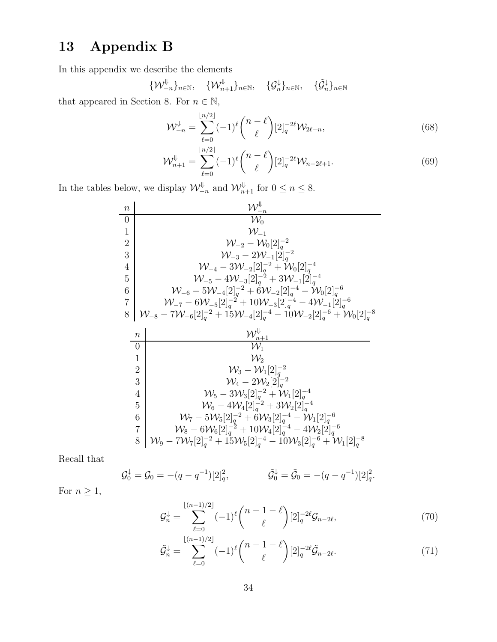# 13 Appendix B

In this appendix we describe the elements

$$
\{\mathcal{W}_{-n}^{\Downarrow}\}_{n\in\mathbb{N}},\quad \{\mathcal{W}_{n+1}^{\Downarrow}\}_{n\in\mathbb{N}},\quad \{\mathcal{G}_{n}^{\downarrow}\}_{n\in\mathbb{N}},\quad \{\tilde{\mathcal{G}}_{n}^{\downarrow}\}_{n\in\mathbb{N}}
$$

that appeared in Section 8. For  $n \in \mathbb{N}$ ,

<span id="page-33-2"></span>
$$
\mathcal{W}_{-n}^{\Downarrow} = \sum_{\ell=0}^{\lfloor n/2 \rfloor} (-1)^{\ell} {n - \ell \choose \ell} [2]_q^{-2\ell} \mathcal{W}_{2\ell-n},\tag{68}
$$

<span id="page-33-3"></span>
$$
\mathcal{W}_{n+1}^{\Downarrow} = \sum_{\ell=0}^{\lfloor n/2 \rfloor} (-1)^{\ell} {n-\ell \choose \ell} [2]_q^{-2\ell} \mathcal{W}_{n-2\ell+1}.
$$
 (69)

In the tables below, we display  $\mathcal{W}_{-n}^{\psi}$  and  $\mathcal{W}_{n+1}^{\psi}$  for  $0 \leq n \leq 8$ .

$$
\begin{array}{c|c} n & \mathcal{W}_{-n}^{\Downarrow} \\ \hline 0 & \mathcal{W}_{0} \\ 1 & \mathcal{W}_{-1} \\ 2 & \mathcal{W}_{-2} - \mathcal{W}_{0}[2]_{q}^{-2} \\ 3 & \mathcal{W}_{-3} - 2\mathcal{W}_{-1}[2]_{q}^{-2} \\ 4 & \mathcal{W}_{-4} - 3\mathcal{W}_{-2}[2]_{q}^{-2} + \mathcal{W}_{0}[2]_{q}^{-4} \\ 5 & \mathcal{W}_{-5} - 4\mathcal{W}_{-3}[2]_{q}^{-2} + 3\mathcal{W}_{-1}[2]_{q}^{-4} \\ 6 & \mathcal{W}_{-6} - 5\mathcal{W}_{-4}[2]_{q}^{-2} + 6\mathcal{W}_{-2}[2]_{q}^{-4} - \mathcal{W}_{0}[2]_{q}^{-6} \\ 7 & \mathcal{W}_{-7} - 6\mathcal{W}_{-5}[2]_{q}^{-2} + 10\mathcal{W}_{-3}[2]_{q}^{-4} - 4\mathcal{W}_{-1}[2]_{q}^{-6} \\ 8 & \mathcal{W}_{-8} - 7\mathcal{W}_{-6}[2]_{q}^{-2} + 15\mathcal{W}_{-4}[2]_{q}^{-4} - 10\mathcal{W}_{-2}[2]_{q}^{-6} + \mathcal{W}_{0}[2]_{q}^{-8} \\ \hline n & \mathcal{W}_{n+1}^{\Downarrow} \\ 0 & \mathcal{W}_{1} \\ 1 & \mathcal{W}_{2} \\ 2 & \mathcal{W}_{3} - \mathcal{W}_{1}[2]_{q}^{-2} \\ 3 & \mathcal{W}_{4} - 2\mathcal{W}_{2}[2]_{q}^{-2} \\ 4 & \mathcal{W}_{5} - 3\mathcal{W}_{3}[2]_{q}^{-2} + \mathcal{W}_{1}[2]_{q}^{-4} \\ 6 & \mathcal{W}_{7} - 5\mathcal{W}_{5}[2]_{q}^{-2} + 6\mathcal{W}_{3}[2]_{q}^{-4} - \mathcal{W}_{1}[2]_{q}^{-6} \\ 7 & \mathcal{W}_{8} - 6\mathcal{W}_{6}[2]_{q}^{-2} + 10\mathcal{W}_{4}[2]_{q}^{-4} - 4\mathcal{W}_{2}[2]_{q}^{-6} \\ 8 & \mathcal{W}_{9} - 7
$$

Recall that

$$
\mathcal{G}_0^{\downarrow} = \mathcal{G}_0 = -(q - q^{-1})[2]_q^2, \qquad \tilde{\mathcal{G}}_0^{\downarrow} = \tilde{\mathcal{G}}_0 = -(q - q^{-1})[2]_q^2.
$$

For  $n\geq 1,$ 

$$
\mathcal{G}_n^{\downarrow} = \sum_{\ell=0}^{\lfloor (n-1)/2 \rfloor} (-1)^{\ell} {n-1-\ell \choose \ell} [2]_q^{-2\ell} \mathcal{G}_{n-2\ell},\tag{70}
$$

<span id="page-33-1"></span><span id="page-33-0"></span>
$$
\tilde{\mathcal{G}}_n^{\downarrow} = \sum_{\ell=0}^{\lfloor (n-1)/2 \rfloor} (-1)^{\ell} {n-1-\ell \choose \ell} [2]_q^{-2\ell} \tilde{\mathcal{G}}_{n-2\ell}.
$$
 (71)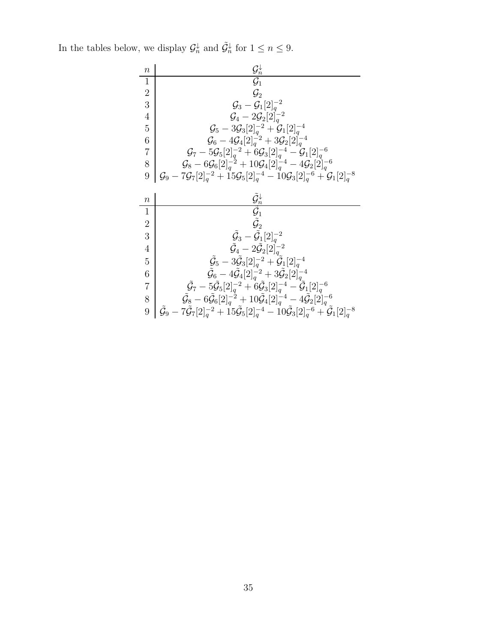In the tables below, we display  $\mathcal{G}_n^{\downarrow}$  and  $\tilde{\mathcal{G}}_n^{\downarrow}$  for  $1 \leq n \leq 9$ .

| $\it n$             | $\mathcal{G}_n^\downarrow$                                                                                                                                                                                                                                         |
|---------------------|--------------------------------------------------------------------------------------------------------------------------------------------------------------------------------------------------------------------------------------------------------------------|
| $\mathbf{1}$        | $\overline{\mathcal{G}_1}$                                                                                                                                                                                                                                         |
| $\overline{2}$      | $\mathcal{G}_2$                                                                                                                                                                                                                                                    |
| 3                   | $\mathcal{G}_3 - \mathcal{G}_1[2]_q^{-2}$                                                                                                                                                                                                                          |
| $\overline{4}$      | $\mathcal{G}_4 - 2\mathcal{G}_2[2]_q^{-2}$                                                                                                                                                                                                                         |
| $\overline{5}$      | $\mathcal{G}_5 - 3 \mathcal{G}_3[2]_q^{-2} + \mathcal{G}_1[2]_q^{-4}$                                                                                                                                                                                              |
| 6                   | $\mathcal{G}_6 - 4\mathcal{G}_4[2]_a^{-2} + 3\mathcal{G}_2[2]_a^{-4}$                                                                                                                                                                                              |
| $\overline{7}$      | $\mathcal{G}_7 - 5\mathcal{G}_5[2]_q^{-2} + 6\mathcal{G}_3[2]_q^{-4} - \mathcal{G}_1[2]_q^{-6}$                                                                                                                                                                    |
| 8                   | $\mathcal{G}_8 - 6\mathcal{G}_6[2]_q^{-2} + 10\mathcal{G}_4[2]_q^{-4} - 4\mathcal{G}_2[2]_q^{-6}$                                                                                                                                                                  |
| 9                   | $\mathcal{G}_9 - 7 \mathcal{G}_7[2]_q^{-2} + 15 \mathcal{G}_5[2]_q^{-4} - 10 \mathcal{G}_3[2]_q^{-6} + \mathcal{G}_1[2]_q^{-8}$                                                                                                                                    |
|                     |                                                                                                                                                                                                                                                                    |
|                     |                                                                                                                                                                                                                                                                    |
| $\boldsymbol{n}$    |                                                                                                                                                                                                                                                                    |
| $\mathbf{1}$        |                                                                                                                                                                                                                                                                    |
| $\overline{2}$      | $\frac{\tilde{\mathcal{G}}_n^\downarrow}{\tilde{\mathcal{G}}_1}$<br>$\tilde{\mathcal{G}}_2$                                                                                                                                                                        |
| 3                   | $\tilde{G}_3 - \tilde{G}_1[2]_a^{-2}$                                                                                                                                                                                                                              |
| $\overline{4}$      |                                                                                                                                                                                                                                                                    |
| 5                   | $\tilde{\mathcal{G}}_4-2\tilde{\mathcal{G}}_2[2]_a^{-2}$                                                                                                                                                                                                           |
|                     | $\tilde{\mathcal{G}}_{5} - 3 \tilde{\mathcal{G}}_{3}[2]_{q}^{-2} + \tilde{\mathcal{G}}_{1}[2]_{q}^{-4}$                                                                                                                                                            |
| 6                   | $\tilde{\mathcal{G}}_6 - 4 \tilde{\mathcal{G}}_4[2]_q^{-2} + 3 \tilde{\mathcal{G}}_2[2]_q^{-4}$                                                                                                                                                                    |
| $\overline{7}$<br>8 | $\tilde{G}_7 - 5\tilde{\mathcal{G}}_5[2]_a^{-2} + 6\tilde{\mathcal{G}}_3[2]_a^{-4} - \tilde{\mathcal{G}}_1[2]_a^{-6}$<br>$\tilde{\mathcal{G}}_{8}-6\tilde{\mathcal{G}}_{6}[2]_{q}^{-2}+10\tilde{\mathcal{G}}_{4}[2]_{q}^{-4}-4\tilde{\mathcal{G}}_{2}[2]_{q}^{-6}$ |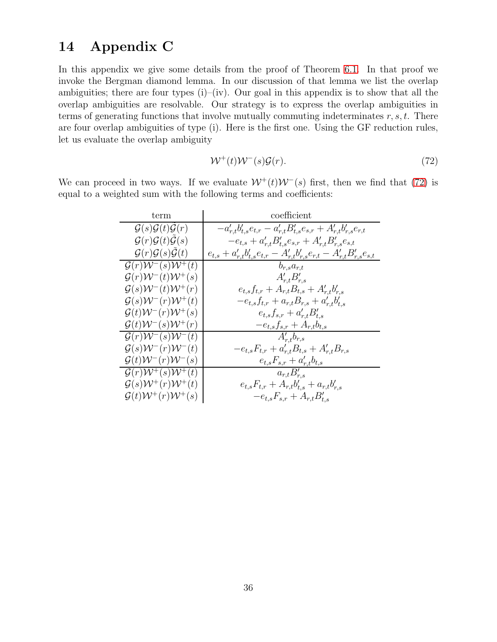## 14 Appendix C

In this appendix we give some details from the proof of Theorem [6.1.](#page-11-0) In that proof we invoke the Bergman diamond lemma. In our discussion of that lemma we list the overlap ambiguities; there are four types  $(i)$ – $(iv)$ . Our goal in this appendix is to show that all the overlap ambiguities are resolvable. Our strategy is to express the overlap ambiguities in terms of generating functions that involve mutually commuting indeterminates  $r, s, t$ . There are four overlap ambiguities of type (i). Here is the first one. Using the GF reduction rules, let us evaluate the overlap ambiguity

<span id="page-35-0"></span>
$$
\mathcal{W}^+(t)\mathcal{W}^-(s)\mathcal{G}(r). \tag{72}
$$

We can proceed in two ways. If we evaluate  $W^+(t)W^-(s)$  first, then we find that [\(72\)](#page-35-0) is equal to a weighted sum with the following terms and coefficients:

| term                                                            | coefficient                                                                             |
|-----------------------------------------------------------------|-----------------------------------------------------------------------------------------|
| $\mathcal{G}(s)\mathcal{G}(t)\mathcal{G}(r)$                    | $-a'_{r,t}b'_{t,s}e_{t,r}-a'_{r,t}B'_{t,s}e_{s,r}+A'_{r,t}b'_{r,s}e_{r,t}$              |
| $\mathcal{G}(r)\mathcal{G}(t)\tilde{\mathcal{G}}(s)$            | $-e_{t,s} + a'_{r,t} B'_{t,s} e_{s,r} + A'_{r,t} B'_{r,s} e_{s,t}$                      |
| $\mathcal{G}(r)\mathcal{G}(s)\tilde{\mathcal{G}}(t)$            | $e_{t,s} + a'_{r,t}b'_{t,s}e_{t,r} - A'_{r,t}b'_{r,s}e_{r,t} - A'_{r,t}B'_{r,s}e_{s,t}$ |
| $\mathcal{G}(r)\mathcal{W}^{-}(s)\overline{\mathcal{W}^{+}(t)}$ | $b_{r,s}a_{r,t}$                                                                        |
| $\mathcal{G}(r)\mathcal{W}^-(t)\mathcal{W}^+(s)$                | $A'_{r,t}B'_{r,s}$                                                                      |
| $\mathcal{G}(s)\mathcal{W}^-(t)\mathcal{W}^+(r)$                | $e_{t,s}f_{t,r} + A_{r,t}B_{t,s} + A'_{r,t}b'_{r,s}$                                    |
| $\mathcal{G}(s)\mathcal{W}^-(r)\mathcal{W}^+(t)$                | $-e_{t,s}f_{t,r} + a_{r,t}B_{r,s} + a'_{r,t}b'_{t,s}$                                   |
| $\mathcal{G}(t)\mathcal{W}^-(r)\mathcal{W}^+(s)$                | $e_{t,s} f_{s,r} + a'_{r,t} B'_{t,s}$                                                   |
| $\mathcal{G}(t)\mathcal{W}^-(s)\mathcal{W}^+(r)$                | $-e_{t,s}f_{s,r}+A_{r,t}b_{t,s}$                                                        |
| $\mathcal{G}(r)\mathcal{W}^-(s)\mathcal{W}^-(t)$                | $A'_{r,t}b_{r,s}$                                                                       |
| $\mathcal{G}(s)\mathcal{W}^-(r)\mathcal{W}^-(t)$                | $-e_{t,s}F_{t,r} + a'_{r,t}B_{t,s} + A'_{r,t}B_{r,s}$                                   |
| $\mathcal{G}(t)\mathcal{W}^-(r)\mathcal{W}^-(s)$                | $e_{t,s}F_{s,r}+a'_{r,t}b_{t,s}$                                                        |
| $\overline{\mathcal{G}(r)}\mathcal{W}^{+}(s)\mathcal{W}^{+}(t)$ | $a_{r,t}B'_{r,s}$                                                                       |
| $\mathcal{G}(s)\mathcal{W}^+(r)\mathcal{W}^+(t)$                | $e_{t,s}F_{t,r}+A_{r,t}b'_{t,s}+a_{r,t}b'_{r,s}$                                        |
| $\mathcal{G}(t)\mathcal{W}^+(r)\mathcal{W}^+(s)$                | $-e_{t,s}F_{s,r}+A_{r,t}B'_{t,s}$                                                       |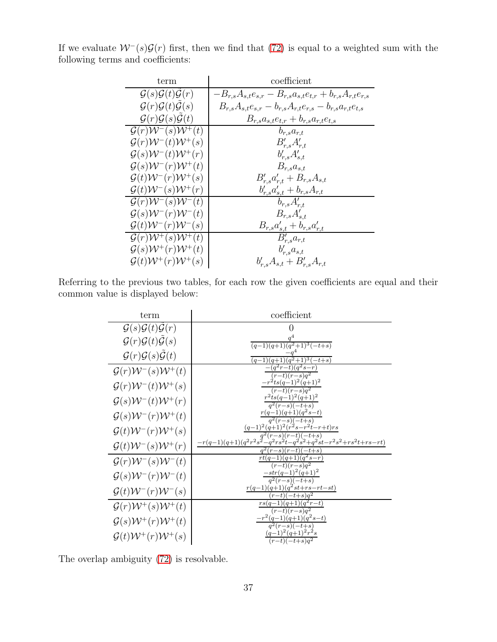| term                                                 | coefficient                                                              |
|------------------------------------------------------|--------------------------------------------------------------------------|
| $\mathcal{G}(s)\mathcal{G}(t)\mathcal{G}(r)$         | $-B_{r,s}A_{s,t}e_{s,r} - B_{r,s}a_{s,t}e_{t,r} + b_{r,s}A_{r,t}e_{r,s}$ |
| $\mathcal{G}(r)\mathcal{G}(t)\mathcal{G}(s)$         | $B_{r,s}A_{s,t}e_{s,r}-b_{r,s}A_{r,t}e_{r,s}-b_{r,s}a_{r,t}e_{t,s}$      |
| $\mathcal{G}(r)\mathcal{G}(s)\tilde{\mathcal{G}}(t)$ | $B_{r,s}a_{s,t}e_{t,r} + b_{r,s}a_{r,t}e_{t,s}$                          |
| $\mathcal{G}(r)\mathcal{W}^-(s)\mathcal{W}^+(t)$     | $b_{r,s}a_{r,t}$                                                         |
| $\mathcal{G}(r)\mathcal{W}^-(t)\mathcal{W}^+(s)$     | $B'_{r,s}A'_{r,t}$                                                       |
| $\mathcal{G}(s)\mathcal{W}^-(t)\mathcal{W}^+(r)$     | $b'_{r,s}A'_{s,t}$                                                       |
| $\mathcal{G}(s)\mathcal{W}^-(r)\mathcal{W}^+(t)$     | $B_{r,s}a_{s,t}$                                                         |
| $\mathcal{G}(t)\mathcal{W}^-(r)\mathcal{W}^+(s)$     | $B'_{r,s}a'_{r,t} + B_{r,s}A_{s,t}$                                      |
| $\mathcal{G}(t)\mathcal{W}^-(s)\mathcal{W}^+(r)$     | $b'_{r,s}a'_{s,t} + b_{r,s}A_{r,t}$                                      |
| $\mathcal{G}(r)\mathcal{W}^{-}(s)\mathcal{W}^{-}(t)$ | $b_{r,s}A'_{r,t}$                                                        |
| $\mathcal{G}(s)\mathcal{W}^-(r)\mathcal{W}^-(t)$     | $B_{r,s}A'_{s,t}$                                                        |
| $\mathcal{G}(t)\mathcal{W}^-(r)\mathcal{W}^-(s)$     |                                                                          |
| $\mathcal{G}(r)\mathcal{W}^+(s)\mathcal{W}^+(t)$     | $\frac{B_{r,s}a'_{s,t} + b_{r,s}a'_{r,t}}{B'_{r,s}a_{r,t}}$              |
| $\mathcal{G}(s) \mathcal{W}^+(r) \mathcal{W}^+(t)$   | $b'_{r,s}a_{s,t}$                                                        |
| $\mathcal{G}(t)\mathcal{W}^+(r)\mathcal{W}^+(s)$     | $b'_{r,s}A_{s,t} + B'_{r,s}A_{r,t}$                                      |

If we evaluate  $W^-(s)\mathcal{G}(r)$  first, then we find that [\(72\)](#page-35-0) is equal to a weighted sum with the following terms and coefficients:

Referring to the previous two tables, for each row the given coefficients are equal and their common value is displayed below:

| term                                               | coefficient                                                                                   |
|----------------------------------------------------|-----------------------------------------------------------------------------------------------|
| $\mathcal{G}(s)\mathcal{G}(t)\mathcal{G}(r)$       |                                                                                               |
| $\mathcal{G}(r)\mathcal{G}(t)\mathcal{G}(s)$       | $(q-1)(q+1)(q^2+1)^3(-t+s)$                                                                   |
| $\mathcal{G}(r)\mathcal{G}(s)\mathcal{G}(t)$       | $(q-1)(q+1)(q^2+1)^3(-t+s)$                                                                   |
| $\mathcal{G}(r)\mathcal{W}^-(s)\mathcal{W}^+(t)$   | $(q^2r-t)(q^2s-r)$<br>$(r-t)(r-s)q^2$                                                         |
| $\mathcal{G}(r)\mathcal{W}^-(t)\mathcal{W}^+(s)$   | $-r^2ts(q-1)^2(q+1)^2$<br>$(r-t)(r-s)q^2$                                                     |
| $\mathcal{G}(s)\mathcal{W}^-(t)\mathcal{W}^+(r)$   | $r^2$ ts $(q-1)^2(q+1)^2$<br>$q^2(r-s)(-t+s)$                                                 |
| $\mathcal{G}(s)\mathcal{W}^-(r)\mathcal{W}^+(t)$   | $r(q-1)(q+1)(q^2s-t)$<br>$\frac{q^2(r-s)(-t+s)}{q^2(r-s)}$                                    |
| $\mathcal{G}(t)\mathcal{W}^-(r)\mathcal{W}^+(s)$   | $(q-1)^2(q+1)^2(r^2s-r^2t-r+t)rs$<br>$q^{2}(r-s)(r-t)(-t+s)$                                  |
| $\mathcal{G}(t)\mathcal{W}^-(s)\mathcal{W}^+(r)$   | $-r(q-1)(q+1)(q^2r^2s^2-q^2rs^2t-q^2s^2+q^2st-r^2s^2+rs^2t+rs-rt)$<br>$q^{2}(r-s)(r-t)(-t+s)$ |
| $\mathcal{G}(r)\mathcal{W}^-(s)\mathcal{W}^-(t)$   | $rt(q-1)(q+1)\overline{(q^2s-r)}$<br>$(r-t)(r-s)q^2$                                          |
| $\mathcal{G}(s)\mathcal{W}^-(r)\mathcal{W}^-(t)$   | $-str(q-1)^2(q+1)^2$<br>$q^2(r-s)(-t+s)$                                                      |
| $\mathcal{G}(t)\mathcal{W}^-(r)\mathcal{W}^-(s)$   | $r(q-1)(q+1)(q^2st+rs-rt-st)$<br>$-t)(-t+s)q^2$<br>r                                          |
| $\mathcal{G}(r)\mathcal{W}^+(s)\mathcal{W}^+(t)$   | $rs(q-1)(q+1)(q^{2}r-t)$<br>$(r-t)(r-s)q^2$                                                   |
| $\mathcal{G}(s) \mathcal{W}^+(r) \mathcal{W}^+(t)$ | $-r^2(q-1)(q+1)(q^2s-t)$<br>$\overline{q^2(r-s)(-t+s)}$                                       |
| $\mathcal{G}(t)\mathcal{W}^+(r)\mathcal{W}^+(s)$   | $(q-1)^2(q+1)^2r^2s$<br>$\overline{(r-t)(-t+s)q^2}$                                           |

The overlap ambiguity [\(72\)](#page-35-0) is resolvable.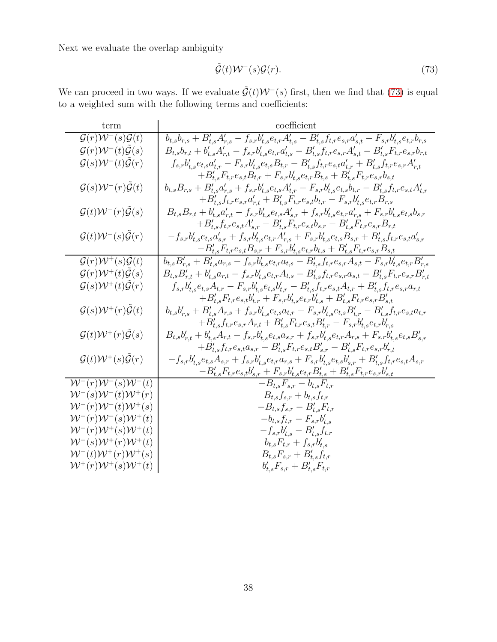<span id="page-37-0"></span>
$$
\tilde{\mathcal{G}}(t)\mathcal{W}^-(s)\mathcal{G}(r). \tag{73}
$$

We can proceed in two ways. If we evaluate  $\tilde{\mathcal{G}}(t)\mathcal{W}^-(s)$  first, then we find that [\(73\)](#page-37-0) is equal to a weighted sum with the following terms and coefficients:

| term                                                     | coefficient                                                                                                                                                         |
|----------------------------------------------------------|---------------------------------------------------------------------------------------------------------------------------------------------------------------------|
| $\mathcal{G}(r)\mathcal{W}^-(s)\mathcal{G}(t)$           | $b_{t,s}b_{r,s} + B'_{t,s}A'_{r,s} - f_{s,r}b'_{t,s}e_{t,r}A'_{t,s} - B'_{t,s}f_{t,r}e_{s,r}a'_{s,t} - F_{s,r}b'_{t,s}e_{t,r}b_{r,s}$                               |
| $\mathcal{G}(r)\mathcal{W}^-(t)\tilde{\mathcal{G}}(s)$   | $B_{t,s}b_{r,t}+b'_{t,s}A'_{r,t}-f_{s,r}b'_{t,s}e_{t,r}a'_{t,s}-B'_{t,s}f_{t,r}e_{s,r}A'_{s,t}-B'_{t,s}F_{t,r}e_{s,r}b_{r,t}$                                       |
| $\mathcal{G}(s)\mathcal{W}^-(t)\tilde{\mathcal{G}}(r)$   | $f_{s,r}b'_{t,s}e_{t,s}a'_{t,r}-F_{s,r}b'_{t,s}e_{t,s}B_{t,r}-B'_{t,s}f_{t,r}e_{s,t}a'_{t,r}+B'_{t,s}f_{t,r}e_{s,r}A'_{r,t}$                                        |
|                                                          | $+ B_{t,s}'F_{t,r}e_{s,t}B_{t,r} + F_{s,r}b_{t,s}'e_{t,r}B_{t,s} + B_{t,s}'F_{t,r}e_{s,r}b_{s,t} \label{eq:1}$                                                      |
| $\mathcal{G}(s)\mathcal{W}^-(r)\tilde{\mathcal{G}}(t)$   | $b_{t,s} B_{r,s} + B'_{t,s} a'_{r,s} + f_{s,r} b'_{t,s} e_{t,s} A'_{t,r} - F_{s,r} b'_{t,s} e_{t,s} b_{t,r} - B'_{t,s} f_{t,r} e_{s,t} A'_{t,r}$                    |
|                                                          | $+B'_{t,s}f_{t,r}e_{s,r}a'_{r,t}+B'_{t,s}F_{t,r}e_{s,t}b_{t,r}-F_{s,r}b'_{t,s}e_{t,r}B_{r,s}$                                                                       |
| $\mathcal{G}(t)\mathcal{W}^-(r)\tilde{\mathcal{G}}(s)$   | $B_{t,s} B_{r,t} + b'_{t,s} a'_{r,t} - f_{s,r} b'_{t,s} e_{t,s} A'_{s,r} + f_{s,r} b'_{t,s} e_{t,r} a'_{r,s} + F_{s,r} b'_{t,s} e_{t,s} b_{s,r} \label{eq:1}$       |
|                                                          | $+B'_{t,s}f_{t,r}e_{s,t}A'_{s,r}-B'_{t,s}F_{t,r}e_{s,t}b_{s,r}-B'_{t,s}F_{t,r}e_{s,r}B_{r,t}$                                                                       |
| $\mathcal{G}(t)\mathcal{W}^-(s)\tilde{\mathcal{G}}(r)$   | $-f_{s,r}b'_{t,s}e_{t,s}a'_{s,r}+f_{s,r}b'_{t,s}e_{t,r}A'_{r,s}+F_{s,r}b'_{t,s}e_{t,s}B_{s,r}+B'_{t,s}f_{t,r}e_{s,t}a'_{s,r}$                                       |
|                                                          | $-B'_{t,s}F_{t,r}e_{s,t}B_{s,r}+F_{s,r}b'_{t,s}e_{t,r}b_{t,s}+B'_{t,s}F_{t,r}e_{s,r}B_{s,t}$                                                                        |
| $\mathcal{G}(r)\mathcal{W}^{+}(s)\tilde{\mathcal{G}}(t)$ | $b_{t,s}B'_{r,s} + B'_{t,s}a_{r,s} - f_{s,r}b'_{t,s}e_{t,r}a_{t,s} - B'_{t,s}f_{t,r}e_{s,r}A_{s,t} - F_{s,r}b'_{t,s}e_{t,r}B'_{r,s}$                                |
| $\mathcal{G}(r)\mathcal{W}^+(t)\tilde{\mathcal{G}}(s)$   | $B_{t,s}B'_{r,t} + b'_{t,s}a_{r,t} - f_{s,r}b'_{t,s}e_{t,r}A_{t,s} - B'_{t,s}f_{t,r}e_{s,r}a_{s,t} - B'_{t,s}F_{t,r}e_{s,r}B'_{r,t}$                                |
| $\mathcal{G}(s)\mathcal{W}^+(t)\mathcal{\tilde{G}}(r)$   | $f_{s,r}b'_{t,s}e_{t,s}A_{t,r}-F_{s,r}b'_{t,s}e_{t,s}b'_{t,r}-B'_{t,s}f_{t,r}e_{s,t}A_{t,r}+B'_{t,s}f_{t,r}e_{s,r}a_{r,t}$                                          |
|                                                          | $+ B_{t,s}'F_{t,r}e_{s,t}b_{t,r}' + F_{s,r}b_{t,s}'e_{t,r}b_{t,s}' + B_{t,s}'F_{t,r}e_{s,r}B_{s,t}'$                                                                |
| $\mathcal{G}(s)\mathcal{W}^+(r)\tilde{\mathcal{G}}(t)$   | $b_{t,s}b'_{r,s} + B'_{t,s}A_{r,s} + f_{s,r}b'_{t,s}e_{t,s}a_{t,r} - F_{s,r}b'_{t,s}e_{t,s}B'_{t,r} - B'_{t,s}f_{t,r}e_{s,t}a_{t,r}$                                |
|                                                          | $+ B'_{t,s} f_{t,r} e_{s,r} A_{r,t} + B'_{t,s} F_{t,r} e_{s,t} B'_{t,r} - F_{s,r} b'_{t,s} e_{t,r} b'_{r,s}$                                                        |
| $\mathcal{G}(t)\mathcal{W}^+(r)\tilde{\mathcal{G}}(s)$   | $B_{t,s}b'_{r,t} + b'_{t,s}A_{r,t} - f_{s,r}b'_{t,s}e_{t,s}a_{s,r} + f_{s,r}b'_{t,s}e_{t,r}A_{r,s} + F_{s,r}b'_{t,s}e_{t,s}B'_{s,r}$                                |
|                                                          | $+B'_{t,s}f_{t,r}e_{s,t}a_{s,r}-B'_{t,s}F_{t,r}e_{s,t}B'_{s,r}-B'_{t,s}F_{t,r}e_{s,r}b'_{r,t}$                                                                      |
| $\mathcal{G}(t)\mathcal{W}^+(s)\tilde{\mathcal{G}}(r)$   | $-f_{s,r}b_{t,s}^{\prime}e_{t,s}A_{s,r}+f_{s,r}b_{t,s}^{\prime}e_{t,r}a_{r,s}+F_{s,r}b_{t,s}^{\prime}e_{t,s}b_{s,r}^{\prime}+B_{t,s}^{\prime}f_{t,r}e_{s,t}A_{s,r}$ |
|                                                          | $-B'_{t,s}F_{t,r}e_{s,t}b'_{s,r}+F_{s,r}b'_{t,s}e_{t,r}B'_{t,s}+B'_{t,s}F_{t,r}e_{s,r}b'_{s,t}$                                                                     |
| $W^-(r)W^-(s)W^-(t)$                                     | $-B_{t,s}F_{s,r} - b_{t,s}F_{t,r}$                                                                                                                                  |
| ${\cal W}^{-}(s){\cal W}^{-}(t){\cal W}^{+}(r)$          | $B_{t,s} f_{s,r} + b_{t,s} f_{t,r}$                                                                                                                                 |
| $W^-(r)W^-(t)W^+(s)$                                     | $-B_{t,s}f_{s,r}-B_{t,s}^{\prime}F_{t,r}$                                                                                                                           |
| $W^-(r)W^-(s)W^+(t)$                                     | $-b_{t,s}f_{t,r} - F_{s,r}b'_{t,s}$                                                                                                                                 |
| $W^-(r)W^+(s)W^+(t)$                                     | $-f_{s,r}b'_{t,s} - B'_{t,s}f_{t,r}$                                                                                                                                |
| $W^-(s)W^+(r)W^+(t)$                                     | $b_{t,s}F_{t,r} + f_{s,r}b'_{t,s}$                                                                                                                                  |
| $W^-(t)W^+(r)W^+(s)$                                     | $B_{t,s}F_{s,r} + B'_{t,s}f_{t,r}$                                                                                                                                  |
| $\mathcal{W}^+(r)\mathcal{W}^+(s)\mathcal{W}^+(t)$       | $b'_{t,s}F_{s,r} + B'_{t,s}F_{t,r}$                                                                                                                                 |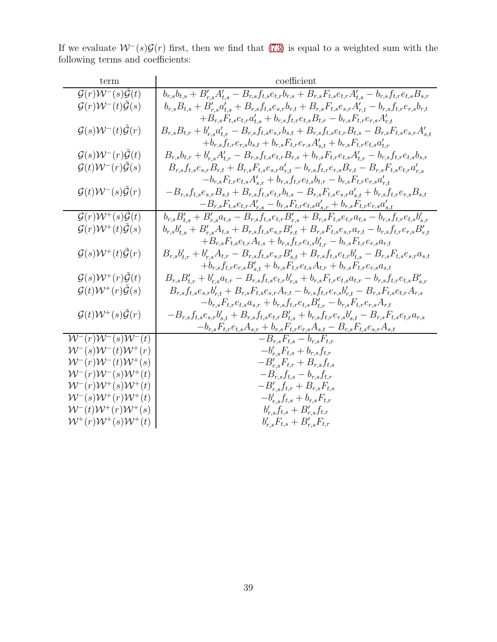If we evaluate  $W^-(s)\mathcal{G}(r)$  first, then we find that [\(73\)](#page-37-0) is equal to a weighted sum with the following terms and coefficients:

| term                                                              | coefficient                                                                                                                                       |
|-------------------------------------------------------------------|---------------------------------------------------------------------------------------------------------------------------------------------------|
| $\mathcal{G}(r)\mathcal{W}^-(s)\tilde{\mathcal{G}}(t)$            | $b_{r,s}b_{t,s} + B'_{r,s}A'_{t,s} - B_{r,s}f_{t,s}e_{t,r}b_{r,s} + B_{r,s}F_{t,s}e_{t,r}A'_{t,s} - b_{r,s}f_{t,r}e_{t,s}B_{s,r}$                 |
| $\mathcal{G}(r)\mathcal{W}^-(t)\mathcal{G}(s)$                    | $b_{r,s}B_{t,s} + B'_{r,s}a'_{t,s} + B_{r,s}f_{t,s}e_{s,r}b_{r,t} + B_{r,s}F_{t,s}e_{s,r}A'_{r,t} - b_{r,s}f_{t,r}e_{r,s}b_{r,t}$                 |
|                                                                   | $+ B_{r,s} F_{t,s} e_{t,r} a_{t,s}' + b_{r,s} f_{t,r} e_{t,s} B_{t,r} - b_{r,s} F_{t,r} e_{r,s} A_{r,t}'$                                         |
| $\mathcal{G}(s)\mathcal{W}^-(t)\tilde{\mathcal{G}}(r)$            | $B_{r,s}B_{t,r} + b'_{r,s}a'_{t,r} - B_{r,s}f_{t,s}e_{s,r}b_{s,t} + B_{r,s}f_{t,s}e_{t,r}B_{t,s} - B_{r,s}F_{t,s}e_{s,r}A'_{s,t}$                 |
|                                                                   | $+ b_{r,s} f_{t,r} e_{r,s} b_{s,t} + b_{r,s} F_{t,r} e_{r,s} A_{s,t}' + b_{r,s} F_{t,r} e_{t,s} a_{t,r}'$                                         |
| $\mathcal{G}(s)\mathcal{W}^-(r)\tilde{\mathcal{G}}(t)$            | $B_{r,s}b_{t,r} + b'_{r,s}A'_{t,r} - B_{r,s}f_{t,s}e_{t,r}B_{r,s} + b_{r,s}F_{t,r}e_{t,s}A'_{t,r} - b_{r,s}f_{t,r}e_{t,s}b_{s,r}$                 |
| $\mathcal{G}(t)\mathcal{W}^-(r)\tilde{\mathcal{G}}(s)$            | $B_{r,s}f_{t,s}e_{s,r}B_{r,t}+B_{r,s}F_{t,s}e_{s,r}a_{r,t}'-b_{r,s}f_{t,r}e_{r,s}B_{r,t}-B_{r,s}F_{t,s}e_{t,r}a_{r,s}'$                           |
|                                                                   | $-b_{r,s}F_{t,r}e_{t,s}A'_{s,r}+b_{r,s}f_{t,r}e_{t,s}b_{t,r}-b_{r,s}F_{t,r}e_{r,s}a'_{r,t}$                                                       |
| $\mathcal{G}(t)\mathcal{W}^-(s)\mathcal{\tilde{G}}(r)$            | $-B_{r,s}f_{t,s}e_{s,r}B_{s,t}+B_{r,s}f_{t,s}e_{t,r}b_{t,s}-B_{r,s}F_{t,s}e_{s,r}a'_{s,t}+b_{r,s}f_{t,r}e_{r,s}B_{s,t}$                           |
|                                                                   | $-B_{r,s}F_{t,s}e_{t,r}A_{r,s}' - b_{r,s}F_{t,r}e_{t,s}a_{s,r}' + b_{r,s}F_{t,r}e_{r,s}a_{s,t}'$                                                  |
| $\mathcal{G}(r)\overline{\mathcal{W}^+(s)\tilde{\mathcal{G}}(t)}$ | $b_{r,s}B'_{t,s} + B'_{r,s}a_{t,s} - B_{r,s}f_{t,s}e_{t,r}B'_{r,s} + B_{r,s}F_{t,s}e_{t,r}a_{t,s} - b_{r,s}f_{t,r}e_{t,s}b'_{s,r}$                |
| $\mathcal{G}(r)\mathcal{W}^+(t)\tilde{\mathcal{G}}(s)$            | $b_{r,s}b'_{t,s} + B'_{r,s}A_{t,s} + B_{r,s}f_{t,s}e_{s,r}B'_{r,t} + B_{r,s}F_{t,s}e_{s,r}a_{r,t} - b_{r,s}f_{t,r}e_{r,s}B'_{r,t}$                |
|                                                                   | $+B_{r,s}F_{t,s}e_{t,r}A_{t,s}+b_{r,s}f_{t,r}e_{t,s}b'_{t,r}-b_{r,s}F_{t,r}e_{r,s}a_{r,t}$                                                        |
| $\mathcal{G}(s)\mathcal{W}^+(t)\mathcal{\tilde{G}}(r)$            | $B_{r,s}b'_{t,r} + b'_{r,s}A_{t,r} - B_{r,s}f_{t,s}e_{s,r}B'_{s,t} + B_{r,s}f_{t,s}e_{t,r}b'_{t,s} - B_{r,s}F_{t,s}e_{s,r}a_{s,t}$                |
|                                                                   | $+b_{r,s}f_{t,r}e_{r,s}B'_{s,t}+b_{r,s}F_{t,r}e_{t,s}A_{t,r}+b_{r,s}F_{t,r}e_{r,s}a_{s,t}$                                                        |
| $\mathcal{G}(s)\mathcal{W}^+(r)\tilde{\mathcal{G}}(t)$            | $B_{r,s}B'_{t,r} + b'_{r,s}a_{t,r} - B_{r,s}f_{t,s}e_{t,r}b'_{r,s} + b_{r,s}F_{t,r}e_{t,s}a_{t,r} - b_{r,s}f_{t,r}e_{t,s}B'_{s,r}$                |
| $\mathcal{G}(t)\mathcal{W}^+(r)\tilde{\mathcal{G}}(s)$            | $B_{r,s}f_{t,s}e_{s,r}b'_{r,t} + B_{r,s}F_{t,s}e_{s,r}A_{r,t} - b_{r,s}f_{t,r}e_{r,s}b'_{r,t} - B_{r,s}F_{t,s}e_{t,r}A_{r,s}$                     |
|                                                                   | $-b_{r,s}F_{t,r}e_{t,s}a_{s,r}+b_{r,s}f_{t,r}e_{t,s}B'_{t,r}-b_{r,s}F_{t,r}e_{r,s}A_{r,t}$                                                        |
| $\mathcal{G}(t)\mathcal{W}^{+}(s)\tilde{\mathcal{G}}(r)$          | $-B_{r,s}f_{t,s}e_{s,r}b_{s,t}^{\prime}+B_{r,s}f_{t,s}e_{t,r}B_{t,s}^{\prime}+b_{r,s}f_{t,r}e_{r,s}b_{s,t}^{\prime}-B_{r,s}F_{t,s}e_{t,r}a_{r,s}$ |
|                                                                   | $-b_{r,s}F_{t,r}e_{t,s}A_{s,r}+b_{r,s}F_{t,r}e_{r,s}A_{s,t}-B_{r,s}F_{t,s}e_{s,r}A_{s,t}$                                                         |
| $W^-(r)W^-(s)W^-(t)$                                              | $-\boldsymbol{B}_{r,s}\boldsymbol{F}_{t,s} - \boldsymbol{b}_{r,s}\boldsymbol{F}_{t,r}$                                                            |
| ${\cal W}^{-}(s){\cal W}^{-}(t){\cal W}^{+}(r)$                   | $-b'_{r,s}F_{t,s} + b_{r,s}f_{t,r}$                                                                                                               |
| $\mathcal{W}^-(r)\mathcal{W}^-(t)\mathcal{W}^+(s)$                | $-B'_{r,s}F_{t,r}+B_{r,s}f_{t,s}$                                                                                                                 |
| $W^-(r)W^-(s)W^+(t)$                                              | $-B_{r,s}f_{t,s} - b_{r,s}f_{t,r}$                                                                                                                |
| $W^-(r)W^+(s)W^+(t)$                                              | $-B'_{r,s}f_{t,r}+B_{r,s}F_{t,s}$                                                                                                                 |
| ${\cal W}^{-}(s){\cal W}^{+}(r){\cal W}^{+}(t)$                   | $-b'_{r,s}f_{t,s} + b_{r,s}F_{t,r}$                                                                                                               |
| $\mathcal{W}^-(t)\mathcal{W}^+(r)\mathcal{W}^+(s)$                | $b'_{r,s}f_{t,s} + B'_{r,s}f_{t,r}$                                                                                                               |
| $\mathcal{W}^+(r)\mathcal{W}^+(s)\mathcal{W}^+(t)$                | $b'_{r,s}F_{t,s} + B'_{r,s}F_{t,r}$                                                                                                               |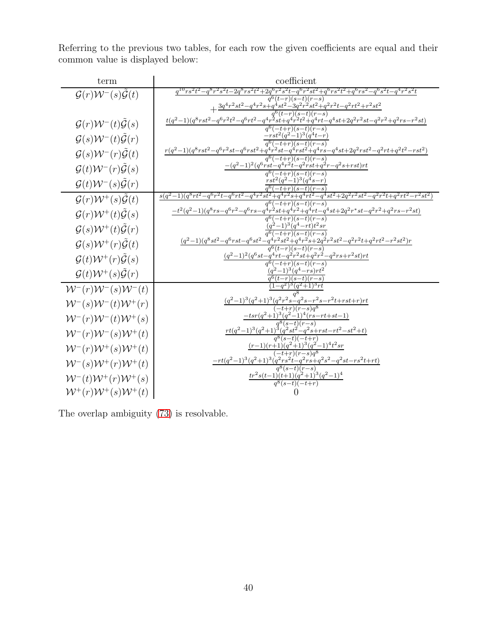Referring to the previous two tables, for each row the given coefficients are equal and their common value is displayed below:

| term                                                     | coefficient                                                                                                                                                       |
|----------------------------------------------------------|-------------------------------------------------------------------------------------------------------------------------------------------------------------------|
| $\mathcal{G}(r)\mathcal{W}^-(s)\mathcal{G}(t)$           | $q^{10}rs^2t^2 - q^8r^2s^2t - 2q^8rs^2t^2 + 2q^6r^2s^2t - q^6r^2st^2 + q^6rs^2t^2 + q^6rs^2 - q^6s^2t - q^4r^2s^2t$<br>$-r)(s-t)(r-s)$                            |
|                                                          | $+\frac{3q^4r^2st^2-q^4r^2s+q^3st^2-3q^2r^2st^2+q^2r^2t-q^2rt^2+r^2st^2}{q^6(t-r)(s-t)(r-s)}$                                                                     |
| $\mathcal{G}(r)\mathcal{W}^-(t)\tilde{\mathcal{G}}(s)$   | $\frac{t(q^2-1)(q^8rst^2-q^6r^2t^2-q^6rt^2-q^4r^{\frac{3}{2}}st+q^{4}r^2t^2+q^4rt-q^4st+2q^2r^2st-q^2r^2+q^2rs-r^2st)}$                                           |
|                                                          |                                                                                                                                                                   |
| $\mathcal{G}(s)\mathcal{W}^-(t)\tilde{\mathcal{G}}(r)$   | $-\frac{rst^2(q^2-1)^3(q^4t-r)}{q^6(-t+r)(s-t)(r-s)}$<br>$\frac{r(q^2-1)(q^8rst^2-q^6r^2st-q^6rst^2+q^4r^2st-q^4rst^2+q^4rs-q^4st+2q^2rst^2-q^2rt+q^2t^2-rst^2)}$ |
| $\mathcal{G}(s)\mathcal{W}^-(r)\tilde{\mathcal{G}}(t)$   |                                                                                                                                                                   |
| $\mathcal{G}(t)\mathcal{W}^-(r)\tilde{\mathcal{G}}(s)$   | $-(q^2-1)^2(q^6rst-q^4r^2t-q^2rst+q^2r-q^2s+rst)rt$<br>$q^{6}(-t+r)(s-t)(r-s)$                                                                                    |
| $\mathcal{G}(t)\mathcal{W}^-(s)\tilde{\mathcal{G}}(r)$   | $rst^2(q^2-1)^3(q^4s-r)$                                                                                                                                          |
| $\mathcal{G}(r)\mathcal{W}^+(s)\tilde{\mathcal{G}}(t)$   | $q^{6}(-t+r)(s-t)(r-s)$<br>$s(q^2-1)(q^8rt^2-q^6r^2t-q^6rt^2-q^4r^2st^2+q^4r^2s+q^4rt^2-q^4st^2+2q^2r^2st^2-q^2r^2t+q^2rt^2-r^2st^2$                              |
|                                                          | $q^{6}(-t+r)(s-t)(r-s)$<br>$-t^2(q^2-1)(q^8rs-q^6r^2-q^6rs-q^4r^2st+q^4r^2+q^4rt-q^4st+2q^2r^*st-q^2r^2+q^2rs-r^2st)$                                             |
| $\mathcal{G}(r)\mathcal{W}^+(t)\tilde{\mathcal{G}}(s)$   | $q^6(-t+r)(\overline{s-t})(r-s)$<br>$(-1)^3(q^4-rt)t^2sr$                                                                                                         |
| $\mathcal{G}(s) \mathcal{W}^+(t) \tilde{\mathcal{G}}(r)$ | $(q^2)$<br>$\frac{q^6(-t+r)(s-t)(r-s)}{q^6(s^2-q^6rst^2-q^4r^2st^2+q^4r^2s+2q^2r^2st^2-q^2r^2t+q^2rt^2-r^2st^2)r}$                                                |
| $\mathcal{G}(s)\mathcal{W}^+(r)\tilde{\mathcal{G}}(t)$   |                                                                                                                                                                   |
| $\mathcal{G}(t)\mathcal{W}^+(r)\tilde{\mathcal{G}}(s)$   | $\frac{(q^2-1)^2(q^6st-q^4rt-q^2r^2st+q^2r^2-q^2rs+r^2st)rt}{q^6(-t+r)(s-t)(r-s)}$                                                                                |
| $\mathcal{G}(t)\mathcal{W}^+(s)\tilde{\mathcal{G}}(r)$   | $(q^2-1)^3(q^4-rs)rt^2$                                                                                                                                           |
|                                                          | $q^{6}(t-r)(s-t)(r-s)$<br>$-q^2\sqrt{3}(a^2+1)^3rt$                                                                                                               |
| $W^-(r)W^-(s)W^-(t)$                                     | $(q^2-1)^3(q^2+1)^3(q^2r^2s-q^2s-r^2s-r^2t+rst+r)rt$                                                                                                              |
| $W^-(s)W^-(t)W^+(r)$                                     | $-t+r(r-s)q^8$                                                                                                                                                    |
| $W^-(r)W^-(t)W^+(s)$                                     | $-tsr(q^2+1)^3(q^2-1)^4(rs-rt+st-1)$<br>$7^{8}(s-t)(r-s)$                                                                                                         |
| $W^-(r)W^-(s)W^+(t)$                                     | $rt(q^2-1)^3(q^2+1)^3(q^2st^2-q^2s+rst-rt^2-st^2+t)$<br>$q^{8}(s-t)(-t+r)$                                                                                        |
| $W^-(r)W^+(s)W^+(t)$                                     | $\frac{(r-1)(r+1)(q^2+1)^3(q^2-1)^4t^2sr}{(-t+r)(r-s)q^8}$                                                                                                        |
| $W^-(s)W^+(r)W^+(t)$                                     | $\frac{-rt(q^2-1)^3(q^2+1)^3(q^2rs^2t-q^2rs+q^2s^2-q^2st-rs^2t+rt)}{q^8(s-t)(r-s)}$                                                                               |
|                                                          |                                                                                                                                                                   |
| $W^-(t)W^+(r)W^+(s)$                                     | $\frac{tr^2s(t-1)(t+1)(q^2+1)^3(q^2-1)^4}{q^8(s-t)(-t+r)}$                                                                                                        |
| $W^+(r)W^+(s)W^+(t)$                                     |                                                                                                                                                                   |

The overlap ambiguity [\(73\)](#page-37-0) is resolvable.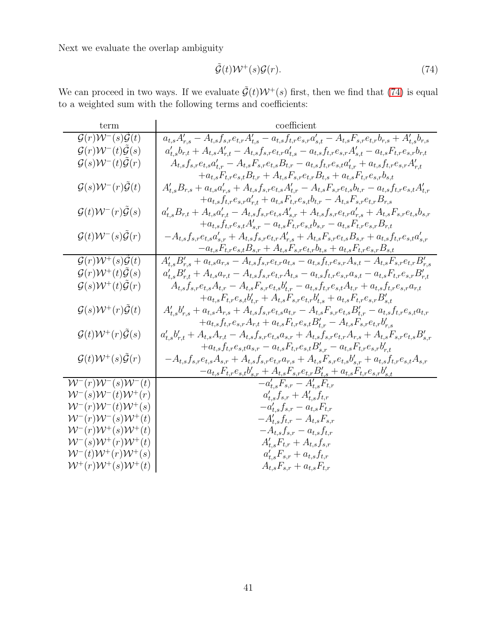<span id="page-40-0"></span>
$$
\tilde{\mathcal{G}}(t)\mathcal{W}^+(s)\mathcal{G}(r). \tag{74}
$$

We can proceed in two ways. If we evaluate  $\tilde{\mathcal{G}}(t)\mathcal{W}^+(s)$  first, then we find that [\(74\)](#page-40-0) is equal to a weighted sum with the following terms and coefficients:

| term                                                     | coefficient                                                                                                                                                |
|----------------------------------------------------------|------------------------------------------------------------------------------------------------------------------------------------------------------------|
| $\mathcal{G}(r)\mathcal{W}^-(s)\mathcal{G}(t)$           | $a_{t,s}A_{r,s}^{\prime}-A_{t,s}f_{s,r}e_{t,r}A_{t,s}^{\prime}-a_{t,s}f_{t,r}e_{s,r}a_{s,t}^{\prime}-A_{t,s}F_{s,r}e_{t,r}b_{r,s}+A_{t,s}^{\prime}b_{r,s}$ |
| $\mathcal{G}(r)\mathcal{W}^-(t)\tilde{\mathcal{G}}(s)$   | $a'_{t,s}b_{r,t} + A_{t,s}A'_{r,t} - A_{t,s}f_{s,r}e_{t,r}a'_{t,s} - a_{t,s}f_{t,r}e_{s,r}A'_{s,t} - a_{t,s}F_{t,r}e_{s,r}b_{r,t}$                         |
| $\mathcal{G}(s)\mathcal{W}^-(t)\mathcal{\tilde{G}}(r)$   | $A_{t,s}f_{s,r}e_{t,s}a'_{t,r}-A_{t,s}F_{s,r}e_{t,s}B_{t,r}-a_{t,s}f_{t,r}e_{s,t}a'_{t,r}+a_{t,s}f_{t,r}e_{s,r}A'_{r,t}$                                   |
|                                                          | $+a_{t,s}F_{t,r}e_{s,t}B_{t,r}+A_{t,s}F_{s,r}e_{t,r}B_{t,s}+a_{t,s}F_{t,r}e_{s,r}b_{s,t}$                                                                  |
| $\mathcal{G}(s)\mathcal{W}^-(r)\tilde{\mathcal{G}}(t)$   | $A'_{t,s}B_{r,s} + a_{t,s}a'_{r,s} + A_{t,s}f_{s,r}e_{t,s}A'_{t,r} - A_{t,s}F_{s,r}e_{t,s}b_{t,r} - a_{t,s}f_{t,r}e_{s,t}A'_{t,r}$                         |
|                                                          | $+a_{t,s}f_{t,r}e_{s,r}a'_{r,t} + a_{t,s}F_{t,r}e_{s,t}b_{t,r} - A_{t,s}F_{s,r}e_{t,r}B_{r,s}$                                                             |
| $\mathcal{G}(t)\mathcal{W}^-(r)\tilde{\mathcal{G}}(s)$   | $a_{t,s}^{\prime}B_{r,t}+A_{t,s}a_{r,t}^{\prime}-A_{t,s}f_{s,r}e_{t,s}A_{s,r}^{\prime}+A_{t,s}f_{s,r}e_{t,r}a_{r,s}^{\prime}+A_{t,s}F_{s,r}e_{t,s}b_{s,r}$ |
|                                                          | $+a_{t,s}f_{t,r}e_{s,t}A'_{s,r}-a_{t,s}F_{t,r}e_{s,t}b_{s,r}-a_{t,s}F_{t,r}e_{s,r}B_{r,t}$                                                                 |
| $\mathcal{G}(t)\mathcal{W}^-(s)\tilde{\mathcal{G}}(r)$   | $-A_{t,s}f_{s,r}e_{t,s}a'_{s,r}+A_{t,s}f_{s,r}e_{t,r}A'_{r,s}+A_{t,s}F_{s,r}e_{t,s}B_{s,r}+a_{t,s}f_{t,r}e_{s,t}a'_{s,r}$                                  |
|                                                          | $-a_{t,s}F_{t,r}e_{s,t}B_{s,r}+A_{t,s}F_{s,r}e_{t,r}b_{t,s}+a_{t,s}F_{t,r}e_{s,r}B_{s,t}$                                                                  |
| $\mathcal{G}(r)\mathcal{W}^{+}(s)\tilde{\mathcal{G}}(t)$ | $A'_{t,s}B'_{r,s} + a_{t,s}a_{r,s} - A_{t,s}f_{s,r}e_{t,r}a_{t,s} - a_{t,s}f_{t,r}e_{s,r}A_{s,t} - A_{t,s}F_{s,r}e_{t,r}B'_{r,s}$                          |
| $\mathcal{G}(r)\mathcal{W}^+(t)\tilde{\mathcal{G}}(s)$   | $a'_{t,s} B'_{r,t} + A_{t,s} a_{r,t} - A_{t,s} f_{s,r} e_{t,r} A_{t,s} - a_{t,s} f_{t,r} e_{s,r} a_{s,t} - a_{t,s} F_{t,r} e_{s,r} B'_{r,t}$               |
| $\mathcal{G}(s)\mathcal{W}^+(t)\tilde{\mathcal{G}}(r)$   | $A_{t,s}f_{s,r}e_{t,s}A_{t,r}-A_{t,s}F_{s,r}e_{t,s}b'_{t,r}-a_{t,s}f_{t,r}e_{s,t}A_{t,r}+a_{t,s}f_{t,r}e_{s,r}a_{r,t}$                                     |
|                                                          | $+a_{t,s}F_{t,r}e_{s,t}b'_{t,r}+A_{t,s}F_{s,r}e_{t,r}b'_{t,s}+a_{t,s}F_{t,r}e_{s,r}B'_{s,t}$                                                               |
| $\mathcal{G}(s)\mathcal{W}^+(r)\tilde{\mathcal{G}}(t)$   | $A'_{t,s}b'_{r,s} + a_{t,s}A_{r,s} + A_{t,s}f_{s,r}e_{t,s}a_{t,r} - A_{t,s}F_{s,r}e_{t,s}B'_{t,r} - a_{t,s}f_{t,r}e_{s,t}a_{t,r}$                          |
|                                                          | $+ a_{t,s} f_{t,r} e_{s,r} A_{r,t} + a_{t,s} F_{t,r} e_{s,t} B'_{t,r} - A_{t,s} F_{s,r} e_{t,r} b'_{r,s}$                                                  |
| $\mathcal{G}(t)\mathcal{W}^+(r)\tilde{\mathcal{G}}(s)$   | $a'_{t,s}b'_{r,t} + A_{t,s}A_{r,t} - A_{t,s}f_{s,r}e_{t,s}a_{s,r} + A_{t,s}f_{s,r}e_{t,r}A_{r,s} + A_{t,s}F_{s,r}e_{t,s}B'_{s,r}$                          |
|                                                          | $+a_{t,s}f_{t,r}e_{s,t}a_{s,r}-a_{t,s}F_{t,r}e_{s,t}B'_{s,r}-a_{t,s}F_{t,r}e_{s,r}b'_{r,t}$                                                                |
| $\mathcal{G}(t)\mathcal{W}^{+}(s)\tilde{\mathcal{G}}(r)$ | $-A_{t,s}f_{s,r}e_{t,s}A_{s,r}+A_{t,s}f_{s,r}e_{t,r}a_{r,s}+A_{t,s}F_{s,r}e_{t,s}b'_{s,r}+a_{t,s}f_{t,r}e_{s,t}A_{s,r}$                                    |
|                                                          | $-a_{t,s}F_{t,r}e_{s,t}b'_{s,r}+A_{t,s}F_{s,r}e_{t,r}B'_{t,s}+a_{t,s}F_{t,r}e_{s,r}b'_{s,t}$                                                               |
| $W^-(r)W^-(s)W^-(t)$                                     | $-a'_{t,s}F_{s,r} - A'_{t,s}F_{t,r}$                                                                                                                       |
| ${\cal W}^{-}(s){\cal W}^{-}(t){\cal W}^{+}(r)$          | $a'_{t,s}f_{s,r} + A'_{t,s}f_{t,r}$                                                                                                                        |
| $W^-(r)W^-(t)W^+(s)$                                     | $-a'_{t,s}f_{s,r} - a_{t,s}F_{t,r}$                                                                                                                        |
| $W^-(r)W^-(s)W^+(t)$                                     | $-A'_{t,s}f_{t,r}-A_{t,s}F_{s,r}$                                                                                                                          |
| $W^-(r)W^+(s)W^+(t)$                                     | $-A_{t,s}f_{s,r} - a_{t,s}f_{t,r}$                                                                                                                         |
| $W^-(s)W^+(r)W^+(t)$                                     | $A'_{t,s}F_{t,r}+A_{t,s}f_{s,r}$                                                                                                                           |
| $W^-(t)W^+(r)W^+(s)$                                     | $a'_{t,s}F_{s,r} + a_{t,s}f_{t,r}$                                                                                                                         |
| $\mathcal{W}^+(r)\mathcal{W}^+(s)\mathcal{W}^+(t)$       | $A_{t,s}F_{s,r} + a_{t,s}F_{t,r}$                                                                                                                          |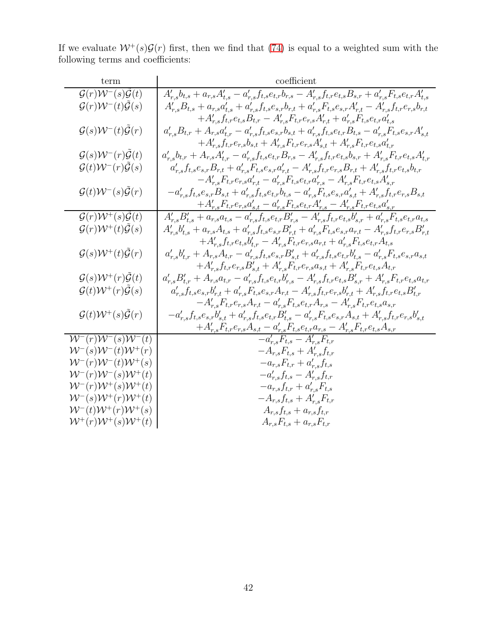If we evaluate  $W^+(s)\mathcal{G}(r)$  first, then we find that [\(74\)](#page-40-0) is equal to a weighted sum with the following terms and coefficients:

| term                                                        | coefficient                                                                                                                                                                           |
|-------------------------------------------------------------|---------------------------------------------------------------------------------------------------------------------------------------------------------------------------------------|
| $\mathcal{G}(r)\mathcal{W}^-(s)\tilde{\mathcal{G}}(t)$      | $A'_{r,s}b_{t,s} + a_{r,s}A'_{t,s} - a'_{r,s}f_{t,s}e_{t,r}b_{r,s} - A'_{r,s}f_{t,r}e_{t,s}B_{s,r} + a'_{r,s}F_{t,s}e_{t,r}A'_{t,s}$                                                  |
| $\mathcal{G}(r)\mathcal{W}^-(t)\tilde{\mathcal{G}}(s)$      | $A'_{r,s}B_{t,s} + a_{r,s}a'_{t,s} + a'_{r,s}f_{t,s}e_{s,r}b_{r,t} + a'_{r,s}F_{t,s}e_{s,r}A'_{r,t} - A'_{r,s}f_{t,r}e_{r,s}b_{r,t}$                                                  |
|                                                             | $+A'_{r,s}f_{t,r}e_{t,s}B_{t,r}-A'_{r,s}F_{t,r}e_{r,s}A'_{r,t}+a'_{r,s}F_{t,s}e_{t,r}a'_{t,s}$                                                                                        |
| $\mathcal{G}(s)\mathcal{W}^-(t)\tilde{\mathcal{G}}(r)$      | $a'_{r,s}B_{t,r} + A_{r,s}a'_{t,r} - a'_{r,s}f_{t,s}e_{s,r}b_{s,t} + a'_{r,s}f_{t,s}e_{t,r}B_{t,s} - a'_{r,s}F_{t,s}e_{s,r}A'_{s,t}$                                                  |
|                                                             | $+ A_{r,s}' f_{t,r} e_{r,s} b_{s,t} + A_{r,s}' F_{t,r} e_{r,s} A_{s,t}' + A_{r,s}' F_{t,r} e_{t,s} a_{t,r}'$                                                                          |
| $\mathcal{G}(s)\mathcal{W}^-(r)\tilde{\mathcal{G}}(t)$      | $a'_{r,s}b_{t,r} + A_{r,s}A'_{t,r} - a'_{r,s}f_{t,s}e_{t,r}B_{r,s} - A'_{r,s}f_{t,r}e_{t,s}b_{s,r} + A'_{r,s}F_{t,r}e_{t,s}A'_{t,r}$                                                  |
| $\mathcal{G}(t)\mathcal{W}^-(r)\tilde{\mathcal{G}}(s)$      | $a'_{r,s}f_{t,s}e_{s,r}B_{r,t} + a'_{r,s}F_{t,s}e_{s,r}a'_{r,t} - A'_{r,s}f_{t,r}e_{r,s}B_{r,t} + A'_{r,s}f_{t,r}e_{t,s}b_{t,r}$                                                      |
|                                                             | $-A'_{r,s}F_{t,r}e_{r,s}a'_{r,t}-a'_{r,s}F_{t,s}e_{t,r}a'_{r,s}-A'_{r,s}F_{t,r}e_{t,s}A'_{s,r}$                                                                                       |
| $\mathcal{G}(t)\mathcal{W}^-(s)\mathcal{G}(r)$              | $-a'_{r,s}f_{t,s}e_{s,r}B_{s,t}+a'_{r,s}f_{t,s}e_{t,r}b_{t,s}-a'_{r,s}F_{t,s}e_{s,r}a'_{s,t}+A'_{r,s}f_{t,r}e_{r,s}B_{s,t}$                                                           |
|                                                             | $+A'_{r,s}F_{t,r}e_{r,s}a'_{s,t}-a'_{r,s}F_{t,s}e_{t,r}A'_{r,s}-A'_{r,s}F_{t,r}e_{t,s}a'_{s,r}$                                                                                       |
| $\mathcal{G}(r)\mathcal{W}^+(s)\tilde{\mathcal{G}}(t)$      | $A_{r,s}'B_{t,s}' + a_{r,s}a_{t,s} - a_{r,s}'f_{t,s}e_{t,r}B_{r,s}' - A_{r,s}'f_{t,r}e_{t,s}b_{s,r}' + a_{r,s}'F_{t,s}e_{t,r}a_{t,s}$                                                 |
| $\mathcal{G}(r)\mathcal{W}^+(t)\tilde{\mathcal{G}}(s)$      | $A'_{r,s}b'_{t,s} + a_{r,s}A_{t,s} + a'_{r,s}f_{t,s}e_{s,r}B'_{r,t} + a'_{r,s}F_{t,s}e_{s,r}a_{r,t} - A'_{r,s}f_{t,r}e_{r,s}B'_{r,t}$                                                 |
|                                                             | $+A'_{r,s}f_{t,r}e_{t,s}b'_{t,r}-A'_{r,s}F_{t,r}e_{r,s}a_{r,t}+a'_{r,s}F_{t,s}e_{t,r}A_{t,s}$                                                                                         |
| $\mathcal{G}(s)\mathcal{W}^+(t)\mathcal{\tilde{G}}(r)$      | $a_{r,s}^{\prime}b_{t,r}^{\prime}+A_{r,s}A_{t,r}-a_{r,s}^{\prime}f_{t,s}e_{s,r}B_{s,t}^{\prime}+a_{r,s}^{\prime}f_{t,s}e_{t,r}b_{t,s}^{\prime}-a_{r,s}^{\prime}F_{t,s}e_{s,r}a_{s,t}$ |
|                                                             | $+A'_{r,s}f_{t,r}e_{r,s}B'_{s,t}+A'_{r,s}F_{t,r}e_{r,s}a_{s,t}+A'_{r,s}F_{t,r}e_{t,s}A_{t,r}$                                                                                         |
| $\mathcal{G}(s)\mathcal{W}^+(r)\mathcal{G}(t)$              | $a'_{r,s}B'_{t,r} + A_{r,s}a_{t,r} - a'_{r,s}f_{t,s}e_{t,r}b'_{r,s} - A'_{r,s}f_{t,r}e_{t,s}B'_{s,r} + A'_{r,s}F_{t,r}e_{t,s}a_{t,r}$                                                 |
| $\mathcal{G}(t)\mathcal{W}^+(r)\tilde{\mathcal{G}}(s)$      | $a_{r,s}'f_{t,s}e_{s,r}b_{r,t}' + a_{r,s}'F_{t,s}e_{s,r}A_{r,t} - A_{r,s}'f_{t,r}e_{r,s}b_{r,t}' + A_{r,s}'f_{t,r}e_{t,s}B_{t,r}'$                                                    |
|                                                             | $-A'_{r,s}F_{t,r}e_{r,s}A_{r,t} - a'_{r,s}F_{t,s}e_{t,r}A_{r,s} - A'_{r,s}F_{t,r}e_{t,s}a_{s,r}$                                                                                      |
| $\mathcal{G}(t)\mathcal{W}^{+}(s)\tilde{\mathcal{G}}(r)$    | $-a_{r,s}^{\prime}f_{t,s}e_{s,r}b_{s,t}^{\prime}+a_{r,s}^{\prime}f_{t,s}e_{t,r}B_{t,s}^{\prime}-a_{r,s}^{\prime}F_{t,s}e_{s,r}A_{s,t}+A_{r,s}^{\prime}f_{t,r}e_{r,s}b_{s,t}^{\prime}$ |
|                                                             | $+A'_{r,s}F_{t,r}e_{r,s}A_{s,t}-a'_{r,s}F_{t,s}e_{t,r}a_{r,s}-A'_{r,s}F_{t,r}e_{t,s}A_{s,r}$                                                                                          |
| $W^{\overline{-}}(r)W^{\overline{-}}(s)W^{\overline{-}}(t)$ | $-a'_{r,s}F_{t,s}-A'_{r,s}F_{t,r}$                                                                                                                                                    |
| $W^-(s)W^-(t)W^+(r)$                                        | $-A_{r,s}F_{t,s}+A'_{r,s}f_{t,r}$                                                                                                                                                     |
| $W^-(r)W^-(t)W^+(s)$<br>$W^-(r)W^-(s)W^+(t)$                | $-a_{r,s}F_{t,r}+a'_{r,s}f_{t,s}$                                                                                                                                                     |
| $W^-(r)W^+(s)W^+(t)$                                        | $-a'_{r,s}f_{t,s} - A'_{r,s}f_{t,r}$<br>$-a_{r,s}f_{t,r} + a'_{r,s}F_{t,s}$                                                                                                           |
| $\mathcal{W}^-(s)\mathcal{W}^+(r)\mathcal{W}^+(t)$          | $-A_{r,s}f_{t,s}+A'_{r,s}F_{t,r}$                                                                                                                                                     |
| $W^-(t)W^+(r)W^+(s)$                                        | $A_{r,s}f_{t,s}+a_{r,s}f_{t,r}$                                                                                                                                                       |
| $\mathcal{W}^+(r)\mathcal{W}^+(s)\mathcal{W}^+(t)$          | $A_{r,s}F_{t,s} + a_{r,s}F_{t,r}$                                                                                                                                                     |
|                                                             |                                                                                                                                                                                       |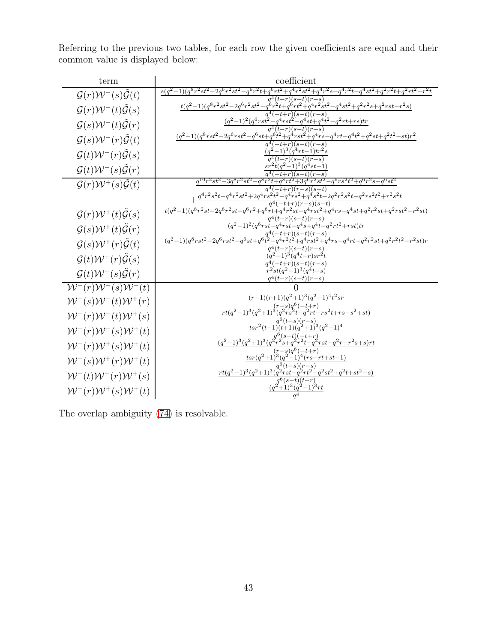Referring to the previous two tables, for each row the given coefficients are equal and their common value is displayed below:

| term                                                   | coefficient                                                                                                                                                                                                                                                                                |
|--------------------------------------------------------|--------------------------------------------------------------------------------------------------------------------------------------------------------------------------------------------------------------------------------------------------------------------------------------------|
| $\mathcal{G}(r)\mathcal{W}^-(s)\mathcal{G}(t)$         | $q^{4}(t-r)(s-t)(r-s)$                                                                                                                                                                                                                                                                     |
| $\mathcal{G}(r)\mathcal{W}^-(t)\tilde{\mathcal{G}}(s)$ | $t(q^2-1)(q^8r^2st^2-2q^6r^2st^2-q^6r^2t+q^6rt^2+q^4r^2st^2-q^4st^2+q^2r^2s+q^2rst-r^2s)$                                                                                                                                                                                                  |
| $\mathcal{G}(s)\mathcal{W}^-(t)\tilde{\mathcal{G}}(r)$ | $\frac{q^4(-t+r)(s-t)(r-s)}{(q^2-1)^2(q^6rst^2-q^4rst^2-q^4st+q^4t^2-q^2rt+rs)tr}}{q^4(t-r)(s-t)(r-s)}$                                                                                                                                                                                    |
| $\mathcal{G}(s)\mathcal{W}^-(r)\tilde{\mathcal{G}}(t)$ | $(q^2-1)(q^8rst^2-2q^6rst^2-q^6st+q^6t^2+q^4rst^2+q^4rs-q^4rt-q^4t^2+q^2st+q^2t^2-st)r^2$                                                                                                                                                                                                  |
|                                                        | $q^4(-t+r)(s-t)(r-s)$<br>$(q^2-1)^3(q^4rt-1)tr^2s$                                                                                                                                                                                                                                         |
| $\mathcal{G}(t)\mathcal{W}^-(r)\tilde{\mathcal{G}}(s)$ | $a^4(t-r)(s-t)(r-s)$                                                                                                                                                                                                                                                                       |
| $\mathcal{G}(t)\mathcal{W}^-(s)\tilde{\mathcal{G}}(r)$ | $sr^2t(q^2-1)^3(q^4st-1)$<br>$(-t+r)(s-t)(r-s)$                                                                                                                                                                                                                                            |
| $\mathcal{G}(r)\mathcal{W}^+(s)\mathcal{G}(t)$         | $38rt^2+3q^6r^2st^2-q^6rs^2t^2+q^6r^2s-q^6st^2$<br>$q^{10}r^2st^2-3q^8r^2st^2-q^8r^2t$                                                                                                                                                                                                     |
|                                                        | $q^4(-t+r)(r-s)(s-t)$<br>$+\frac{q^4r^2s^2t-q^4r^2st^2+2q^4rs^2t^2-q^4rs^2t^2+q^4s^2t^2-2q^2r^2s^2t-q^2rs^2t^2+r^2s^2t}{q^4(-t+r)(r-s)(s-t)}$                                                                                                                                              |
|                                                        | $\frac{t(q^2-1)(q^8r^2st-2q^6r^2st-q^6r^2+q^6rt+q^4r^2st-q^4rst^2+q^4rs-q^4st+q^2r^2st+q^2rst^2-r^2st)}$                                                                                                                                                                                   |
| $\mathcal{G}(r)\mathcal{W}^+(t)\mathcal{G}(s)$         | $q^{4}(t-r)(s-t)(r-s)$                                                                                                                                                                                                                                                                     |
| $\mathcal{G}(s)\mathcal{W}^+(t)\mathcal{\tilde{G}}(r)$ | $\frac{(q^2-1)^2(q^6rst-q^4rst-q^8s+q^4t-q^2rt^2+rst)tr}{q^4(-t+r)(s-t)(r-s)}\\ \frac{(q^2-1)(q^8rst^2-2q^6rst^2-q^6st+q^6t^2-q^4r^2t^2+q^4rst^2+q^4rs-q^4rt+q^2r^2st+q^2r^2t^2-r^2st)r}{r^4t-r^2r^2t^2-r^2t^2-r^2t^2-r^2t^2-r^2t^2-r^2t^2-r^2t^2-r^2t^2-r^2t^2-r^2t^2-r^2t^2-r^2t^2-r^2t$ |
| $\mathcal{G}(s)\mathcal{W}^+(r)\tilde{\mathcal{G}}(t)$ |                                                                                                                                                                                                                                                                                            |
| $\mathcal{G}(t)\mathcal{W}^+(r)\tilde{\mathcal{G}}(s)$ | $q^4(t-r)(s-t)(r-s)$<br>$\frac{(q^2-1)^3(q^4t-r)sr^2t}{q^4(-t+r)(s-t)(r-s)}$                                                                                                                                                                                                               |
|                                                        | $r^2st(q^2-1)^3(q^4t-s)$                                                                                                                                                                                                                                                                   |
| $\mathcal{G}(t)\mathcal{W}^+(s)\tilde{\mathcal{G}}(r)$ | $a^4(t-r)(s-t)(r-s)$                                                                                                                                                                                                                                                                       |
| $W^-(r)W^-(s)W^-(t)$                                   |                                                                                                                                                                                                                                                                                            |
| $W^-(s)W^-(t)W^+(r)$                                   | $\frac{(r-1)(r+1)(q^2+1)^3(q^2-1)^4t^2sr}{(r-s)q^6(-t+r)}$                                                                                                                                                                                                                                 |
| $W^-(r)W^-(t)W^+(s)$                                   | $\frac{rt(q^2-1)^3(q^2+1)^3(q^2rs^2t-q^2rt-rs^2t+rs-s^2+st)}{q^6(t-s)(r-s)}$                                                                                                                                                                                                               |
| $W^-(r)W^-(s)W^+(t)$                                   | $tsr^2(t-1)(t+1)(q^2+1)^3(q^2-1)^4$                                                                                                                                                                                                                                                        |
| $W^-(r)W^+(s)W^+(t)$                                   | $\frac{(q^2-1)^3(q^2+1)^3(q^{2}r^{2}s+q^{2}r^2t-q^{2}rst-q^{2}r-r^{2}s+s)rt}{(r-s)q^6(-t+r)}$                                                                                                                                                                                              |
| $W^-(s)W^+(r)W^+(t)$                                   | $\frac{tsr(q^2+1)^3(q^{2^{\prime}}-1)^4(rs-rt+st-1)}{q^6(t-s)(r-s)}$                                                                                                                                                                                                                       |
|                                                        | $rt(q^2-1)^3(q^2+1)^3(q^2rst-q^2rt^2-q^2st^2+q^2t+st^2-s)$                                                                                                                                                                                                                                 |
| $W^-(t)W^+(r)W^+(s)$                                   | $\overline{a^{6}(s-t)}(t-r)$                                                                                                                                                                                                                                                               |
| $W^+(r)W^+(s)W^+(t)$                                   | $\frac{(q^2+1)^3(q^2-1)^3rt}{a^4}$                                                                                                                                                                                                                                                         |

The overlap ambiguity [\(74\)](#page-40-0) is resolvable.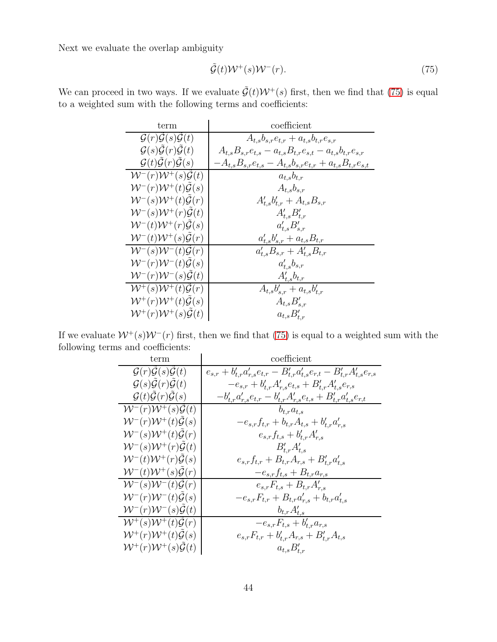<span id="page-43-0"></span>
$$
\tilde{\mathcal{G}}(t)\mathcal{W}^+(s)\mathcal{W}^-(r). \tag{75}
$$

We can proceed in two ways. If we evaluate  $\tilde{\mathcal{G}}(t)\mathcal{W}^+(s)$  first, then we find that [\(75\)](#page-43-0) is equal to a weighted sum with the following terms and coefficients:

| term                                                         | coefficient                                                          |
|--------------------------------------------------------------|----------------------------------------------------------------------|
| $\mathcal{G}(r)\mathcal{G}(s)\mathcal{G}(t)$                 | $A_{t,s}b_{s,r}e_{t,r} + a_{t,s}b_{t,r}e_{s,r}$                      |
| $\mathcal{G}(s)\mathcal{G}(r)\mathcal{G}(t)$                 | $A_{t,s}B_{s,r}e_{t,s}-a_{t,s}B_{t,r}e_{s,t}-a_{t,s}b_{t,r}e_{s,r}$  |
| $\mathcal{G}(t)\tilde{\mathcal{G}}(r)\tilde{\mathcal{G}}(s)$ | $-A_{t,s}B_{s,r}e_{t,s}-A_{t,s}b_{s,r}e_{t,r}+a_{t,s}B_{t,r}e_{s,t}$ |
| ${\cal W}^- (r) {\cal W}^+ (s) {\cal G}(t)$                  | $a_{t,s}b_{t,r}$                                                     |
| ${\cal W}^- (r) {\cal W}^+ (t) {\cal G}(s)$                  | $A_{t,s}b_{s,r}$                                                     |
| ${\cal W}^{-}(s){\cal W}^{+}(t){\cal \tilde{G}}(r)$          | $A'_{t,s}b'_{t,r}+A_{t,s}B_{s,r}$                                    |
| ${\cal W}^{-}(s){\cal W}^{+}(r){\cal G}(t)$                  | $A'_{t,s}B'_{t,r}$                                                   |
| ${\cal W}^- (t) {\cal W}^+ (r) {\cal G}(s)$                  | $a'_{t,s}B'_{s,r}$                                                   |
| ${\cal W}^{-}(t){\cal W}^{+}(s){\cal \tilde G}(r)$           | $a'_{t,s}b'_{s,r} + a_{t,s}B_{t,r}$                                  |
| $W^-(s)W^-(t)\mathcal{G}(r)$                                 | $a'_{t,s}B_{s,r}+A'_{t,s}B_{t,r}$                                    |
| ${\cal W}^- (r) {\cal W}^- (t) {\cal G}(s)$                  | $a'_{t,s}b_{s,r}$                                                    |
| ${\cal W}^- (r) {\cal W}^- (s) \tilde {\cal G}(t)$           | $A'_{t,s}b_{t,r}$                                                    |
| $W^+(s)W^+(t)\tilde{\mathcal{G}}(r)$                         | $A_{t,s}b'_{s,r} + a_{t,s}b'_{t,r}$                                  |
| $\mathcal{W}^+(r)\mathcal{W}^+(t)\mathcal{\tilde{G}}(s)$     | $A_{t,s}B'_{s,r}$                                                    |
| $\mathcal{W}^+(r)\mathcal{W}^+(s)\mathcal{G}(t)$             | $a_{t,s}B'_{t,r}$                                                    |

If we evaluate  $W^+(s)W^-(r)$  first, then we find that [\(75\)](#page-43-0) is equal to a weighted sum with the following terms and coefficients:

| term                                             | coefficient                                                                                   |
|--------------------------------------------------|-----------------------------------------------------------------------------------------------|
| $\mathcal{G}(r)\mathcal{G}(s)\mathcal{G}(t)$     | $e_{s,r} + b'_{t,r} a'_{r,s} e_{t,r} - B'_{t,r} a'_{t,s} e_{r,t} - B'_{t,r} A'_{t,s} e_{r,s}$ |
| $\mathcal{G}(s)\mathcal{G}(r)\mathcal{G}(t)$     | $-e_{s,r}+b'_{t,r}A'_{r,s}e_{t,s}+B'_{t,r}A'_{t,s}e_{r,s}$                                    |
| $\mathcal{G}(t)\mathcal{G}(r)\mathcal{G}(s)$     | $-b'_{t,r}a'_{r,s}e_{t,r}-b'_{t,r}A'_{r,s}e_{t,s}+B'_{t,r}a'_{t,s}e_{r,t}$                    |
| $W^-(r)W^+(s)\mathcal{G}(t)$                     | $b_{t,r}a_{t,s}$                                                                              |
| ${\cal W}^{-}(r){\cal W}^{+}(t){\cal G}(s)$      | $-e_{s,r}f_{t,r}+b_{t,r}A_{t,s}+b'_{t,r}a'_{r,s}$                                             |
| ${\cal W}^{-}(s){\cal W}^{+}(t){\cal G}(r)$      | $e_{s,r}f_{t,s}+b'_{t,r}A'_{r,s}$                                                             |
| ${\cal W}^{-}(s){\cal W}^{+}(r){\cal G}(t)$      | $B'_{t,r}A'_{t,s}$                                                                            |
| ${\cal W}^{-}(t){\cal W}^{+}(r){\cal G}(s)$      | $e_{s,r}f_{t,r} + B_{t,r}A_{r,s} + B'_{t,r}a'_{t,s}$                                          |
| ${\cal W}^- (t) {\cal W}^+ (s) {\cal G}(r)$      | $-e_{s,r}f_{t,s} + B_{t,r}a_{r,s}$                                                            |
| $W^-(s)W^-(t)\mathcal{G}(r)$                     | $e_{s,r}F_{t,s} + B_{t,r}A'_{r,s}$                                                            |
| $W^-(r)W^-(t)\mathcal{G}(s)$                     | $-e_{s,r}F_{t,r} + B_{t,r}a'_{r,s} + b_{t,r}a'_{t,s}$                                         |
| $W^-(r)W^-(s)\mathcal{G}(t)$                     | $b_{t,r}A'_{t,s}$                                                                             |
| ${\cal W}^{+}(s){\cal W}^{+}(t){\cal G}(r)$      | $-e_{s,r}F_{t,s}+b'_{t,r}a_{r,s}$                                                             |
| $\mathcal{W}^+(r)\mathcal{W}^+(t)\mathcal{G}(s)$ | $e_{s,r}F_{t,r}+b'_{t,r}A_{r,s}+B'_{t,r}A_{t,s}$                                              |
| $\mathcal{W}^+(r)\mathcal{W}^+(s)\mathcal{G}(t)$ | $a_{t,s}B'_{t,r}$                                                                             |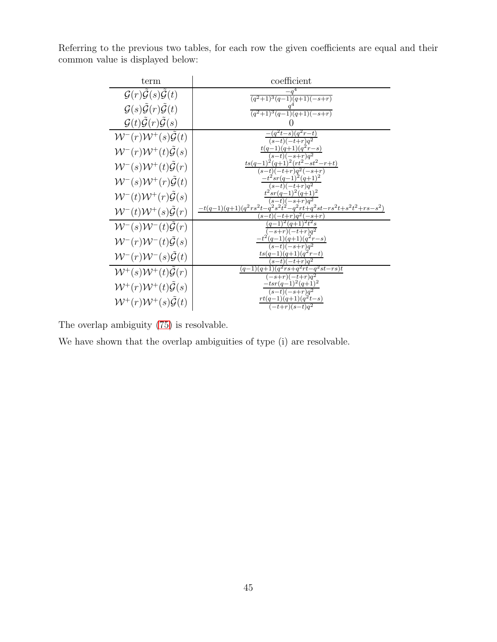| term                                                         | coefficient                                                                               |
|--------------------------------------------------------------|-------------------------------------------------------------------------------------------|
| $\mathcal{G}(r)\mathcal{G}(s)\mathcal{G}(t)$                 | $(q^2+1)^3(q-1)(q+1)(-s+r)$                                                               |
| $\mathcal{G}(s)\tilde{\mathcal{G}}(r)\tilde{\mathcal{G}}(t)$ | $\frac{(q^2+1)^3(q-1)(q+1)(-s+r)}{q^2+1(q+1)(-s+r)}$                                      |
| $\mathcal{G}(t)\tilde{\mathcal{G}}(r)\tilde{\mathcal{G}}(s)$ |                                                                                           |
| $W^-(r)W^+(s)\mathcal{G}(t)$                                 | $(q^2t-s)(q^2r-t)$<br>$(s-t)(-\overline{t+r})q^2$                                         |
| ${\cal W}^-(r){\cal W}^+(t){\cal \tilde{G}}(s)$              | $t(q-1)(q+1)(q^2r-s)$                                                                     |
| $W^-(s)W^+(t)\mathcal{G}(r)$                                 | $(q+1)^2(rt^2-st^2-r+t)$<br>$ts(q-1)$<br>$t+r)q^{\overline{2}(-)}$                        |
| $W^-(s)W^+(r)\tilde{\mathcal{G}}(t)$                         | $-t^2sr(q-1)^2(q+1)^2$<br>$(s-t)(-t+r)a^2$                                                |
| $W^-(t)W^+(r)\mathcal{G}(s)$                                 | $t^2 s r (q-1)^2 (q+1)^2$<br>$(s-t)(-s+r)q^2$                                             |
| $W^-(t)W^+(s)\mathcal{G}(r)$                                 | $-t(q-1)(q+1)(q^2rs^2t-q^2s^2t^2-q^2rt+q^2st-rs^2t+s^2t^2+rs-s^2)\\$<br>$-t+r)a^{2}(-s+r$ |
| $W^-(s)W^-(t)\mathcal{G}(r)$                                 | $(q-1)^2(q+\overline{1})^2t^2s$<br>$\overline{-s+r)(-t+r)q^2}$                            |
| $W^-(r)W^-(t)\mathcal{G}(s)$                                 | $-t^2(q-1)(q+1)(q^2r-s)$<br>$(s-t)(-s+r)a^2$                                              |
| $W^-(r)W^-(s)\mathcal{G}(t)$                                 | $ts(q-1)(q+1)(q^2r-t)$<br>$(s-t)(-t+r)\overline{q^2}$                                     |
| $W^+(s)W^+(t)\tilde{\mathcal{G}}(r)$                         | $(q-1)\overline{(q+1)(q^2rs+q^2rt-q^2st-rs)t}$<br>$(-s+r)(-t+r)a^2$                       |
| $W^+(r)W^+(t)\mathcal{G}(s)$                                 | $-tsr(q-1)^2(q+1)^2$<br>$(s-t)(-s+r)q^2$                                                  |
| $W^+(r)W^+(s)\mathcal{G}(t)$                                 | $rt(q-1)(q+1)(q^2t-s)$<br>$(-t+r)(s-t)q^2$                                                |

Referring to the previous two tables, for each row the given coefficients are equal and their common value is displayed below:

The overlap ambiguity [\(75\)](#page-43-0) is resolvable.

We have shown that the overlap ambiguities of type (i) are resolvable.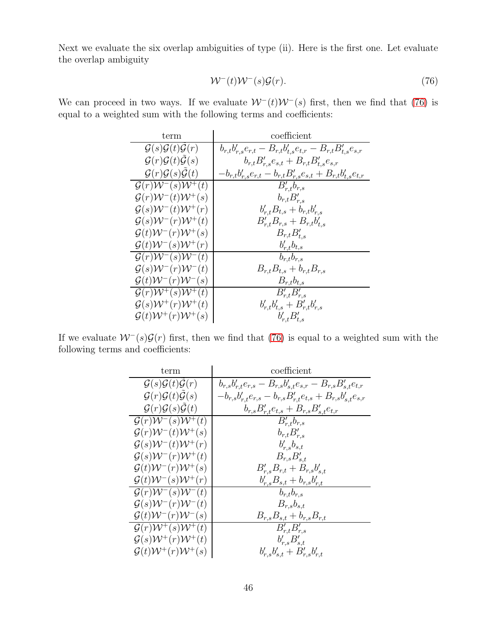Next we evaluate the six overlap ambiguities of type (ii). Here is the first one. Let evaluate the overlap ambiguity

<span id="page-45-0"></span>
$$
W^-(t)W^-(s)\mathcal{G}(r). \tag{76}
$$

We can proceed in two ways. If we evaluate  $W^-(t)W^-(s)$  first, then we find that [\(76\)](#page-45-0) is equal to a weighted sum with the following terms and coefficients:

| term                                                        | coefficient                                                                 |
|-------------------------------------------------------------|-----------------------------------------------------------------------------|
| $\mathcal{G}(s)\mathcal{G}(t)\mathcal{G}(r)$                | $b_{r,t}b'_{r,s}e_{r,t} - B_{r,t}b'_{t,s}e_{t,r} - B_{r,t}B'_{t,s}e_{s,r}$  |
| $\mathcal{G}(r)\mathcal{G}(t)\tilde{\mathcal{G}}(s)$        | $b_{r,t}B'_{r,s}e_{s,t} + B_{r,t}B'_{t,s}e_{s,r}$                           |
| $\mathcal{G}(r)\mathcal{G}(s)\tilde{\mathcal{G}}(t)$        | $-b_{r,t}b_{r,s}'e_{r,t} - b_{r,t}B_{r,s}'e_{s,t} + B_{r,t}b_{t,s}'e_{t,r}$ |
| $\mathcal{G}(r)\mathcal{W}^-(s)\mathcal{W}^{\dagger}(t)$    | $B'_{r,t}b_{r,s}$                                                           |
| $\mathcal{G}(r)\mathcal{W}^-(t)\mathcal{W}^+(s)$            | $b_{r,t}B'_{r,s}$                                                           |
| $\mathcal{G}(s)\mathcal{W}^-(t)\mathcal{W}^+(r)$            | $b'_{r,t}B_{t,s} + b_{r,t}b'_{r,s}$                                         |
| $\mathcal{G}(s)\mathcal{W}^-(r)\mathcal{W}^+(t)$            | $B'_{r,t}B_{r,s} + B_{r,t}b'_{t,s}$                                         |
| $\mathcal{G}(t)\mathcal{W}^-(r)\mathcal{W}^+(s)$            | $B_{r,t}B'_{t,s}$                                                           |
| $\mathcal{G}(t)\mathcal{W}^-(s)\mathcal{W}^+(r)$            | $b'_{r,t}b_{t,s}$                                                           |
| $\mathcal{G}(r)\mathcal{W}^-(s)\mathcal{W}^-(t)$            | $b_{r,t}b_{r,s}$                                                            |
| $\mathcal{G}(s)\mathcal{W}^-(r)\mathcal{W}^-(t)$            | $B_{r,t}B_{t,s} + b_{r,t}B_{r,s}$                                           |
| $\mathcal{G}(t)\mathcal{W}^-(r)\mathcal{W}^-(s)$            | $B_{r,t}b_{t,s}$                                                            |
| $\overline{\mathcal{G}(r)\mathcal{W}}^+(s)\mathcal{W}^+(t)$ | $B'_{r,t}B'_{r,s}$                                                          |
| $\mathcal{G}(s)\mathcal{W}^+(r)\mathcal{W}^+(t)$            | $b'_{r,t}b'_{t,s} + B'_{r,t}b'_{r,s}$                                       |
| $\mathcal{G}(t)\mathcal{W}^+(r)\mathcal{W}^+(s)$            | $b'_{r,t}B'_{t,s}$                                                          |

If we evaluate  $W^-(s)\mathcal{G}(r)$  first, then we find that [\(76\)](#page-45-0) is equal to a weighted sum with the following terms and coefficients:

| term                                                        | coefficient                                                             |  |
|-------------------------------------------------------------|-------------------------------------------------------------------------|--|
| $\mathcal{G}(s)\mathcal{G}(t)\mathcal{G}(r)$                | $b_{r,s}b'_{r,t}e_{r,s}-B_{r,s}b'_{s,t}e_{s,r}-B_{r,s}B'_{s,t}e_{t,r}$  |  |
| $\mathcal{G}(r)\mathcal{G}(t)\mathcal{G}(s)$                | $-b_{r,s}b'_{r,t}e_{r,s}-b_{r,s}B'_{r,t}e_{t,s}+B_{r,s}b'_{s,t}e_{s,r}$ |  |
| $\mathcal{G}(r)\mathcal{G}(s)\mathcal{G}(t)$                | $b_{r,s}B'_{r,t}e_{t,s} + B_{r,s}B'_{s,t}e_{t,r}$                       |  |
| $\mathcal{G}(r)\mathcal{W}^-(s)\mathcal{W}^+(t)$            | $B'_{r,t}b_{r,s}$                                                       |  |
| $\mathcal{G}(r)\mathcal{W}^-(t)\mathcal{W}^+(s)$            | $b_{r,t}B'_{r,s}$                                                       |  |
| $\mathcal{G}(s)\mathcal{W}^-(t)\mathcal{W}^+(r)$            | $b'_{r,s}b_{s,t}$                                                       |  |
| $\mathcal{G}(s)\mathcal{W}^-(r)\mathcal{W}^+(t)$            | $B_{r,s}B_{s,t}'$                                                       |  |
| $\mathcal{G}(t)\mathcal{W}^-(r)\mathcal{W}^+(s)$            | $B'_{r,s}B_{r,t}+B_{r,s}b'_{s,t}$                                       |  |
| $\mathcal{G}(t)\mathcal{W}^-(s)\mathcal{W}^+(r)$            | $b'_{r,s}B_{s,t}+b_{r,s}b'_{r,t}$                                       |  |
| $\mathcal{G}(r)\mathcal{W}^-(s)\mathcal{W}^-(t)$            | $b_{r,t}b_{r,s}$                                                        |  |
| $\mathcal{G}(s)\mathcal{W}^-(r)\mathcal{W}^-(t)$            | $B_{r,s}b_{s,t}$                                                        |  |
| $\mathcal{G}(t)\mathcal{W}^-(r)\mathcal{W}^-(s)$            | $B_{r,s}B_{s,t} + b_{r,s}B_{r,t}$                                       |  |
| $\mathcal{G}(r)\mathcal{W}^+(s)\mathcal{W}^+(\overline{t})$ | $B'_{r,t}B'_{r,s}$                                                      |  |
| $\mathcal{G}(s)\mathcal{W}^+(r)\mathcal{W}^+(t)$            | $b'_{r,s}B'_{s,t}$                                                      |  |
| $\mathcal{G}(t)\mathcal{W}^+(r)\mathcal{W}^+(s)$            | $b'_{r,s}b'_{s,t} + B'_{r,s}b'_{r,t}$                                   |  |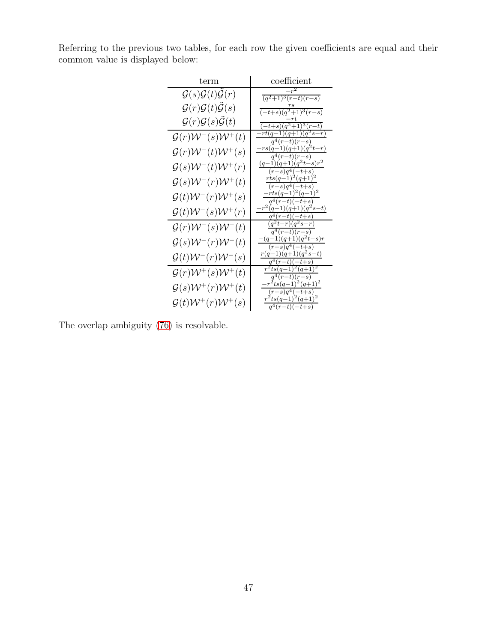Referring to the previous two tables, for each row the given coefficients are equal and their common value is displayed below:

| term                                                 | coefficient                                                     |
|------------------------------------------------------|-----------------------------------------------------------------|
| $\mathcal{G}(s)\mathcal{G}(t)\tilde{\mathcal{G}}(r)$ | $\frac{(q^2+1)^3(r-t)(r-s)}{r-s}$                               |
| $\mathcal{G}(r)\mathcal{G}(t)\mathcal{G}(s)$         | r s<br>$\frac{(-t+s)(q^2+1)^3(r-s)}{2}$                         |
| $\mathcal{G}(r)\mathcal{G}(s)\mathcal{G}(t)$         | $-rt$<br>$\frac{(-t+s)(q^2+1)^3(r-t)}{2}$                       |
| $\mathcal{G}(r)\mathcal{W}^-(s)\mathcal{W}^+(t)$     | $-rt(q-1)(q+1)(q^2s-r)$<br>$q^4(r-t)(r-s)$                      |
| $\mathcal{G}(r)\mathcal{W}^-(t)\mathcal{W}^+(s)$     | $-rs(q-1)(q+1)(q2t-r)$                                          |
| $\mathcal{G}(s)\mathcal{W}^-(t)\mathcal{W}^+(r)$     | $\frac{q^4(r-t)(r-s)}{r-s}$<br>$\frac{(q-1)(q+1)}{(q^2t-s)r^2}$ |
| $\mathcal{G}(s)\mathcal{W}^-(r)\mathcal{W}^+(t)$     | $(r-s)q^4(-t+s)$<br>$rts(q-1)^2(q+1)^2$                         |
|                                                      | $(r-s)q^4(-t+s)$<br>$-rts(q-1)^2(q+1)^2$                        |
| $\mathcal{G}(t)\mathcal{W}^-(r)\mathcal{W}^+(s)$     | $q^4(r-t)(-t+s)$<br>$r^2(q-1)(q+1)(q^2s-t)$                     |
| $\mathcal{G}(t)\mathcal{W}^-(s)\mathcal{W}^+(r)$     | $q^4(r-t)(-t+s)$                                                |
| $\mathcal{G}(r)\mathcal{W}^-(s)\mathcal{W}^-(t)$     | $(q^2t-r)(q^2s-r)$<br>$q^4(r-t)(r-s)$                           |
| $\mathcal{G}(s)\mathcal{W}^-(r)\mathcal{W}^-(t)$     | $-(q-1)(q+1)(q^2t-s)r$<br>$(r-s)q^4(-t+s)$                      |
| $\mathcal{G}(t)\mathcal{W}^-(r)\mathcal{W}^-(s)$     | $r(q-1)(q+1)(q^2s-t)$<br>$q^4(r-t)(-t+s)$                       |
| $\mathcal{G}(r)\mathcal{W}^+(s)\mathcal{W}^+(t)$     | $r^2ts(q-1)^2(q+1)^2$                                           |
| $\mathcal{G}(s)\mathcal{W}^+(r)\mathcal{W}^+(t)$     | $\frac{q^4(r-t)}{(r-s)}$<br>$-r^2ts(q-1)^2(q+1)^2$              |
| $\mathcal{G}(t)\mathcal{W}^+(r)\mathcal{W}^+(s)$     | $(r-s)q^4(-t+s)$<br>$r^2ts(q-1)^2(q+1)^2$                       |
|                                                      | $q^4(r-t)(-t+s)$                                                |

The overlap ambiguity [\(76\)](#page-45-0) is resolvable.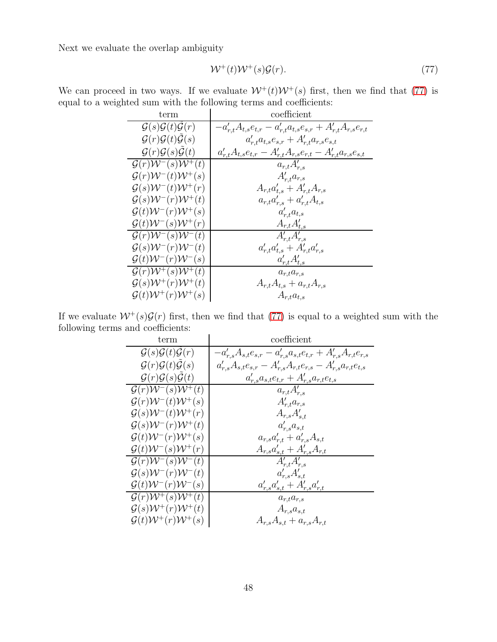<span id="page-47-0"></span>
$$
\mathcal{W}^+(t)\mathcal{W}^+(s)\mathcal{G}(r). \tag{77}
$$

We can proceed in two ways. If we evaluate  $W^+(t)W^+(s)$  first, then we find that [\(77\)](#page-47-0) is equal to a weighted sum with the following terms and coefficients:

| term                                                        | coefficient                                                             |
|-------------------------------------------------------------|-------------------------------------------------------------------------|
| $\mathcal{G}(s)\mathcal{G}(t)\mathcal{G}(r)$                | $-a'_{r,t}A_{t,s}e_{t,r}-a'_{r,t}a_{t,s}e_{s,r}+A'_{r,t}A_{r,s}e_{r,t}$ |
| $\mathcal{G}(r)\mathcal{G}(t)\mathcal{G}(s)$                | $a'_{r,t}a_{t,s}e_{s,r} + A'_{r,t}a_{r,s}e_{s,t}$                       |
| $\mathcal{G}(r)\mathcal{G}(s)\tilde{\mathcal{G}}(t)$        | $a'_{r,t}A_{t,s}e_{t,r}-A'_{r,t}A_{r,s}e_{r,t}-A'_{r,t}a_{r,s}e_{s,t}$  |
| $\mathcal{G}(r)\mathcal{W}^-(s)\mathcal{W}^+(t)$            | $a_{r,t}A'_{r,s}$                                                       |
| $\mathcal{G}(r)\mathcal{W}^-(t)\mathcal{W}^+(s)$            | $A_{r,t}^{\prime}a_{r,s}$                                               |
| $\mathcal{G}(s)\mathcal{W}^-(t)\mathcal{W}^+(r)$            | $A_{r,t}a'_{t,s} + A'_{r,t}A_{r,s}$                                     |
| $\mathcal{G}(s)\mathcal{W}^-(r)\mathcal{W}^+(t)$            | $a_{r,t}a'_{r,s} + a'_{r,t}A_{t,s}$                                     |
| $\mathcal{G}(t)\mathcal{W}^-(r)\mathcal{W}^+(s)$            | $a'_{r,t}a_{t,s}$                                                       |
| $\mathcal{G}(t)\mathcal{W}^-(s)\mathcal{W}^+(r)$            | $A_{r,t}A'_{t,s}$                                                       |
| $\mathcal{G}(r)\mathcal{W}^-(s)\mathcal{W}^-(t)$            | $\overline{A}_{r,t}^{\prime}A_{r,s}^{\prime}$                           |
| $\mathcal{G}(s)\mathcal{W}^-(r)\mathcal{W}^-(t)$            | $a'_{r,t}a'_{t,s} + A'_{r,t}a'_{r,s}$                                   |
| $\mathcal{G}(t)\mathcal{W}^-(r)\mathcal{W}^-(s)$            | $a'_{r,t}A'_{t,s}$                                                      |
| $\overline{\mathcal{G}(r)\mathcal{W}^+(s)}\mathcal{W}^+(t)$ | $a_{r,t}a_{r,s}$                                                        |
| $\mathcal{G}(s)\mathcal{W}^+(r)\mathcal{W}^+(t)$            | $A_{r,t}A_{t,s} + a_{r,t}A_{r,s}$                                       |
| $\mathcal{G}(t)\mathcal{W}^+(r)\mathcal{W}^+(s)$            | $A_{r,t}a_{t,s}$                                                        |

If we evaluate  $W^+(s)\mathcal{G}(r)$  first, then we find that [\(77\)](#page-47-0) is equal to a weighted sum with the following terms and coefficients:

| term                                             | coefficient                                                             |
|--------------------------------------------------|-------------------------------------------------------------------------|
| $\mathcal{G}(s)\mathcal{G}(t)\mathcal{G}(r)$     | $-a'_{r,s}A_{s,t}e_{s,r}-a'_{r,s}a_{s,t}e_{t,r}+A'_{r,s}A_{r,t}e_{r,s}$ |
| $\mathcal{G}(r)\mathcal{G}(t)\mathcal{G}(s)$     | $a'_{r,s}A_{s,t}e_{s,r}-A'_{r,s}A_{r,t}e_{r,s}-A'_{r,s}a_{r,t}e_{t,s}$  |
| $\mathcal{G}(r)\mathcal{G}(s)\mathcal{G}(t)$     | $a'_{r,s}a_{s,t}e_{t,r}+A'_{r,s}a_{r,t}e_{t,s}$                         |
| $\mathcal{G}(r)\mathcal{W}^-(s)\mathcal{W}^+(t)$ | $a_{r,t}A'_{r,s}$                                                       |
| $\mathcal{G}(r)\mathcal{W}^-(t)\mathcal{W}^+(s)$ | $A'_{r,t}a_{r,s}$                                                       |
| $\mathcal{G}(s)\mathcal{W}^-(t)\mathcal{W}^+(r)$ | $A_{r,s}A'_{s,t}$                                                       |
| $\mathcal{G}(s)\mathcal{W}^-(r)\mathcal{W}^+(t)$ | $a'_{r,s}a_{s,t}$                                                       |
| $\mathcal{G}(t)\mathcal{W}^-(r)\mathcal{W}^+(s)$ | $a_{r,s}a'_{r,t} + a'_{r,s}A_{s,t}$                                     |
| $\mathcal{G}(t)\mathcal{W}^-(s)\mathcal{W}^+(r)$ | $A_{r,s}a'_{s,t} + A'_{r,s}A_{r,t}$                                     |
| $\mathcal{G}(r)\mathcal{W}^-(s)\mathcal{W}^-(t)$ | $A'_{r,t}A'_{r,s}$                                                      |
| $\mathcal{G}(s)\mathcal{W}^-(r)\mathcal{W}^-(t)$ | $a'_{r,s}A'_{s,t}$                                                      |
| $\mathcal{G}(t)\mathcal{W}^-(r)\mathcal{W}^-(s)$ | $a'_{r,s}a'_{s,t} + A'_{r,s}a'_{r,t}$                                   |
| $\mathcal{G}(r)\mathcal{W}^+(s)\mathcal{W}^+(t)$ | $a_{r,t}a_{r,s}$                                                        |
| $\mathcal{G}(s)\mathcal{W}^+(r)\mathcal{W}^+(t)$ | $A_{r,s}a_{s,t}$                                                        |
| $\mathcal{G}(t)\mathcal{W}^+(r)\mathcal{W}^+(s)$ | $A_{r,s}A_{s,t} + a_{r,s}A_{r,t}$                                       |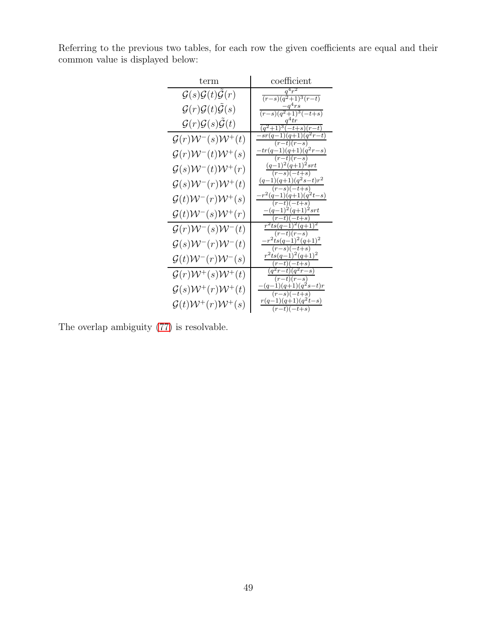Referring to the previous two tables, for each row the given coefficients are equal and their common value is displayed below:

| term                                                 | coefficient                               |
|------------------------------------------------------|-------------------------------------------|
| $\mathcal{G}(s)\mathcal{G}(t)\mathcal{\tilde{G}}(r)$ | $q^4r^2$<br>$(r-s)(q^2+1)^3(r-t)$         |
| $\mathcal{G}(r)\mathcal{G}(t)\mathcal{G}(s)$         | $-q^4rs$<br>$(r-s)(q^2+1)^3(-t+s)$        |
| $\mathcal{G}(r)\mathcal{G}(s)\mathcal{G}(t)$         | $q^4tr$<br>$(q^2+1)^3(-t+s)(r-t)$         |
| $\mathcal{G}(r)\mathcal{W}^-(s)\mathcal{W}^+(t)$     | $sr(q-1)(q+1)(q^2r-t)$<br>$(r-t)(r-s)$    |
| $\mathcal{G}(r)\mathcal{W}^-(t)\mathcal{W}^+(s)$     | $tr(q-1)(q+1)(q^2r-s)$<br>$(r-t)(r-s)$    |
| $\mathcal{G}(s)\mathcal{W}^-(t)\mathcal{W}^+(r)$     | $(q-1)^2(q+1)^2$ srt                      |
| $\mathcal{G}(s)\mathcal{W}^-(r)\mathcal{W}^+(t)$     | $(r-s)(-t+s)$<br>$(q-1)(q+1)(q^2s-t)r^2$  |
|                                                      | $(r-s)(-t+s)$<br>$-r^2(q-1)(q+1)(q^2t-s)$ |
| $\mathcal{G}(t)\mathcal{W}^-(r)\mathcal{W}^+(s)$     | $(r-t)(-t+s)$<br>$-(q-1)^2(q+1)^2$ srt    |
| $\mathcal{G}(t)\mathcal{W}^-(s)\mathcal{W}^+(r)$     | $(r-t)(-t+s)$<br>$r^2ts(q-1)^2(q+1)^2$    |
| $\mathcal{G}(r)\mathcal{W}^-(s)\mathcal{W}^-(t)$     | $(r-t)(r-s)$                              |
| $\mathcal{G}(s)\mathcal{W}^-(r)\mathcal{W}^-(t)$     | $-r^2ts(q-1)^2(q+1)^2$<br>$(r-s)(-t+s)$   |
| $\mathcal{G}(t)\mathcal{W}^-(r)\mathcal{W}^-(s)$     | $r^2ts(q-1)^2(q+1)^2$<br>$(r-t)(-t+s)$    |
| $\mathcal{G}(r)\mathcal{W}^+(s)\mathcal{W}^+(t)$     | $(q^2r-t)(q^2r-s)$<br>$(r-t)(r-s)$        |
| $\mathcal{G}(s)\mathcal{W}^+(r)\mathcal{W}^+(t)$     | $-(q-1)(q+1)(q^2s-t)r$<br>$(r-s)(-t+s)$   |
| $\mathcal{G}(t)\mathcal{W}^+(r)\mathcal{W}^+(s)$     | $r(q-1)(q+1)(q^2t-s)$<br>$(r-t)(-t+s)$    |

The overlap ambiguity [\(77\)](#page-47-0) is resolvable.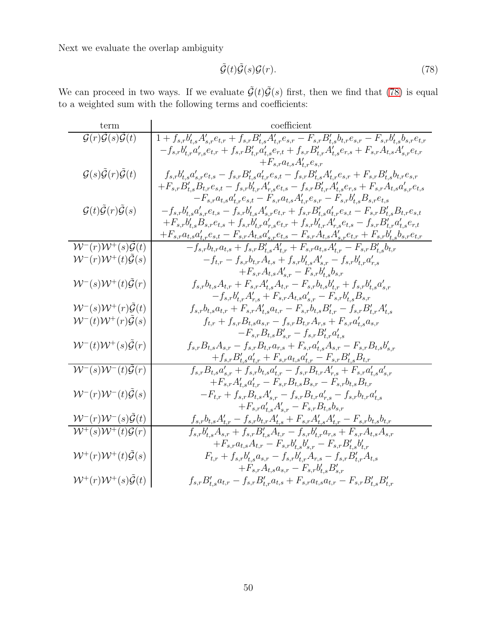<span id="page-49-0"></span>
$$
\tilde{\mathcal{G}}(t)\tilde{\mathcal{G}}(s)\mathcal{G}(r). \tag{78}
$$

We can proceed in two ways. If we evaluate  $\tilde{\mathcal{G}}(t)\tilde{\mathcal{G}}(s)$  first, then we find that [\(78\)](#page-49-0) is equal to a weighted sum with the following terms and coefficients:

| term                                                                                                                    | coefficient                                                                                                                                                                     |
|-------------------------------------------------------------------------------------------------------------------------|---------------------------------------------------------------------------------------------------------------------------------------------------------------------------------|
| $\mathcal{G}(r)\tilde{\mathcal{G}}(s)\overline{\tilde{\mathcal{G}}(t)}$                                                 | $1+f_{s,r}b'_{t,s}A'_{s,r}e_{t,r}+f_{s,r}B'_{t,s}A'_{t,r}e_{s,r}-F_{s,r}B'_{t,s}b_{t,r}e_{s,r}-F_{s,r}b'_{t,s}b_{s,r}e_{t,r}$                                                   |
|                                                                                                                         | $-f_{s,r}b'_{t,r}a'_{r,s}e_{t,r}+f_{s,r}B'_{t,r}a'_{t,s}e_{r,t}+f_{s,r}B'_{t,r}A'_{t,s}e_{r,s}+F_{s,r}A_{t,s}A'_{s,r}e_{t,r}$                                                   |
|                                                                                                                         | $+F_{s,r}a_{t,s}A_{t,r}^{\prime}e_{s,r}$                                                                                                                                        |
| $\mathcal{G}(s)\tilde{\mathcal{G}}(r)\tilde{\mathcal{G}}(t)$                                                            | $f_{s,r}b'_{t,s}a'_{s,r}e_{t,s}-f_{s,r}B'_{t,s}a'_{t,r}e_{s,t}-f_{s,r}B'_{t,s}A'_{t,r}e_{s,r}+F_{s,r}B'_{t,s}b_{t,r}e_{s,r}$                                                    |
|                                                                                                                         | $+ F_{s,r} B'_{t,s} B_{t,r} e_{s,t} - f_{s,r} b'_{t,r} A'_{r,s} e_{t,s} - f_{s,r} B'_{t,r} A'_{t,s} e_{r,s} + F_{s,r} A_{t,s} a'_{s,r} e_{t,s}$                                 |
|                                                                                                                         | $-F_{s,r}a_{t,s}a'_{t,r}e_{s,t} - F_{s,r}a_{t,s}A'_{t,r}e_{s,r} - F_{s,r}b'_{t,s}B_{s,r}e_{t,s}$                                                                                |
| $\mathcal{G}(t)\tilde{\mathcal{G}}(r)\tilde{\mathcal{G}}(s)$                                                            | $-f_{s,r}b'_{t,s}a'_{s,r}e_{t,s}-f_{s,r}b'_{t,s}A'_{s,r}e_{t,r}+f_{s,r}B'_{t,s}a'_{t,r}e_{s,t}-F_{s,r}B'_{t,s}B_{t,r}e_{s,t}$                                                   |
|                                                                                                                         | $+ F_{s,r} b'_{t,s} B_{s,r} e_{t,s} + f_{s,r} b'_{t,r} a'_{r,s} e_{t,r} + f_{s,r} b'_{t,r} A'_{r,s} e_{t,s} - f_{s,r} B'_{t,r} a'_{t,s} e_{r,t}$                                |
|                                                                                                                         | $+F_{s,r}a_{t,s}a_{t,r}'e_{s,t}-F_{s,r}A_{t,s}a_{s,r}'e_{t,s}-F_{s,r}A_{t,s}A_{s,r}'e_{t,r}+F_{s,r}b_{t,s}'b_{s,r}e_{t,r}$                                                      |
| ${\cal W}^- (r) {\cal W}^{\overline +}(s) {\cal \tilde G}(t)$                                                           | $-f_{s,r}b_{t,r}a_{t,s}+f_{s,r}B'_{t,s}A'_{t,r}+F_{s,r}a_{t,s}A'_{t,r}-F_{s,r}B'_{t,s}b_{t,r}$                                                                                  |
| $W^-(r)W^+(t)\tilde{\mathcal{G}}(s)$                                                                                    | $-f_{t,r} - f_{s,r}b_{t,r}A_{t,s} + f_{s,r}b'_{t,s}A'_{s,r} - f_{s,r}b'_{t,r}a'_{r,s}$                                                                                          |
|                                                                                                                         | $+F_{s,r}A_{t,s}A'_{s,r}-F_{s,r}b'_{t,s}b_{s,r}$                                                                                                                                |
| $W^-(s)W^+(t)\tilde{\mathcal{G}}(r)$                                                                                    | $f_{s,r}b_{t,s}A_{t,r} + F_{s,r}A'_{t,s}A_{t,r} - F_{s,r}b_{t,s}b'_{t,r} + f_{s,r}b'_{t,s}a'_{s,r}$<br>$-f_{s,r}b'_{t,r}A'_{r,s}+F_{s,r}A_{t,s}a'_{s,r}-F_{s,r}b'_{t,s}B_{s,r}$ |
| ${\mathcal W}^- (s) {\mathcal W}^+ (r) \tilde {\mathcal G}(t)$                                                          | $f_{s,r}b_{t,s}a_{t,r} + F_{s,r}A'_{t,s}a_{t,r} - F_{s,r}b_{t,s}B'_{t,r} - f_{s,r}B'_{t,r}A'_{t,s}$                                                                             |
| $\mathcal{W}^-(t)\mathcal{W}^+(r)\tilde{\mathcal{G}}(s)$                                                                | $f_{t,r} + f_{s,r}B_{t,s}a_{s,r} - f_{s,r}B_{t,r}A_{r,s} + F_{s,r}a'_{t,s}a_{s,r}$                                                                                              |
|                                                                                                                         | $-F_{s,r}B_{t,s}B'_{s,r}-f_{s,r}B'_{t,r}a'_{t,s}$                                                                                                                               |
| ${\mathcal W}^- (t) {\mathcal W}^+ (s) \tilde {\mathcal G}(r)$                                                          | $f_{s,r}B_{t,s}A_{s,r}-f_{s,r}B_{t,r}a_{r,s}+F_{s,r}a_{t,s}'A_{s,r}-F_{s,r}B_{t,s}b_{s,r}'$                                                                                     |
|                                                                                                                         | $+f_{s,r}B'_{t,s}a'_{t,r}+F_{s,r}a_{t,s}a'_{t,r}-F_{s,r}B'_{t,s}B_{t,r}$                                                                                                        |
| $W^-(s)W^-(t)\tilde{\mathcal{G}}(r)$                                                                                    | $f_{s,r}B_{t,s}a'_{s,r}+f_{s,r}b_{t,s}a'_{t,r}-f_{s,r}B_{t,r}A'_{r,s}+F_{s,r}a'_{t,s}a'_{s,r}$                                                                                  |
|                                                                                                                         | $+F_{s,r}A'_{t,s}a'_{t,r}-F_{s,r}B_{t,s}B_{s,r}-F_{s,r}b_{t,s}B_{t,r}$                                                                                                          |
| $\mathcal{W}^-(r)\mathcal{W}^-(t)\tilde{\mathcal{G}}(s)$                                                                | $-F_{t,r} + f_{s,r}B_{t,s}A'_{s,r} - f_{s,r}B_{t,r}a'_{r,s} - f_{s,r}b_{t,r}a'_{t,s}$                                                                                           |
|                                                                                                                         | $+F_{s,r}a_{t,s}^{\prime}A_{s,r}^{\prime}-F_{s,r}B_{t,s}b_{s,r}$                                                                                                                |
|                                                                                                                         | $f_{s,r}b_{t,s}A'_{t,r}-f_{s,r}b_{t,r}A'_{t,s}+F_{s,r}A'_{t,s}A'_{t,r}-F_{s,r}b_{t,s}b_{t,r}$                                                                                   |
| $\frac{\mathcal{W}^-(r)\mathcal{W}^-(s)\tilde{\mathcal{G}}(t)}{\mathcal{W}^+(s)\mathcal{W}^+(t)\tilde{\mathcal{G}}(r)}$ | $f_{s,r}b'_{t,s}A_{s,r}+f_{s,r}B'_{t,s}A_{t,r}-f_{s,r}b'_{t,r}a_{r,s}+F_{s,r}A_{t,s}A_{s,r}$                                                                                    |
|                                                                                                                         | $+F_{s,r}a_{t,s}A_{t,r}-F_{s,r}b'_{t,s}b'_{s,r}-F_{s,r}B'_{t,s}b'_{t,r}$                                                                                                        |
| $\mathcal{W}^+(r)\mathcal{W}^+(t)\tilde{\mathcal{G}}(s)$                                                                | $F_{t,r} + f_{s,r}b'_{t,s}a_{s,r} - f_{s,r}b'_{t,r}A_{r,s} - f_{s,r}B'_{t,r}A_{t,s}$                                                                                            |
|                                                                                                                         | $+F_{s,r}A_{t,s}a_{s,r}-F_{s,r}b'_{t,s}B'_{s,r}$                                                                                                                                |
| $W^+(r)W^+(s)\tilde{\mathcal{G}}(t)$                                                                                    | $f_{s,r}B'_{t,s}a_{t,r} - f_{s,r}B'_{t,r}a_{t,s} + F_{s,r}a_{t,s}a_{t,r} - F_{s,r}B'_{t,s}B'_{t,r}$                                                                             |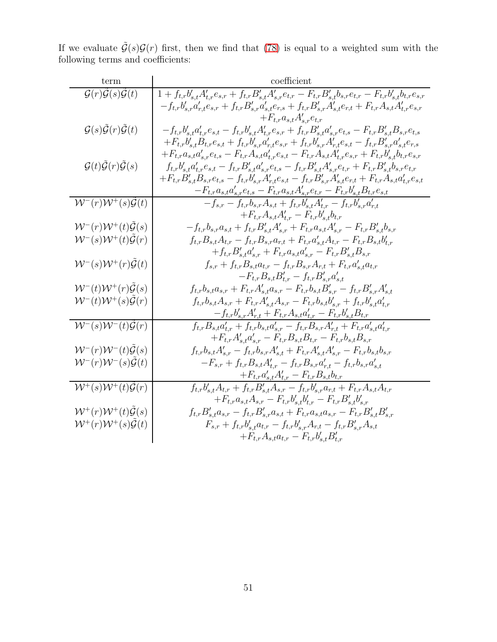If we evaluate  $\tilde{\mathcal{G}}(s)\mathcal{G}(r)$  first, then we find that [\(78\)](#page-49-0) is equal to a weighted sum with the following terms and coefficients:

| term                                                                | coefficient                                                                                                                                                                           |
|---------------------------------------------------------------------|---------------------------------------------------------------------------------------------------------------------------------------------------------------------------------------|
| $\mathcal{G}(r)\mathcal{\tilde{G}}(s)\mathcal{\tilde{G}}(t)$        | $1+f_{t,r}b_{s,t}^{\prime}A_{t,r}^{\prime}e_{s,r}+f_{t,r}B_{s,t}^{\prime}A_{s,r}^{\prime}e_{t,r}-F_{t,r}B_{s,t}^{\prime}b_{s,r}e_{t,r}-F_{t,r}b_{s,t}^{\prime}b_{t,r}e_{s,r}$         |
|                                                                     | $-f_{t,r}b_{s,r}^{\prime}a_{r,t}^{\prime}e_{s,r}+f_{t,r}B_{s,r}^{\prime}a_{s,t}^{\prime}e_{r,s}+f_{t,r}B_{s,r}^{\prime}A_{s,t}^{\prime}e_{r,t}+F_{t,r}A_{s,t}A_{t,r}^{\prime}e_{s,r}$ |
|                                                                     | $+F_{t,r}a_{s,t}A'_{s,r}e_{t,r}$                                                                                                                                                      |
| $\mathcal{G}(s)\tilde{\mathcal{G}}(r)\tilde{\mathcal{G}}(t)$        | $-f_{t,r}b_{s,t}'a_{t,r}'e_{s,t}-f_{t,r}b_{s,t}'A_{t,r}'e_{s,r}+f_{t,r}B_{s,t}'a_{s,r}'e_{t,s}-F_{t,r}B_{s,t}'B_{s,r}e_{t,s}$                                                         |
|                                                                     | $+ F_{t,r} b_{s,t}' B_{t,r} e_{s,t} + f_{t,r} b_{s,r}' a_{r,t}' e_{s,r} + f_{t,r} b_{s,r}' A_{r,t}' e_{s,t} - f_{t,r} B_{s,r}' a_{s,t}' e_{r,s}$                                      |
|                                                                     | $+ F_{t,r} a_{s,t} a_{s,r}' e_{t,s} - F_{t,r} A_{s,t} a_{t,r}' e_{s,t} - F_{t,r} A_{s,t} A_{t,r}' e_{s,r} + F_{t,r} b_{s,t}' b_{t,r} e_{s,r}$                                         |
| $\mathcal{G}(t)\tilde{\mathcal{G}}(r)\tilde{\mathcal{G}}(s)$        | $f_{t,r}b_{s,t}'a_{t,r}'e_{s,t}-f_{t,r}B_{s,t}'a_{s,r}'e_{t,s}-f_{t,r}B_{s,t}'A_{s,r}'e_{t,r}+F_{t,r}B_{s,t}'b_{s,r}e_{t,r}$                                                          |
|                                                                     | $+ F_{t,r} B'_{s,t} B_{s,r} e_{t,s} - f_{t,r} b'_{s,r} A'_{r,t} e_{s,t} - f_{t,r} B'_{s,r} A'_{s,t} e_{r,t} + F_{t,r} A_{s,t} a'_{t,r} e_{s,t}$                                       |
|                                                                     | $-F_{t,r}a_{s,t}a'_{s,r}e_{t,s}-F_{t,r}a_{s,t}A'_{s,r}e_{t,r}-F_{t,r}b'_{s,t}B_{t,r}e_{s,t}$                                                                                          |
| $W^-(r)W^+(s)\tilde{\mathcal{G}}(t)$                                | $-f_{s,r} - f_{t,r}b_{s,r}A_{s,t} + f_{t,r}b'_{s,t}A'_{t,r} - f_{t,r}b'_{s,r}a'_{r,t}$                                                                                                |
|                                                                     | $+F_{t,r}A_{s,t}A'_{t,r}-F_{t,r}b'_{s,t}b_{t,r}$                                                                                                                                      |
| ${\cal W}^- (r) {\cal W}^+ (t) \tilde {\cal G}(s)$                  | $-f_{t,r}b_{s,r}a_{s,t}+f_{t,r}B'_{s,t}A'_{s,r}+F_{t,r}a_{s,t}A'_{s,r}-F_{t,r}B'_{s,t}b_{s,r}$                                                                                        |
| $W^-(s)W^+(t)\tilde{\mathcal{G}}(r)$                                | $f_{t,r}B_{s,t}A_{t,r}-f_{t,r}B_{s,r}a_{r,t}+F_{t,r}a'_{s,t}A_{t,r}-F_{t,r}B_{s,t}b'_{t,r}$                                                                                           |
|                                                                     | $+f_{t,r}B'_{s,t}a'_{s,r}+F_{t,r}a_{s,t}a'_{s,r}-F_{t,r}B'_{s,t}B_{s,r}$                                                                                                              |
| ${\mathcal W}^- (s) {\mathcal W}^+ (r) \tilde {\mathcal G}(t)$      | $f_{s,r} + f_{t,r}B_{s,t}a_{t,r} - f_{t,r}B_{s,r}A_{r,t} + F_{t,r}a'_{s,t}a_{t,r}$                                                                                                    |
|                                                                     | $-F_{t,r}B_{s,t}B'_{t,r}-f_{t,r}B'_{s,r}a'_{s,t}$                                                                                                                                     |
| ${\cal W}^- (t) {\cal W}^+ (r) \tilde {\cal G}(s)$                  | $f_{t,r}b_{s,t}a_{s,r} + F_{t,r}A'_{s,t}a_{s,r} - F_{t,r}b_{s,t}B'_{s,r} - f_{t,r}B'_{s,r}A'_{s,t}$                                                                                   |
| ${\mathcal W}^- (t) {\mathcal W}^+ (s) \tilde {\mathcal G}(r)$      | $f_{t,r}b_{s,t}A_{s,r} + F_{t,r}A'_{s,t}A_{s,r} - F_{t,r}b_{s,t}b'_{s,r} + f_{t,r}b'_{s,t}a'_{t,r}$                                                                                   |
|                                                                     | $-f_{t,r}b'_{s,r}A'_{r,t}+F_{t,r}A_{s,t}a'_{t,r}-F_{t,r}b'_{s,t}B_{t,r}$                                                                                                              |
| $W^-(s)W^-(t)\tilde{\mathcal{G}}(r)$                                | $f_{t,r}B_{s,t}a'_{t,r}+f_{t,r}b_{s,t}a'_{s,r}-f_{t,r}B_{s,r}A'_{r,t}+F_{t,r}a'_{s,t}a'_{t,r}$                                                                                        |
|                                                                     | $+F_{t,r}A'_{s,t}a'_{s,r}-F_{t,r}B_{s,t}B_{t,r}-F_{t,r}b_{s,t}B_{s,r}$                                                                                                                |
| ${\cal W}^- (r) {\cal W}^- (t) \tilde {\cal G}(s)$                  | $f_{t,r}b_{s,t}A'_{s,r}-f_{t,r}b_{s,r}A'_{s,t}+F_{t,r}A'_{s,t}A'_{s,r}-F_{t,r}b_{s,t}b_{s,r}$                                                                                         |
| $\mathcal{W}^-(r)\mathcal{W}^-(s)\widetilde{\mathcal{G}}(t)$        | $-F_{s,r} + f_{t,r}B_{s,t}A'_{t,r} - f_{t,r}B_{s,r}a'_{r,t} - f_{t,r}b_{s,r}a'_{s,t}$                                                                                                 |
|                                                                     | $+F_{t,r}a'_{s,t}A'_{t,r}-F_{t,r}B_{s,t}b_{t,r}$                                                                                                                                      |
| $\overline{\mathcal{W}^+(s)\mathcal{W}^+(t)\tilde{\mathcal{G}}(r)}$ | $\overline{f_{t,r}b_{s,t}'A_{t,r} + f_{t,r}B_{s,t}'A_{s,r} - f_{t,r}b_{s,r}'a_{r,t} + F_{t,r}A_{s,t}A_{t,r}}$                                                                         |
|                                                                     | $+F_{t,r}a_{s,t}A_{s,r}-F_{t,r}b'_{s,t}b'_{t,r}-F_{t,r}B'_{s,t}b'_{s,r}$                                                                                                              |
| ${\cal W}^{+}(r){\cal W}^{+}(t){\cal \tilde{G}}(s)$                 | $f_{t,r}B'_{s,t}a_{s,r}-f_{t,r}B'_{s,r}a_{s,t}+F_{t,r}a_{s,t}a_{s,r}-F_{t,r}B'_{s,t}B'_{s,r}$                                                                                         |
| $\mathcal{W}^+(r)\mathcal{W}^+(s)\mathcal{\tilde{G}}(t)$            | $F_{s,r} + f_{t,r}b'_{s,t}a_{t,r} - f_{t,r}b'_{s,r}A_{r,t} - f_{t,r}B'_{s,r}A_{s,t}$                                                                                                  |
|                                                                     | $+F_{t,r}A_{s,t}a_{t,r}-F_{t,r}b'_{s,t}B'_{t,r}$                                                                                                                                      |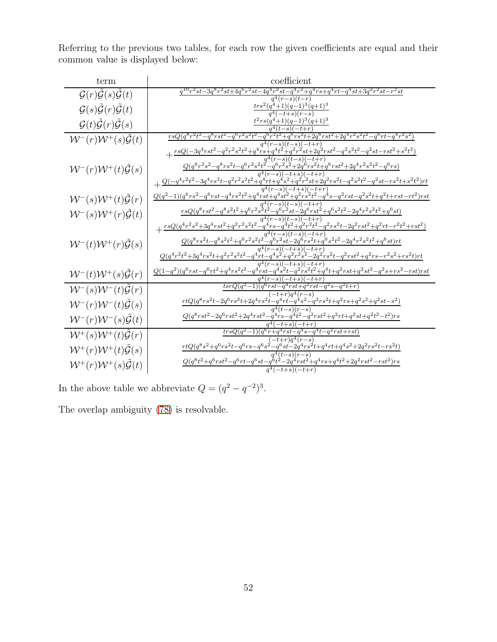Referring to the previous two tables, for each row the given coefficients are equal and their common value is displayed below:

| term                                                         | coefficient                                                                                                                                                                                                                                                                                                                                                                       |
|--------------------------------------------------------------|-----------------------------------------------------------------------------------------------------------------------------------------------------------------------------------------------------------------------------------------------------------------------------------------------------------------------------------------------------------------------------------|
| $\mathcal{G}(r)\tilde{\mathcal{G}}(s)\tilde{\mathcal{G}}(t)$ | $q^{10}r^2st - 3q^8r^2st + 4q^6r^2st - 4q^4r^2st - q^4r^2 + q^4rs + q^4rt - q^4st + 3q^2r^2st - r^2st$<br>$q^4(r-s)(t-r)$                                                                                                                                                                                                                                                         |
| $\mathcal{G}(s)\tilde{\mathcal{G}}(r)\tilde{\mathcal{G}}(t)$ | $tr s^2(q^4+1)(q-1)^3(q+1)^3$<br>$a^4(-t+s)(r-s)$                                                                                                                                                                                                                                                                                                                                 |
| $\mathcal{G}(t)\tilde{\mathcal{G}}(r)\tilde{\mathcal{G}}(s)$ | $t^2rs(q^4+1)(q-1)^3(q+1)^3$                                                                                                                                                                                                                                                                                                                                                      |
| ${\cal W}^- (r) {\cal W}^+ (s) {\cal G}(t)$                  | $r sQ (q^8 r^2 t^2 - q^8 r s t^2 - q^6 r^2 s^2 t^2 - q^6 r^2 t^2 + q^6 r s^2 t + 2 q^6 r s t^2 + 2 q^4 r^2 s^2 t^2 - q^6 r t - q^4 r^2 s^2)$                                                                                                                                                                                                                                      |
|                                                              | $q^4(r-s)(t-s)(-\overline{t+r})$<br>$+\frac{r\hspace{0.8cm}s\hspace{0.8cm}Q(-3q^4 r\hspace{0.8cm}s\hspace{0.8cm}t^2-q^2 r^2 s^2 t^2+q^4 r\hspace{0.8cm}s\hspace{0.8cm}+q^4 t^2+q^2 r^2\hspace{0.8cm}s\hspace{0.8cm}t\hspace{0.8cm}+2q^2 r s t^2-q^2 s^2 t^2-q^2 s t-r s t^2+s^2 t^2)}{F_{\text{eff}}\hspace{0.8cm}+r\hspace{0.8cm}s\hspace{0.8cm}+r\hspace{0.8cm}s\hspace{0.8cm}$ |
| $\mathcal{W}^-(r)\mathcal{W}^+(t)\tilde{\mathcal{G}}(s)$     | $Q(q^8r^2s^2-q^8rs^2t-q^6r^2s^2t^2-q^6r^2s^2+2q^6rs^2t+q^6rst^2+2q^4r^2s^2t^2-q^6rs)$                                                                                                                                                                                                                                                                                             |
|                                                              |                                                                                                                                                                                                                                                                                                                                                                                   |
| ${\cal W}^{-}(s){\cal W}^{+}(t){\cal \tilde{G}}(r)$          | $Q(q^{2}-1)(q^{6}rs^{2}-q^{6}rst-q^{4}rs^{2}t^{2}+q^{4}rst+q^{4}st^{2}+q^{2}rs^{2}t^{2}-q^{4}s-q^{2}rst-q^{2}s^{2}t+q^{2}t+rst-rt^{2})rst$                                                                                                                                                                                                                                        |
| ${\cal W}^{-}(s){\cal W}^{+}(r){\cal G}(t)$                  | $r sQ(q^8 r s t^2 - q^8 s^2 t^2 + q^6 r^2 s^{\frac{1}{2}} t^{\frac{1}{2}} - q^6 r^2 s t - 2 q^6 r s t^{\frac{1}{2}} + q^6 s^2 t^2 - 2 q^4 r^2 s^2 t^2 + q^6 s t)$                                                                                                                                                                                                                 |
|                                                              | $\substack{-(s)(t-s)(-t+r)\\-q^4t^2+q^2r^2t^2-q^2rs^2t-2q^2rst^2+q^2rt-r^2t^2+rst^2)}$<br>$+\tfrac{r s Q (q^4 r^2 s^2+3 q^4 r s t^2+q^2 r^2 s^2 t^2-q^4 r s^2)}{q^4 (r-1)q^4}$                                                                                                                                                                                                    |
| ${\cal W}^- (t) {\cal W}^+ (r) \tilde {\cal G}(s)$           | $\frac{q^4(r-s)(t-s)(-t+r)}{Q(q^8rs^2t-q^8s^2t^2+q^6r^2st^2-q^6r^2st-2q^6rs^2t+q^6s^2t^2-2q^4r^2s^2t^2+q^6st)rt}$                                                                                                                                                                                                                                                                 |
|                                                              | $r^2s^2-2q^2rs^2t-q^2rst^2+q^2rs-r^2s^2+rs^2t)rt$<br>$\frac{Q(q^4r^2t^2+3q^4rs^2t+q^2r^2s^2t^2-q^4rt-q^4s^2+q^4)}{q^2t^2}$                                                                                                                                                                                                                                                        |
| ${\cal W}^{-}(t){\cal W}^{+}(s){\cal G}(r)$                  | $\frac{q^4(r-s)(-t+s)(-t+r)}{Q(1-q^2)(q^6rst-q^6rt^2+q^4rs^2t^2-q^4rst-q^4s^2t-q^2rs^2t^2+q^4t+q^2rst+q^2st^2-q^2s+rs^2-rst)rst}$                                                                                                                                                                                                                                                 |
| $W^-(s)W^-(t)\mathcal{G}(r)$                                 | $q^4(r-s)(-t+s)(-t+r)$<br>$t s r Q (q^2-1) (q^6 r s t - q^4 r s t + q^2 r s t - q^2 s - q^2 t + r)$                                                                                                                                                                                                                                                                               |
|                                                              | $\displaystyle \frac{(-t+r)q^4(r-s)}{rtQ(q^8rs^2t-2q^6rs^2t+2q^4rs^2t-q^4rt-q^4s^2-q^2rs^2t+q^2rs+q^2s^2+q^2st-s^2)}$                                                                                                                                                                                                                                                             |
| ${\cal W}^- (r) {\cal W}^- (t) \tilde {\cal G}(s)$           |                                                                                                                                                                                                                                                                                                                                                                                   |
| $W^-(r)W^-(s)\mathcal{G}(t)$                                 | $Q(q^8rst^2-2q^6rst^2+2q^4rst^2-q^4rs-q^4t^2-q^2rst^2+q^2rt+q^2st+q^2t^2-t^2)rs$                                                                                                                                                                                                                                                                                                  |
| ${\cal W}^{+}(s){\cal W}^{+}(t){\cal G}(r)$                  | $trsQ(q^2-1)(q^6r+q^4rst-q^4s-q^4t-q^2rst+rst)$                                                                                                                                                                                                                                                                                                                                   |
| $W^+(r)W^+(t)\mathcal{G}(s)$                                 | $\frac{rtQ(q^8s^2+q^6rs^2t-q^6rs-q^6s^2-q^6st-2q^4rs^2t+q^4rt+q^4s^2+2q^2rs^2t-rs^2t)}$                                                                                                                                                                                                                                                                                           |
| $W^+(r)W^+(s)\tilde{\mathcal{G}}(t)$                         | $\frac{Q(q^8t^2+q^6rst^2-q^6rt-q^6st-q^{\tilde{6}}t^{\tilde{2}}-2q^{\tilde{4}}rst^{\tilde{2}}+q^4rs+q^4t^2+2q^2rst^2-rst^2)rs}{q^4(-t+s)(-t+r)}$                                                                                                                                                                                                                                  |

In the above table we abbreviate  $Q = (q^2 - q^{-2})^3$ .

The overlap ambiguity [\(78\)](#page-49-0) is resolvable.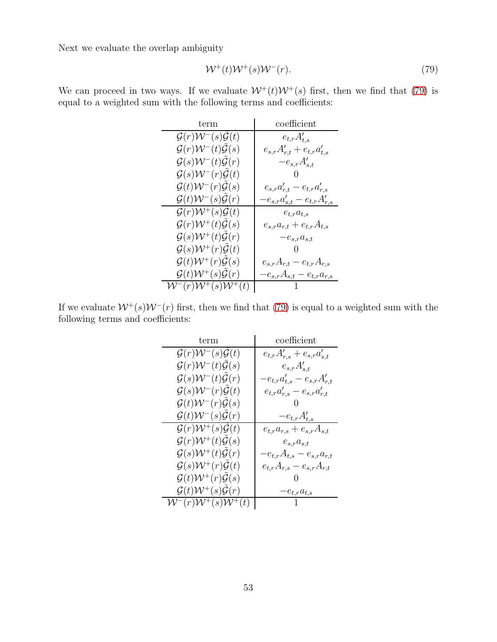<span id="page-52-0"></span>
$$
\mathcal{W}^+(t)\mathcal{W}^+(s)\mathcal{W}^-(r). \tag{79}
$$

We can proceed in two ways. If we evaluate  $W^+(t)W^+(s)$  first, then we find that [\(79\)](#page-52-0) is equal to a weighted sum with the following terms and coefficients:

| term                                                   | coefficient                          |
|--------------------------------------------------------|--------------------------------------|
| $\mathcal{G}(r)\mathcal{W}^-(s)\mathcal{G}(t)$         | $e_{t,r}A'_{t,s}$                    |
| $\mathcal{G}(r)\mathcal{W}^-(t)\mathcal{G}(s)$         | $e_{s,r}A'_{r,t}+e_{t,r}a'_{t,s}$    |
| $\mathcal{G}(s)\mathcal{W}^-(t)\mathcal{G}(r)$         | $-e_{s,r}A'_{s,t}$                   |
| $\mathcal{G}(s)\mathcal{W}^-(r)\mathcal{G}(t)$         |                                      |
| $\mathcal{G}(t)\mathcal{W}^-(r)\mathcal{G}(s)$         | $e_{s,r}a'_{r,t} - e_{t,r}a'_{r,s}$  |
| $\mathcal{G}(t)\mathcal{W}^-(s)\mathcal{G}(r)$         | $-e_{s,r}a'_{s,t} - e_{t,r}A'_{r,s}$ |
| $\mathcal{G}(r)\mathcal{W}^+(s)\tilde{\mathcal{G}}(t)$ | $e_{t,r}a_{t,s}$                     |
| $\mathcal{G}(r)\mathcal{W}^+(t)\mathcal{G}(s)$         | $e_{s,r}a_{r,t} + e_{t,r}A_{t,s}$    |
| $\mathcal{G}(s)\mathcal{W}^+(t)\mathcal{G}(r)$         | $-e_{s,r}a_{s,t}$                    |
| $\mathcal{G}(s)\mathcal{W}^+(r)\mathcal{G}(t)$         |                                      |
| $\mathcal{G}(t)\mathcal{W}^+(r)\mathcal{G}(s)$         | $e_{s,r}A_{r,t} - e_{t,r}A_{r,s}$    |
| $\mathcal{G}(t)\mathcal{W}^+(s)\mathcal{G}(r)$         | $-e_{s,r}A_{s,t}-e_{t,r}a_{r,s}$     |
| $\mathcal{W}^-(r)\mathcal{W}^+(s)\mathcal{W}^+(t)$     |                                      |

If we evaluate  $W^+(s)W^-(r)$  first, then we find that [\(79\)](#page-52-0) is equal to a weighted sum with the following terms and coefficients:

| term                                                     | coefficient                        |
|----------------------------------------------------------|------------------------------------|
| $\mathcal{G}(r)\mathcal{W}^-(s)\mathcal{G}(t)$           | $e_{t,r}A'_{r,s}+e_{s,r}a'_{s,t}$  |
| $\mathcal{G}(r)\mathcal{W}^-(t)\tilde{\mathcal{G}}(s)$   | $e_{s,r}A'_{s,t}$                  |
| $\mathcal{G}(s) \mathcal{W}^-(t) \tilde{\mathcal{G}}(r)$ | $-e_{t,r}a_{t,s}'-e_{s,r}A_{r,t}'$ |
| $\mathcal{G}(s)\mathcal{W}^-(r)\mathcal{G}(t)$           | $e_{t,r}a'_{r,s}-e_{s,r}a'_{r,t}$  |
| $\mathcal{G}(t)\mathcal{W}^-(r)\tilde{\mathcal{G}}(s)$   |                                    |
| $\mathcal{G}(t)\mathcal{W}^-(s)\mathcal{G}(r)$           | $-e_{t,r}A'_{t,s}$                 |
| $\mathcal{G}(r)\mathcal{W}^+(s)\mathcal{G}(t)$           | $e_{t,r}a_{r,s} + e_{s,r}A_{s,t}$  |
| $\mathcal{G}(r)\mathcal{W}^+(t)\tilde{\mathcal{G}}(s)$   | $e_{s,r}a_{s,t}$                   |
| $\mathcal{G}(s) \mathcal{W}^+(t) \tilde{\mathcal{G}}(r)$ | $-e_{t,r}A_{t,s}-e_{s,r}a_{r,t}$   |
| $\mathcal{G}(s)\mathcal{W}^+(r)\mathcal{G}(t)$           | $e_{t,r}A_{r,s}-e_{s,r}A_{r,t}$    |
| $\mathcal{G}(t)\mathcal{W}^+(r)\tilde{\mathcal{G}}(s)$   |                                    |
| $\mathcal{G}(t)\mathcal{W}^+(s)\tilde{\mathcal{G}}(r)$   | $-e_{t,r}a_{t,s}$                  |
| $\mathcal{W}^-(r)\mathcal{W}^+(s)\mathcal{W}^+(t)$       |                                    |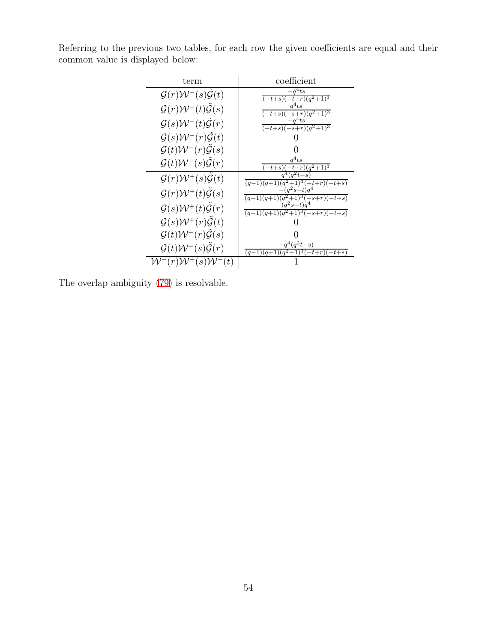| Referring to the previous two tables, for each row the given coefficients are equal and their |  |  |  |  |  |  |
|-----------------------------------------------------------------------------------------------|--|--|--|--|--|--|
| common value is displayed below:                                                              |  |  |  |  |  |  |

| term                                                   | coefficient                                                |
|--------------------------------------------------------|------------------------------------------------------------|
| $\mathcal{G}(r)\mathcal{W}^-(s)\mathcal{G}(t)$         | $a^4$ ts<br>$(-t+s)(-t+r)(q^2+1)^3$                        |
| $\mathcal{G}(r)\mathcal{W}^-(t)\tilde{\mathcal{G}}(s)$ | $a^4ts$<br>$(-t+s)(-s+r)\overline{(q^2+1)^3}$              |
| $\mathcal{G}(s)\mathcal{W}^-(t)\mathcal{G}(r)$         | $q^4$ ts<br>$\frac{(-t+s)(-s+r)(q^2+1)^3}{}$               |
| $\mathcal{G}(s)\mathcal{W}^-(r)\mathcal{G}(t)$         |                                                            |
| $\mathcal{G}(t)\mathcal{W}^-(r)\mathcal{G}(s)$         |                                                            |
| $\mathcal{G}(t)\mathcal{W}^-(s)\mathcal{G}(r)$         | $a^4$ ts<br>$\sqrt{(q^2+1)^3}$<br>$t + s$                  |
| $\mathcal{G}(r)\mathcal{W}^+(s)\mathcal{G}(t)$         | $(q-1)(q+1)(q^2+1)^3(-t+r)(-t+s)$                          |
| $\mathcal{G}(r)\mathcal{W}^+(t)\tilde{\mathcal{G}}(s)$ | $a^2s-t)a$<br>$(q-1)(q+1)(q^2+1)^3(-s+r)(-t+s)$            |
| $\mathcal{G}(s)\mathcal{W}^+(t)\tilde{\mathcal{G}}(r)$ | $(q^2s-t)q$<br>$(q-1)(q+1)(q^2+1)^3(-s+r)(-t+s)$           |
| $\mathcal{G}(s)\mathcal{W}^+(r)\mathcal{G}(t)$         |                                                            |
| $\mathcal{G}(t)\mathcal{W}^+(r)\mathcal{G}(s)$         |                                                            |
| $\mathcal{G}(t)\mathcal{W}^+(s)\mathcal{G}(r)$         | $q^4(q^2t-s)$<br>$t+s$<br>$(a-1)$<br>$-t+r$ )(-<br>$(a+1)$ |
| (s)                                                    |                                                            |

The overlap ambiguity [\(79\)](#page-52-0) is resolvable.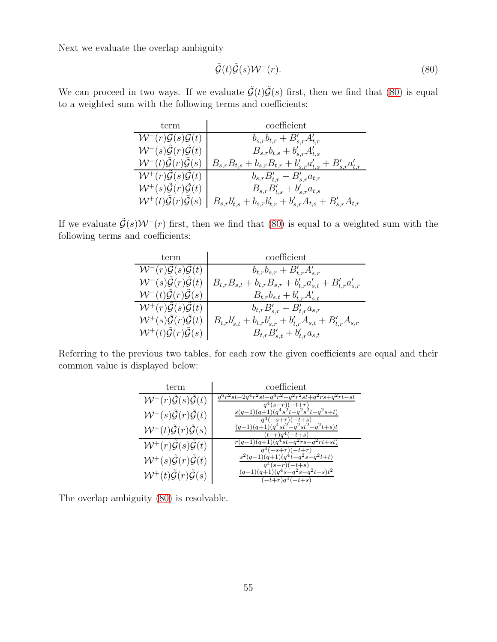<span id="page-54-0"></span>
$$
\tilde{\mathcal{G}}(t)\tilde{\mathcal{G}}(s)\mathcal{W}^-(r). \tag{80}
$$

We can proceed in two ways. If we evaluate  $\tilde{\mathcal{G}}(t)\tilde{\mathcal{G}}(s)$  first, then we find that [\(80\)](#page-54-0) is equal to a weighted sum with the following terms and coefficients:

| term                                                             | coefficient                                                             |
|------------------------------------------------------------------|-------------------------------------------------------------------------|
| $W^-(r)\mathcal{G}(s)\mathcal{G}(t)$                             | $b_{s,r}b_{t,r} + B'_{s,r}A'_{t,r}$                                     |
| ${\cal W}^- (s) \tilde {\cal G}(r) \tilde {\cal G}(t)$           | $B_{s,r}b_{t,s} + b'_{s,r}A'_{t,s}$                                     |
| $W^-(t)\tilde{\mathcal{G}}(r)\mathcal{G}(s)$                     | $B_{s,r}B_{t,s} + b_{s,r}B_{t,r} + b'_{s,r}a'_{t,s} + B'_{s,r}a'_{t,r}$ |
| $W^+(r)\mathcal{G}(s)\mathcal{G}(t)$                             | $b_{s,r}B'_{t,r}+B'_{s,r}a_{t,r}$                                       |
| $\mathcal{W}^+(s) \mathcal{\tilde{G}}(r) \mathcal{\tilde{G}}(t)$ | $B_{s,r}B'_{t,s} + b'_{s,r}a_{t,s}$                                     |
| $W^+(t)\tilde{\mathcal{G}}(r)\tilde{\mathcal{G}}(s)$             | $B_{s,r}b_{t,s}' + b_{s,r}b_{t,r}' + b_{s,r}'A_{t,s} + B_{s,r}'A_{t,r}$ |

If we evaluate  $\tilde{\mathcal{G}}(s)\mathcal{W}^-(r)$  first, then we find that [\(80\)](#page-54-0) is equal to a weighted sum with the following terms and coefficients:

| term                                                 | coefficient                                                             |
|------------------------------------------------------|-------------------------------------------------------------------------|
| $W^-(r)\mathcal{G}(s)\mathcal{G}(t)$                 | $b_{t,r}b_{s,r} + B'_{t,r}A'_{s,r}$                                     |
| $W^-(s) \mathcal{G}(r) \mathcal{G}(t)$               | $B_{t,r}B_{s,t} + b_{t,r}B_{s,r} + b'_{t,r}a'_{s,t} + B'_{t,r}a'_{s,r}$ |
| $W^-(t)\mathcal{G}(r)\mathcal{G}(s)$                 | $B_{t,r}b_{s,t}+b'_{t,r}A'_{s,t}$                                       |
| $W^+(r)\mathcal{G}(s)\mathcal{G}(t)$                 | $b_{t,r}B'_{s,r}+B'_{t,r}a_{s,r}$                                       |
| $W^+(s)\tilde{\mathcal{G}}(r)\tilde{\mathcal{G}}(t)$ | $B_{t,r}b'_{s,t} + b_{t,r}b'_{s,r} + b'_{t,r}A_{s,t} + B'_{t,r}A_{s,r}$ |
| $W^+(t)\mathcal{G}(r)\mathcal{G}(s)$                 | $B_{t,r}B'_{s,t} + b'_{t,r}a_{s,t}$                                     |

Referring to the previous two tables, for each row the given coefficients are equal and their common value is displayed below:

| term                                                           | coefficient                                                                                             |
|----------------------------------------------------------------|---------------------------------------------------------------------------------------------------------|
| ${\cal W}^-(r) \tilde {\cal G}(s) \tilde {\cal G}(t)$          | $q^{6}r^{2}st - 2q^{4}r^{2}st - q^{4}r^{2} + q^{2}r^{2}st + q^{2}rs + q^{2}rt - st$<br>$q^4(s-r)(-t+r)$ |
| ${\cal W}^{-}(s) \tilde {\cal G}(r) \tilde {\cal G}(t)$        | $s(q-1)(q+1)(q^4s^2t-q^2s^2t-q^2s+t)$<br>$q^4(-s+r)(-t+s)$                                              |
| ${\cal W}^{-}(t) \tilde {\cal G}(r) \tilde {\cal G}(s)$        | $(q-1)(q+1)(q^4st^2-q^2st^2-q^2t+s)t$<br>$(t-r)q^{4}(-t+s)$                                             |
| ${\cal W}^+(r) \tilde {\cal G}(s) \tilde {\cal G}(t)$          | $r(q-1)(q+1)(q^4s\overline{t-q^2rs-q^2rt+st})$<br>$q^4(-s+r)(-t+r)$                                     |
| ${\cal W}^{+}(s) \tilde {\cal G}(r) \tilde {\cal G}(t)$        | $s^{2}(q-1)(q+1)(q^{4}t-q^{2}s-q^{2}t+t)$<br>$q^4(s-r)(-t+s)$                                           |
| $\mathcal{W}^+(t)\tilde{\mathcal{G}}(r)\tilde{\mathcal{G}}(s)$ | $(q-1)(q+1)(q^4s-q^2s-q^2t+s)t^2$<br>$(-t+r)q^4(-t+s)$                                                  |

The overlap ambiguity [\(80\)](#page-54-0) is resolvable.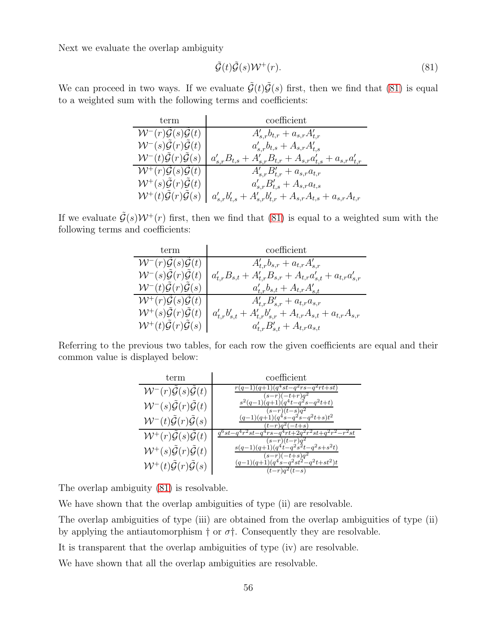<span id="page-55-0"></span>
$$
\tilde{\mathcal{G}}(t)\tilde{\mathcal{G}}(s)\mathcal{W}^+(r). \tag{81}
$$

We can proceed in two ways. If we evaluate  $\tilde{\mathcal{G}}(t)\tilde{\mathcal{G}}(s)$  first, then we find that [\(81\)](#page-55-0) is equal to a weighted sum with the following terms and coefficients:

| term                                                 | coefficient                                                             |
|------------------------------------------------------|-------------------------------------------------------------------------|
| $W^-(r)\mathcal{G}(s)\mathcal{G}(t)$                 | $A'_{s,r}b_{t,r} + a_{s,r}A'_{t,r}$                                     |
| $W^-(s)\tilde{\mathcal{G}}(r)\tilde{\mathcal{G}}(t)$ | $a'_{s,r}b_{t,s}+A_{s,r}A'_{t,s}$                                       |
| $W^-(t)\tilde{\mathcal{G}}(r)\tilde{\mathcal{G}}(s)$ | $a'_{s,r}B_{t,s} + A'_{s,r}B_{t,r} + A_{s,r}a'_{t,s} + a_{s,r}a'_{t,r}$ |
| $W^+(r)\mathcal{G}(s)\mathcal{G}(t)$                 | $A'_{s,r}B'_{t,r} + a_{s,r}a_{t,r}$                                     |
| $W^+(s)\mathcal{G}(r)\mathcal{G}(t)$                 | $a'_{s,r}B'_{t,s}+A_{s,r}a_{t,s}$                                       |
| $W^+(t)\tilde{\mathcal{G}}(r)\tilde{\mathcal{G}}(s)$ | $a'_{s,r}b'_{t,s} + A'_{s,r}b'_{t,r} + A_{s,r}A_{t,s} + a_{s,r}A_{t,r}$ |

If we evaluate  $\tilde{\mathcal{G}}(s)\mathcal{W}^+(r)$  first, then we find that [\(81\)](#page-55-0) is equal to a weighted sum with the following terms and coefficients:

| term                                                             | coefficient                                                             |
|------------------------------------------------------------------|-------------------------------------------------------------------------|
| $W^-(r)\mathcal{G}(s)\mathcal{G}(t)$                             | $A'_{t,r}b_{s,r} + a_{t,r}A'_{s,r}$                                     |
| ${\cal W}^{-}(s) \tilde {\cal G}(r) \tilde {\cal G}(t)$          | $a'_{t,r}B_{s,t} + A'_{t,r}B_{s,r} + A_{t,r}a'_{s,t} + a_{t,r}a'_{s,r}$ |
| $W^-(t)\mathcal{G}(r)\mathcal{G}(s)$                             | $a'_{t,r}b_{s,t} + A_{t,r}A'_{s,t}$                                     |
| $W^+(r)\mathcal{G}(s)\mathcal{G}(t)$                             | $A'_{t,r}B'_{s,r} + a_{t,r}a_{s,r}$                                     |
| $\mathcal{W}^+(s) \mathcal{\tilde{G}}(r) \mathcal{\tilde{G}}(t)$ | $a'_{t,r}b'_{s,t} + A'_{t,r}b'_{s,r} + A_{t,r}A_{s,t} + a_{t,r}A_{s,r}$ |
| $W^+(t)\tilde{\mathcal{G}}(r)\tilde{\mathcal{G}}(s)$             | $a'_{t,r}B'_{s,t} + A_{t,r}a_{s,t}$                                     |

Referring to the previous two tables, for each row the given coefficients are equal and their common value is displayed below:

| term                                                    | coefficient                                                                                                                              |
|---------------------------------------------------------|------------------------------------------------------------------------------------------------------------------------------------------|
| ${\cal W}^{-}(r)\tilde {\cal G}(s)\tilde {\cal G}(t)$   | $(q-1)(q+1)(q^4st-q^2rs-q^2rt+st)$<br>$(s-r)(-t+r)q^2$                                                                                   |
| ${\cal W}^{-}(s) \tilde {\cal G}(r) \tilde {\cal G}(t)$ | $s^{2}(q-1)(q+1)(q^{4}t-q^{2}s-q^{2}t+t)$<br>$(s-r)(t-s)q^2$                                                                             |
| ${\cal W}^-(t) \tilde {\cal G}(r) \tilde {\cal G}(s)$   | $(q-1)(q+1)(q^4s-q^2s-q^2t+s)t^2$<br>$(t-r)a^{2}(-t+s)$                                                                                  |
| ${\cal W}^+(r) \tilde {\cal G}(s) \tilde {\cal G}(t)$   | $q^6st - q^4r^2st - q^4rs - q^4rt + 2q^2r^2st + q^2r^2 - r^2st$<br>$(s-r)(t-r)q^2$                                                       |
| ${\cal W}^{+}(s) \tilde {\cal G}(r) \tilde {\cal G}(t)$ | $s(q-1)(q+1)(q^4t-q^2s^2t-q^2s+s^2t)$                                                                                                    |
| ${\cal W}^+(t) \tilde {\cal G}(r) \tilde {\cal G}(s)$   | $(s-r)(-t+s)q^2$<br>(q-1)(q+1)(q <sup>4</sup> s-q <sup>2</sup> st <sup>2</sup> -q <sup>2</sup> t+st <sup>2</sup> )t<br>$(t-r)q^{2}(t-s)$ |

The overlap ambiguity [\(81\)](#page-55-0) is resolvable.

We have shown that the overlap ambiguities of type (ii) are resolvable.

The overlap ambiguities of type (iii) are obtained from the overlap ambiguities of type (ii) by applying the antiautomorphism  $\dagger$  or  $\sigma \dagger$ . Consequently they are resolvable.

It is transparent that the overlap ambiguities of type (iv) are resolvable.

We have shown that all the overlap ambiguities are resolvable.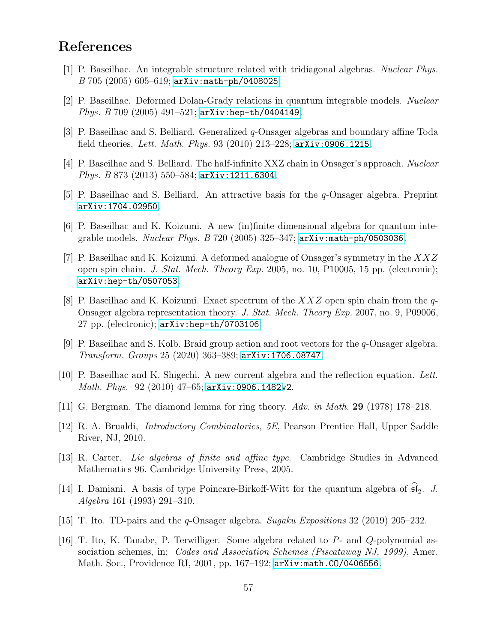### <span id="page-56-3"></span>References

- <span id="page-56-0"></span>[1] P. Baseilhac. An integrable structure related with tridiagonal algebras. Nuclear Phys.  $B$  705 (2005) 605-619; [arXiv:math-ph/0408025](http://arxiv.org/abs/math-ph/0408025).
- <span id="page-56-6"></span>[2] P. Baseilhac. Deformed Dolan-Grady relations in quantum integrable models. Nuclear Phys. B 709 (2005) 491–521; [arXiv:hep-th/0404149](http://arxiv.org/abs/hep-th/0404149).
- <span id="page-56-7"></span>[3] P. Baseilhac and S. Belliard. Generalized q-Onsager algebras and boundary affine Toda field theories. Lett. Math. Phys. 93 (2010) 213–228;  $arXiv:0906.1215$ .
- <span id="page-56-10"></span>[4] P. Baseilhac and S. Belliard. The half-infinite XXZ chain in Onsager's approach. Nuclear Phys. B 873 (2013) 550–584; [arXiv:1211.6304](http://arxiv.org/abs/1211.6304).
- <span id="page-56-9"></span>[5] P. Baseilhac and S. Belliard. An attractive basis for the q-Onsager algebra. Preprint [arXiv:1704.02950](http://arxiv.org/abs/1704.02950).
- [6] P. Baseilhac and K. Koizumi. A new (in)finite dimensional algebra for quantum integrable models. Nuclear Phys.  $B$  720 (2005) 325–347;  $arXiv:math-Ph/0503036$ .
- [7] P. Baseilhac and K. Koizumi. A deformed analogue of Onsager's symmetry in the XXZ open spin chain. J. Stat. Mech. Theory Exp. 2005, no. 10, P10005, 15 pp. (electronic); [arXiv:hep-th/0507053](http://arxiv.org/abs/hep-th/0507053).
- <span id="page-56-4"></span>[8] P. Baseilhac and K. Koizumi. Exact spectrum of the  $XXZ$  open spin chain from the q-Onsager algebra representation theory. J. Stat. Mech. Theory Exp. 2007, no. 9, P09006, 27 pp. (electronic); [arXiv:hep-th/0703106](http://arxiv.org/abs/hep-th/0703106).
- <span id="page-56-8"></span><span id="page-56-5"></span>[9] P. Baseilhac and S. Kolb. Braid group action and root vectors for the q-Onsager algebra. Transform. Groups 25 (2020) 363–389; [arXiv:1706.08747](http://arxiv.org/abs/1706.08747).
- <span id="page-56-13"></span>[10] P. Baseilhac and K. Shigechi. A new current algebra and the reflection equation. Lett. Math. Phys. 92 (2010) 47–65; [arXiv:0906.1482v](http://arxiv.org/abs/0906.1482)2.
- <span id="page-56-14"></span>[11] G. Bergman. The diamond lemma for ring theory. Adv. in Math. 29 (1978) 178–218.
- <span id="page-56-12"></span>[12] R. A. Brualdi, Introductory Combinatorics, 5E, Pearson Prentice Hall, Upper Saddle River, NJ, 2010.
- <span id="page-56-11"></span>[13] R. Carter. Lie algebras of finite and affine type. Cambridge Studies in Advanced Mathematics 96. Cambridge University Press, 2005.
- [14] I. Damiani. A basis of type Poincare-Birkoff-Witt for the quantum algebra of  $\mathfrak{sl}_2$ . J. Algebra 161 (1993) 291–310.
- <span id="page-56-2"></span><span id="page-56-1"></span>[15] T. Ito. TD-pairs and the q-Onsager algebra. Sugaku Expositions 32 (2019) 205–232.
- [16] T. Ito, K. Tanabe, P. Terwilliger. Some algebra related to P- and Q-polynomial association schemes, in: *Codes and Association Schemes (Piscataway NJ, 1999)*, Amer. Math. Soc., Providence RI, 2001, pp. 167–192; [arXiv:math.CO/0406556](http://arxiv.org/abs/math/0406556).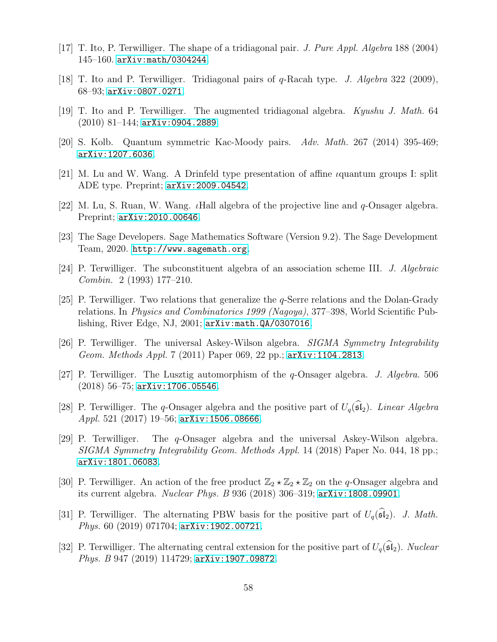- <span id="page-57-14"></span><span id="page-57-3"></span>[17] T. Ito, P. Terwilliger. The shape of a tridiagonal pair. J. Pure Appl. Algebra 188 (2004) 145–160. [arXiv:math/0304244](http://arxiv.org/abs/math/0304244).
- <span id="page-57-2"></span>[18] T. Ito and P. Terwilliger. Tridiagonal pairs of q-Racah type. J. Algebra 322 (2009), 68–93; [arXiv:0807.0271](http://arxiv.org/abs/0807.0271).
- <span id="page-57-4"></span>[19] T. Ito and P. Terwilliger. The augmented tridiagonal algebra. Kyushu J. Math. 64  $(2010)$  81–144; [arXiv:0904.2889](http://arxiv.org/abs/0904.2889).
- <span id="page-57-5"></span>[20] S. Kolb. Quantum symmetric Kac-Moody pairs. Adv. Math. 267 (2014) 395-469; [arXiv:1207.6036](http://arxiv.org/abs/1207.6036).
- <span id="page-57-6"></span>[21] M. Lu and W. Wang. A Drinfeld type presentation of affine *i*quantum groups I: split ADE type. Preprint; [arXiv:2009.04542](http://arxiv.org/abs/2009.04542).
- <span id="page-57-15"></span>[22] M. Lu, S. Ruan, W. Wang. *I*Hall algebra of the projective line and  $q$ -Onsager algebra. Preprint; [arXiv:2010.00646](http://arxiv.org/abs/2010.00646).
- <span id="page-57-1"></span>[23] The Sage Developers. Sage Mathematics Software (Version 9.2). The Sage Development Team, 2020. <http://www.sagemath.org>.
- <span id="page-57-0"></span>[24] P. Terwilliger. The subconstituent algebra of an association scheme III. J. Algebraic Combin. 2 (1993) 177–210.
- [25] P. Terwilliger. Two relations that generalize the q-Serre relations and the Dolan-Grady relations. In Physics and Combinatorics 1999 (Nagoya), 377–398, World Scientific Publishing, River Edge, NJ, 2001; [arXiv:math.QA/0307016](http://arxiv.org/abs/math/0307016).
- <span id="page-57-8"></span><span id="page-57-7"></span>[26] P. Terwilliger. The universal Askey-Wilson algebra. SIGMA Symmetry Integrability Geom. Methods Appl. 7 (2011) Paper 069, 22 pp.; [arXiv:1104.2813](http://arxiv.org/abs/1104.2813).
- [27] P. Terwilliger. The Lusztig automorphism of the q-Onsager algebra. J. Algebra. 506 (2018) 56–75; [arXiv:1706.05546](http://arxiv.org/abs/1706.05546).
- <span id="page-57-11"></span>[28] P. Terwilliger. The q-Onsager algebra and the positive part of  $U_q(\widehat{\mathfrak{sl}}_2)$ . Linear Algebra Appl. 521 (2017) 19–56; [arXiv:1506.08666](http://arxiv.org/abs/1506.08666).
- <span id="page-57-9"></span>[29] P. Terwilliger. The q-Onsager algebra and the universal Askey-Wilson algebra. SIGMA Symmetry Integrability Geom. Methods Appl. 14 (2018) Paper No. 044, 18 pp.; [arXiv:1801.06083](http://arxiv.org/abs/1801.06083).
- <span id="page-57-10"></span>[30] P. Terwilliger. An action of the free product  $\mathbb{Z}_2 \star \mathbb{Z}_2 \star \mathbb{Z}_2$  on the q-Onsager algebra and its current algebra. Nuclear Phys. B 936 (2018) 306–319; [arXiv:1808.09901](http://arxiv.org/abs/1808.09901).
- <span id="page-57-12"></span>[31] P. Terwilliger. The alternating PBW basis for the positive part of  $U_q(\widehat{\mathfrak{sl}}_2)$ . J. Math. Phys. 60 (2019) 071704; [arXiv:1902.00721](http://arxiv.org/abs/1902.00721).
- <span id="page-57-13"></span>[32] P. Terwilliger. The alternating central extension for the positive part of  $U_q(\mathfrak{sl}_2)$ . Nuclear Phys. B 947 (2019) 114729; [arXiv:1907.09872](http://arxiv.org/abs/1907.09872).